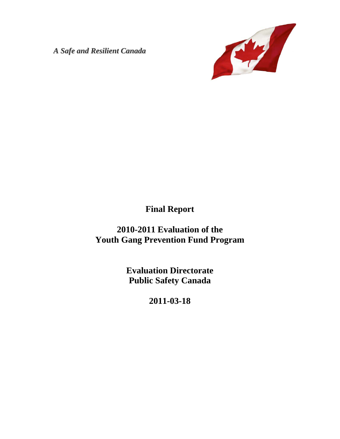*A Safe and Resilient Canada*



# **Final Report**

**2010-2011 Evaluation of the Youth Gang Prevention Fund Program** 

> **Evaluation Directorate Public Safety Canada**

> > **2011-03-18**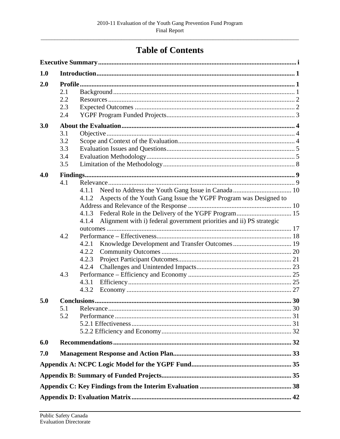# **Table of Contents**

| 1.0 |            |                                                                               |  |  |
|-----|------------|-------------------------------------------------------------------------------|--|--|
| 2.0 |            |                                                                               |  |  |
|     | 2.1        |                                                                               |  |  |
|     | 2.2        |                                                                               |  |  |
|     | 2.3        |                                                                               |  |  |
|     | 2.4        |                                                                               |  |  |
| 3.0 |            |                                                                               |  |  |
|     | 3.1        |                                                                               |  |  |
|     | 3.2        |                                                                               |  |  |
|     | 3.3        |                                                                               |  |  |
|     | 3.4        |                                                                               |  |  |
|     | 3.5        |                                                                               |  |  |
| 4.0 |            |                                                                               |  |  |
|     | 4.1        |                                                                               |  |  |
|     |            | 4.1.1                                                                         |  |  |
|     |            | Aspects of the Youth Gang Issue the YGPF Program was Designed to<br>4.1.2     |  |  |
|     |            |                                                                               |  |  |
|     |            | 4.1.3                                                                         |  |  |
|     |            | Alignment with i) federal government priorities and ii) PS strategic<br>4.1.4 |  |  |
|     |            |                                                                               |  |  |
|     | 4.2        |                                                                               |  |  |
|     |            | 4.2.1                                                                         |  |  |
|     |            | 4.2.2                                                                         |  |  |
|     |            | 4.2.3                                                                         |  |  |
|     |            | 4.2.4                                                                         |  |  |
|     | 4.3        |                                                                               |  |  |
|     |            | 4.3.1                                                                         |  |  |
|     |            | 4.3.2                                                                         |  |  |
| 5.0 |            |                                                                               |  |  |
|     |            |                                                                               |  |  |
|     | 5.1<br>5.2 |                                                                               |  |  |
|     |            |                                                                               |  |  |
|     |            |                                                                               |  |  |
|     |            |                                                                               |  |  |
| 6.0 |            |                                                                               |  |  |
| 7.0 |            |                                                                               |  |  |
|     |            |                                                                               |  |  |
|     |            |                                                                               |  |  |
|     |            |                                                                               |  |  |
|     |            |                                                                               |  |  |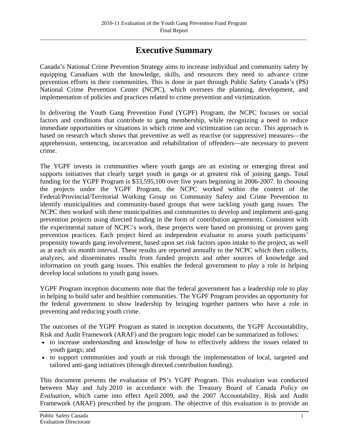# **Executive Summary**

<span id="page-3-0"></span>Canada's National Crime Prevention Strategy aims to increase individual and community safety by equipping Canadians with the knowledge, skills, and resources they need to advance crime prevention efforts in their communities. This is done in part through Public Safety Canada's (PS) National Crime Prevention Center (NCPC), which oversees the planning, development, and implementation of policies and practices related to crime prevention and victimization.

In delivering the Youth Gang Prevention Fund (YGPF) Program, the NCPC focuses on social factors and conditions that contribute to gang membership, while recognizing a need to reduce immediate opportunities or situations in which crime and victimization can occur. This approach is based on research which shows that preventive as well as reactive (or suppressive) measures—the apprehension, sentencing, incarceration and rehabilitation of offenders—are necessary to prevent crime.

The YGPF invests in communities where youth gangs are an existing or emerging threat and supports initiatives that clearly target youth in gangs or at greatest risk of joining gangs. Total funding for the YGPF Program is \$33,595,100 over five years beginning in 2006-2007. In choosing the projects under the YGPF Program, the NCPC worked within the context of the Federal/Provincial/Territorial Working Group on Community Safety and Crime Prevention to identify municipalities and community-based groups that were tackling youth gang issues. The NCPC then worked with these municipalities and communities to develop and implement anti-gang prevention projects using directed funding in the form of contribution agreements. Consistent with the experimental nature of NCPC's work, these projects were based on promising or proven gang prevention practices. Each project hired an independent evaluator to assess youth participants' propensity towards gang involvement, based upon set risk factors upon intake to the project, as well as at each six month interval. These results are reported annually to the NCPC which then collects, analyzes, and disseminates results from funded projects and other sources of knowledge and information on youth gang issues. This enables the federal government to play a role in helping develop local solutions to youth gang issues.

YGPF Program inception documents note that the federal government has a leadership role to play in helping to build safer and healthier communities. The YGPF Program provides an opportunity for the federal government to show leadership by bringing together partners who have a role in preventing and reducing youth crime.

The outcomes of the YGPF Program as stated in inception documents, the YGPF Accountability, Risk and Audit Framework (ARAF) and the program logic model can be summarized as follows:

- to increase understanding and knowledge of how to effectively address the issues related to youth gangs; and
- to support communities and youth at risk through the implementation of local, targeted and tailored anti-gang initiatives (through directed contribution funding).

This document presents the evaluation of PS's YGPF Program. This evaluation was conducted between May and July 2010 in accordance with the Treasury Board of Canada *Policy on Evaluation*, which came into effect April 2009, and the 2007 Accountability, Risk and Audit Framework (ARAF) prescribed by the program. The objective of this evaluation is to provide an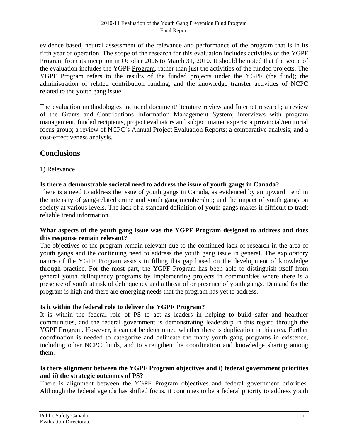evidence based, neutral assessment of the relevance and performance of the program that is in its fifth year of operation. The scope of the research for this evaluation includes activities of the YGPF Program from its inception in October 2006 to March 31, 2010. It should be noted that the scope of the evaluation includes the YGPF Program, rather than just the activities of the funded projects. The YGPF Program refers to the results of the funded projects under the YGPF (the fund); the administration of related contribution funding; and the knowledge transfer activities of NCPC related to the youth gang issue.

The evaluation methodologies included document/literature review and Internet research; a review of the Grants and Contributions Information Management System; interviews with program management, funded recipients, project evaluators and subject matter experts; a provincial/territorial focus group; a review of NCPC's Annual Project Evaluation Reports; a comparative analysis; and a cost-effectiveness analysis.

# **Conclusions**

1) Relevance

### **Is there a demonstrable societal need to address the issue of youth gangs in Canada?**

There is a need to address the issue of youth gangs in Canada, as evidenced by an upward trend in the intensity of gang-related crime and youth gang membership; and the impact of youth gangs on society at various levels. The lack of a standard definition of youth gangs makes it difficult to track reliable trend information.

### **What aspects of the youth gang issue was the YGPF Program designed to address and does this response remain relevant?**

The objectives of the program remain relevant due to the continued lack of research in the area of youth gangs and the continuing need to address the youth gang issue in general. The exploratory nature of the YGPF Program assists in filling this gap based on the development of knowledge through practice. For the most part, the YGPF Program has been able to distinguish itself from general youth delinquency programs by implementing projects in communities where there is a presence of youth at risk of delinquency and a threat of or presence of youth gangs. Demand for the program is high and there are emerging needs that the program has yet to address.

### **Is it within the federal role to deliver the YGPF Program?**

It is within the federal role of PS to act as leaders in helping to build safer and healthier communities, and the federal government is demonstrating leadership in this regard through the YGPF Program. However, it cannot be determined whether there is duplication in this area. Further coordination is needed to categorize and delineate the many youth gang programs in existence, including other NCPC funds, and to strengthen the coordination and knowledge sharing among them.

### **Is there alignment between the YGPF Program objectives and i) federal government priorities and ii) the strategic outcomes of PS?**

There is alignment between the YGPF Program objectives and federal government priorities. Although the federal agenda has shifted focus, it continues to be a federal priority to address youth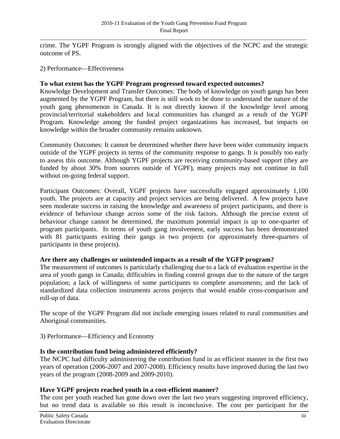crime. The YGPF Program is strongly aligned with the objectives of the NCPC and the strategic outcome of PS.

2) Performance—Effectiveness

### **To what extent has the YGPF Program progressed toward expected outcomes?**

Knowledge Development and Transfer Outcomes: The body of knowledge on youth gangs has been augmented by the YGPF Program, but there is still work to be done to understand the nature of the youth gang phenomenon in Canada. It is not directly known if the knowledge level among provincial/territorial stakeholders and local communities has changed as a result of the YGPF Program. Knowledge among the funded project organizations has increased, but impacts on knowledge within the broader community remains unknown.

Community Outcomes: It cannot be determined whether there have been wider community impacts outside of the YGPF projects in terms of the community response to gangs. It is possibly too early to assess this outcome. Although YGPF projects are receiving community-based support (they are funded by about 30% from sources outside of YGPF), many projects may not continue in full without on-going federal support.

Participant Outcomes: Overall, YGPF projects have successfully engaged approximately 1,100 youth. The projects are at capacity and project services are being delivered. A few projects have seen moderate success in raising the knowledge and awareness of project participants, and there is evidence of behaviour change across some of the risk factors. Although the precise extent of behaviour change cannot be determined, the maximum potential impact is up to one-quarter of program participants. In terms of youth gang involvement, early success has been demonstrated with 81 participants exiting their gangs in two projects (or approximately three-quarters of participants in these projects).

#### **Are there any challenges or unintended impacts as a result of the YGFP program?**

The measurement of outcomes is particularly challenging due to a lack of evaluation expertise in the area of youth gangs in Canada; difficulties in finding control groups due to the nature of the target population; a lack of willingness of some participants to complete assessments; and the lack of standardized data collection instruments across projects that would enable cross-comparison and roll-up of data.

The scope of the YGPF Program did not include emerging issues related to rural communities and Aboriginal communities.

3) Performance—Efficiency and Economy

#### **Is the contribution fund being administered efficiently?**

The NCPC had difficulty administering the contribution fund in an efficient manner in the first two years of operation (2006-2007 and 2007-2008). Efficiency results have improved during the last two years of the program (2008-2009 and 2009-2010).

### **Have YGPF projects reached youth in a cost-efficient manner?**

The cost per youth reached has gone down over the last two years suggesting improved efficiency, but no trend data is available so this result is inconclusive. The cost per participant for the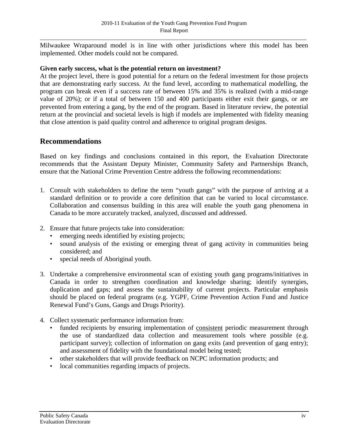Milwaukee Wraparound model is in line with other jurisdictions where this model has been implemented. Other models could not be compared.

#### **Given early success, what is the potential return on investment?**

At the project level, there is good potential for a return on the federal investment for those projects that are demonstrating early success. At the fund level, according to mathematical modelling, the program can break even if a success rate of between 15% and 35% is realized (with a mid-range value of 20%); or if a total of between 150 and 400 participants either exit their gangs, or are prevented from entering a gang, by the end of the program. Based in literature review, the potential return at the provincial and societal levels is high if models are implemented with fidelity meaning that close attention is paid quality control and adherence to original program designs.

# **Recommendations**

Based on key findings and conclusions contained in this report, the Evaluation Directorate recommends that the Assistant Deputy Minister, Community Safety and Partnerships Branch, ensure that the National Crime Prevention Centre address the following recommendations:

- 1. Consult with stakeholders to define the term "youth gangs" with the purpose of arriving at a standard definition or to provide a core definition that can be varied to local circumstance. Collaboration and consensus building in this area will enable the youth gang phenomena in Canada to be more accurately tracked, analyzed, discussed and addressed.
- 2. Ensure that future projects take into consideration:
	- emerging needs identified by existing projects;
	- sound analysis of the existing or emerging threat of gang activity in communities being considered; and
	- special needs of Aboriginal youth.
- 3. Undertake a comprehensive environmental scan of existing youth gang programs/initiatives in Canada in order to strengthen coordination and knowledge sharing; identify synergies, duplication and gaps; and assess the sustainability of current projects. Particular emphasis should be placed on federal programs (e.g. YGPF, Crime Prevention Action Fund and Justice Renewal Fund's Guns, Gangs and Drugs Priority).
- 4. Collect systematic performance information from:
	- funded recipients by ensuring implementation of consistent periodic measurement through the use of standardized data collection and measurement tools where possible (e.g. participant survey); collection of information on gang exits (and prevention of gang entry); and assessment of fidelity with the foundational model being tested;
	- other stakeholders that will provide feedback on NCPC information products; and
	- local communities regarding impacts of projects.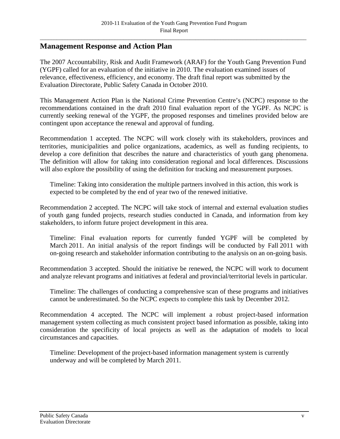# **Management Response and Action Plan**

The 2007 Accountability, Risk and Audit Framework (ARAF) for the Youth Gang Prevention Fund (YGPF) called for an evaluation of the initiative in 2010. The evaluation examined issues of relevance, effectiveness, efficiency, and economy. The draft final report was submitted by the Evaluation Directorate, Public Safety Canada in October 2010.

This Management Action Plan is the National Crime Prevention Centre's (NCPC) response to the recommendations contained in the draft 2010 final evaluation report of the YGPF. As NCPC is currently seeking renewal of the YGPF, the proposed responses and timelines provided below are contingent upon acceptance the renewal and approval of funding.

Recommendation 1 accepted. The NCPC will work closely with its stakeholders, provinces and territories, municipalities and police organizations, academics, as well as funding recipients, to develop a core definition that describes the nature and characteristics of youth gang phenomena. The definition will allow for taking into consideration regional and local differences. Discussions will also explore the possibility of using the definition for tracking and measurement purposes.

Timeline: Taking into consideration the multiple partners involved in this action, this work is expected to be completed by the end of year two of the renewed initiative.

Recommendation 2 accepted. The NCPC will take stock of internal and external evaluation studies of youth gang funded projects, research studies conducted in Canada, and information from key stakeholders, to inform future project development in this area.

Timeline: Final evaluation reports for currently funded YGPF will be completed by March 2011. An initial analysis of the report findings will be conducted by Fall 2011 with on-going research and stakeholder information contributing to the analysis on an on-going basis.

Recommendation 3 accepted. Should the initiative be renewed, the NCPC will work to document and analyze relevant programs and initiatives at federal and provincial/territorial levels in particular.

Timeline: The challenges of conducting a comprehensive scan of these programs and initiatives cannot be underestimated. So the NCPC expects to complete this task by December 2012.

Recommendation 4 accepted. The NCPC will implement a robust project-based information management system collecting as much consistent project based information as possible, taking into consideration the specificity of local projects as well as the adaptation of models to local circumstances and capacities.

Timeline: Development of the project-based information management system is currently underway and will be completed by March 2011.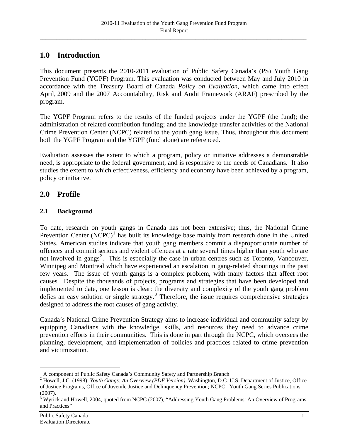# <span id="page-8-0"></span>**1.0 Introduction**

This document presents the 2010-2011 evaluation of Public Safety Canada's (PS) Youth Gang Prevention Fund (YGPF) Program. This evaluation was conducted between May and July 2010 in accordance with the Treasury Board of Canada *Policy on Evaluation*, which came into effect April, 2009 and the 2007 Accountability, Risk and Audit Framework (ARAF) prescribed by the program.

The YGPF Program refers to the results of the funded projects under the YGPF (the fund); the administration of related contribution funding; and the knowledge transfer activities of the National Crime Prevention Center (NCPC) related to the youth gang issue. Thus, throughout this document both the YGPF Program and the YGPF (fund alone) are referenced.

Evaluation assesses the extent to which a program, policy or initiative addresses a demonstrable need, is appropriate to the federal government, and is responsive to the needs of Canadians. It also studies the extent to which effectiveness, efficiency and economy have been achieved by a program, policy or initiative.

# **2.0 Profile**

# **2.1 Background**

To date, research on youth gangs in Canada has not been extensive; thus, the National Crime Prevention Center  $(NCPC)^1$  $(NCPC)^1$  has built its knowledge base mainly from research done in the United States. American studies indicate that youth gang members commit a disproportionate number of offences and commit serious and violent offences at a rate several times higher than youth who are not involved in gangs<sup>[2](#page-8-2)</sup>. This is especially the case in urban centres such as Toronto, Vancouver, Winnipeg and Montreal which have experienced an escalation in gang-related shootings in the past few years. The issue of youth gangs is a complex problem, with many factors that affect root causes. Despite the thousands of projects, programs and strategies that have been developed and implemented to date, one lesson is clear: the diversity and complexity of the youth gang problem defies an easy solution or single strategy.<sup>[3](#page-8-3)</sup> Therefore, the issue requires comprehensive strategies designed to address the root causes of gang activity.

Canada's National Crime Prevention Strategy aims to increase individual and community safety by equipping Canadians with the knowledge, skills, and resources they need to advance crime prevention efforts in their communities. This is done in part through the NCPC, which oversees the planning, development, and implementation of policies and practices related to crime prevention and victimization.

<sup>&</sup>lt;sup>1</sup> A component of Public Safety Canada's Community Safety and Partnership Branch

<sup>2</sup> Howell, J.C. (1998). *Youth Gangs: An Overview (PDF Version)*. Washington, D.C.:U.S. Department of Justice, Office of Justice Programs, Office of Juvenile Justice and Delinquency Prevention; NCPC –Youth Gang Series Publications (2007).

<span id="page-8-3"></span><span id="page-8-2"></span><span id="page-8-1"></span><sup>&</sup>lt;sup>3</sup> Wyrick and Howell, 2004, quoted from NCPC (2007), "Addressing Youth Gang Problems: An Overview of Programs and Practices"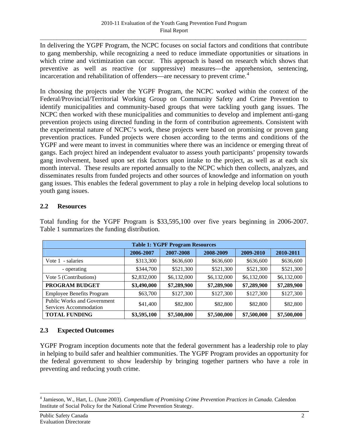<span id="page-9-0"></span>In delivering the YGPF Program, the NCPC focuses on social factors and conditions that contribute to gang membership, while recognizing a need to reduce immediate opportunities or situations in which crime and victimization can occur. This approach is based on research which shows that preventive as well as reactive (or suppressive) measures—the apprehension, sentencing, incarceration and rehabilitation of offenders—are necessary to prevent crime.<sup>[4](#page-9-1)</sup>

In choosing the projects under the YGPF Program, the NCPC worked within the context of the Federal/Provincial/Territorial Working Group on Community Safety and Crime Prevention to identify municipalities and community-based groups that were tackling youth gang issues. The NCPC then worked with these municipalities and communities to develop and implement anti-gang prevention projects using directed funding in the form of contribution agreements. Consistent with the experimental nature of NCPC's work, these projects were based on promising or proven gang prevention practices. Funded projects were chosen according to the terms and conditions of the YGPF and were meant to invest in communities where there was an incidence or emerging threat of gangs. Each project hired an independent evaluator to assess youth participants' propensity towards gang involvement, based upon set risk factors upon intake to the project, as well as at each six month interval. These results are reported annually to the NCPC which then collects, analyzes, and disseminates results from funded projects and other sources of knowledge and information on youth gang issues. This enables the federal government to play a role in helping develop local solutions to youth gang issues.

### **2.2 Resources**

| <b>Table 1: YGPF Program Resources</b>                       |             |             |             |             |             |  |
|--------------------------------------------------------------|-------------|-------------|-------------|-------------|-------------|--|
|                                                              | 2006-2007   | 2007-2008   | 2008-2009   | 2009-2010   | 2010-2011   |  |
| Vote 1<br>- salaries                                         | \$313,300   | \$636,600   | \$636,600   | \$636,600   | \$636,600   |  |
| - operating                                                  | \$344,700   | \$521,300   | \$521,300   | \$521,300   | \$521,300   |  |
| Vote 5 (Contributions)                                       | \$2,832,000 | \$6,132,000 | \$6,132,000 | \$6,132,000 | \$6,132,000 |  |
| PROGRAM BUDGET                                               | \$3,490,000 | \$7,289,900 | \$7,289,900 | \$7,289,900 | \$7,289,900 |  |
| <b>Employee Benefits Program</b>                             | \$63,700    | \$127,300   | \$127,300   | \$127,300   | \$127,300   |  |
| <b>Public Works and Government</b><br>Services Accommodation | \$41,400    | \$82,800    | \$82,800    | \$82,800    | \$82,800    |  |
| <b>TOTAL FUNDING</b>                                         | \$3,595,100 | \$7,500,000 | \$7,500,000 | \$7,500,000 | \$7,500,000 |  |

Total funding for the YGPF Program is \$33,595,100 over five years beginning in 2006-2007. Table 1 summarizes the funding distribution.

# **2.3 Expected Outcomes**

YGPF Program inception documents note that the federal government has a leadership role to play in helping to build safer and healthier communities. The YGPF Program provides an opportunity for the federal government to show leadership by bringing together partners who have a role in preventing and reducing youth crime.

<span id="page-9-1"></span><sup>4</sup> Jamieson, W., Hart, L. (June 2003). *Compendium of Promising Crime Prevention Practices in Canada.* Calendon Institute of Social Policy for the National Crime Prevention Strategy.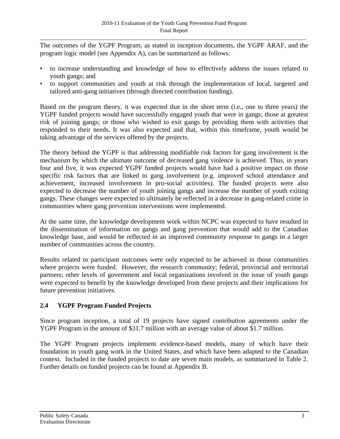<span id="page-10-0"></span>The outcomes of the YGPF Program, as stated in inception documents, the YGPF ARAF, and the program logic model (see Appendix A), can be summarized as follows:

- to increase understanding and knowledge of how to effectively address the issues related to youth gangs; and
- to support communities and youth at risk through the implementation of local, targeted and tailored anti-gang initiatives (through directed contribution funding).

Based on the program theory, it was expected that in the short term (i.e., one to three years) the YGPF funded projects would have successfully engaged youth that were in gangs; those at greatest risk of joining gangs; or those who wished to exit gangs by providing them with activities that responded to their needs. It was also expected and that, within this timeframe, youth would be taking advantage of the services offered by the projects.

The theory behind the YGPF is that addressing modifiable risk factors for gang involvement is the mechanism by which the ultimate outcome of decreased gang violence is achieved. Thus, in years four and five, it was expected YGPF funded projects would have had a positive impact on those specific risk factors that are linked to gang involvement (e.g. improved school attendance and achievement, increased involvement in pro-social activities). The funded projects were also expected to decrease the number of youth joining gangs and increase the number of youth exiting gangs. These changes were expected to ultimately be reflected in a decrease in gang-related crime in communities where gang prevention interventions were implemented.

At the same time, the knowledge development work within NCPC was expected to have resulted in the dissemination of information on gangs and gang prevention that would add to the Canadian knowledge base, and would be reflected in an improved community response to gangs in a larger number of communities across the country.

Results related to participant outcomes were only expected to be achieved in those communities where projects were funded. However, the research community; federal, provincial and territorial partners; other levels of government and local organizations involved in the issue of youth gangs were expected to benefit by the knowledge developed from these projects and their implications for future prevention initiatives.

### **2.4 YGPF Program Funded Projects**

Since program inception, a total of 19 projects have signed contribution agreements under the YGPF Program in the amount of \$31.7 million with an average value of about \$1.7 million.

The YGPF Program projects implement evidence-based models, many of which have their foundation in youth gang work in the United States, and which have been adapted to the Canadian context. Included in the funded projects to date are seven main models, as summarized in Table 2. Further details on funded projects can be found at Appendix B.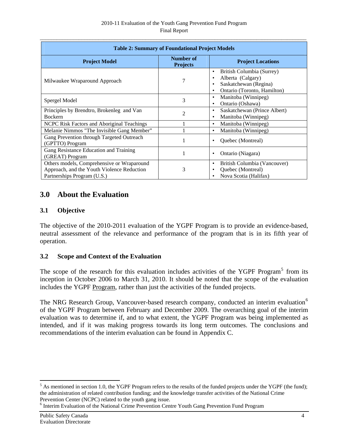<span id="page-11-0"></span>

| <b>Table 2: Summary of Foundational Project Models</b>                                                                  |                                     |                                                                                                                                       |  |  |  |
|-------------------------------------------------------------------------------------------------------------------------|-------------------------------------|---------------------------------------------------------------------------------------------------------------------------------------|--|--|--|
| <b>Project Model</b>                                                                                                    | <b>Number of</b><br><b>Projects</b> | <b>Project Locations</b>                                                                                                              |  |  |  |
| Milwaukee Wraparound Approach                                                                                           | 7                                   | British Columbia (Surrey)<br>$\bullet$<br>Alberta (Calgary)<br>٠<br>Saskatchewan (Regina)<br>Ontario (Toronto, Hamilton)<br>$\bullet$ |  |  |  |
| Spergel Model                                                                                                           | 3                                   | Manitoba (Winnipeg)<br>$\bullet$<br>Ontario (Oshawa)<br>$\bullet$                                                                     |  |  |  |
| Principles by Brendtro, Brokenleg and Van<br><b>Bockern</b>                                                             | $\overline{c}$                      | Saskatchewan (Prince Albert)<br>$\bullet$<br>Manitoba (Winnipeg)<br>$\bullet$                                                         |  |  |  |
| NCPC Risk Factors and Aboriginal Teachings                                                                              |                                     | Manitoba (Winnipeg)<br>$\bullet$                                                                                                      |  |  |  |
| Melanie Nimmos "The Invisible Gang Member"                                                                              |                                     | Manitoba (Winnipeg)<br>$\bullet$                                                                                                      |  |  |  |
| Gang Prevention through Targeted Outreach<br>(GPTTO) Program                                                            | 1                                   | Quebec (Montreal)<br>٠                                                                                                                |  |  |  |
| Gang Resistance Education and Training<br>(GREAT) Program                                                               | 1                                   | Ontario (Niagara)<br>٠                                                                                                                |  |  |  |
| Others models, Comprehensive or Wraparound<br>Approach, and the Youth Violence Reduction<br>Partnerships Program (U.S.) | 3                                   | British Columbia (Vancouver)<br>$\bullet$<br>Quebec (Montreal)<br>$\bullet$<br>Nova Scotia (Halifax)<br>$\bullet$                     |  |  |  |

# **3.0 About the Evaluation**

# **3.1 Objective**

The objective of the 2010-2011 evaluation of the YGPF Program is to provide an evidence-based, neutral assessment of the relevance and performance of the program that is in its fifth year of operation.

# **3.2 Scope and Context of the Evaluation**

The scope of the research for this evaluation includes activities of the YGPF Program<sup>[5](#page-11-1)</sup> from its inception in October 2006 to March 31, 2010. It should be noted that the scope of the evaluation includes the YGPF Program, rather than just the activities of the funded projects.

The NRG Research Group, Vancouver-based research company, conducted an interim evaluation<sup>[6](#page-11-2)</sup> of the YGPF Program between February and December 2009. The overarching goal of the interim evaluation was to determine if, and to what extent, the YGPF Program was being implemented as intended, and if it was making progress towards its long term outcomes. The conclusions and recommendations of the interim evaluation can be found in Appendix C.

<u>.</u>

<span id="page-11-1"></span> $<sup>5</sup>$  As mentioned in section 1.0, the YGPF Program refers to the results of the funded projects under the YGPF (the fund);</sup> the administration of related contribution funding; and the knowledge transfer activities of the National Crime Prevention Center (NCPC) related to the youth gang issue.

<span id="page-11-2"></span><sup>&</sup>lt;sup>6</sup> Interim Evaluation of the National Crime Prevention Centre Youth Gang Prevention Fund Program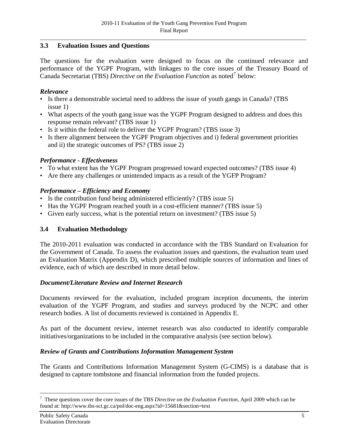# <span id="page-12-0"></span>**3.3 Evaluation Issues and Questions**

The questions for the evaluation were designed to focus on the continued relevance and performance of the YGPF Program, with linkages to the core issues of the Treasury Board of Canada Secretariat (TBS) *Directive on the Evaluation Function* as noted[7](#page-12-0) below:

### *Relevance*

- Is there a demonstrable societal need to address the issue of youth gangs in Canada? (TBS issue 1)
- What aspects of the youth gang issue was the YGPF Program designed to address and does this response remain relevant? (TBS issue 1)
- Is it within the federal role to deliver the YGPF Program? (TBS issue 3)
- Is there alignment between the YGPF Program objectives and i) federal government priorities and ii) the strategic outcomes of PS? (TBS issue 2)

## *Performance - Effectiveness*

- To what extent has the YGPF Program progressed toward expected outcomes? (TBS issue 4)
- Are there any challenges or unintended impacts as a result of the YGFP Program?

# *Performance – Efficiency and Economy*

- Is the contribution fund being administered efficiently? (TBS issue 5)
- Has the YGPF Program reached youth in a cost-efficient manner? (TBS issue 5)
- Given early success, what is the potential return on investment? (TBS issue 5)

# **3.4 Evaluation Methodology**

The 2010-2011 evaluation was conducted in accordance with the TBS Standard on Evaluation for the Government of Canada. To assess the evaluation issues and questions, the evaluation team used an Evaluation Matrix (Appendix D), which prescribed multiple sources of information and lines of evidence, each of which are described in more detail below.

### *Document/Literature Review and Internet Research*

Documents reviewed for the evaluation, included program inception documents, the interim evaluation of the YGPF Program, and studies and surveys produced by the NCPC and other research bodies. A list of documents reviewed is contained in Appendix E.

As part of the document review, internet research was also conducted to identify comparable initiatives/organizations to be included in the comparative analysis (see section below).

# *Review of Grants and Contributions Information Management System*

The Grants and Contributions Information Management System (G-CIMS) is a database that is designed to capture tombstone and financial information from the funded projects.

<sup>7</sup> These questions cover the core issues of the TBS *Directive on the Evaluation Function*, April 2009 which can be found at: http://www.tbs-sct.gc.ca/pol/doc-eng.aspx?id=15681&section=text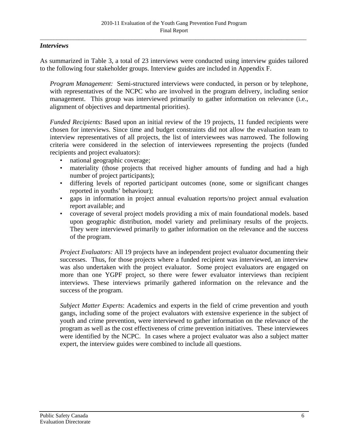### *Interviews*

As summarized in Table 3, a total of 23 interviews were conducted using interview guides tailored to the following four stakeholder groups. Interview guides are included in Appendix F.

*Program Management:* Semi-structured interviews were conducted, in person or by telephone, with representatives of the NCPC who are involved in the program delivery, including senior management. This group was interviewed primarily to gather information on relevance (i.e., alignment of objectives and departmental priorities).

*Funded Recipients:* Based upon an initial review of the 19 projects, 11 funded recipients were chosen for interviews. Since time and budget constraints did not allow the evaluation team to interview representatives of all projects, the list of interviewees was narrowed. The following criteria were considered in the selection of interviewees representing the projects (funded recipients and project evaluators):

- national geographic coverage;
- materiality (those projects that received higher amounts of funding and had a high number of project participants);
- differing levels of reported participant outcomes (none, some or significant changes reported in youths' behaviour);
- gaps in information in project annual evaluation reports/no project annual evaluation report available; and
- coverage of several project models providing a mix of main foundational models. based upon geographic distribution, model variety and preliminary results of the projects. They were interviewed primarily to gather information on the relevance and the success of the program.

*Project Evaluators:* All 19 projects have an independent project evaluator documenting their successes. Thus, for those projects where a funded recipient was interviewed, an interview was also undertaken with the project evaluator. Some project evaluators are engaged on more than one YGPF project, so there were fewer evaluator interviews than recipient interviews. These interviews primarily gathered information on the relevance and the success of the program.

*Subject Matter Experts*: Academics and experts in the field of crime prevention and youth gangs, including some of the project evaluators with extensive experience in the subject of youth and crime prevention, were interviewed to gather information on the relevance of the program as well as the cost effectiveness of crime prevention initiatives. These interviewees were identified by the NCPC. In cases where a project evaluator was also a subject matter expert, the interview guides were combined to include all questions.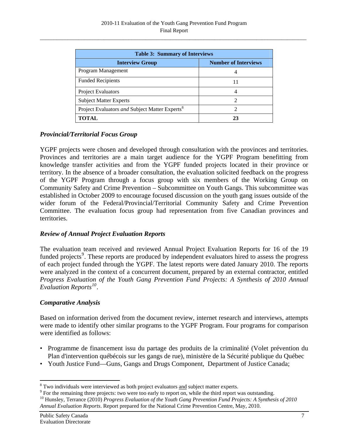<span id="page-14-0"></span>

| <b>Table 3: Summary of Interviews</b>                      |                             |  |  |
|------------------------------------------------------------|-----------------------------|--|--|
| <b>Interview Group</b>                                     | <b>Number of Interviews</b> |  |  |
| Program Management                                         | 4                           |  |  |
| <b>Funded Recipients</b>                                   | 11                          |  |  |
| <b>Project Evaluators</b>                                  | 4                           |  |  |
| <b>Subject Matter Experts</b>                              | $\mathcal{D}_{\mathcal{L}}$ |  |  |
| Project Evaluators and Subject Matter Experts <sup>8</sup> | $\mathcal{D}$               |  |  |
| <b>TOTAL</b>                                               | 23                          |  |  |

## *Provincial/Territorial Focus Group*

YGPF projects were chosen and developed through consultation with the provinces and territories. Provinces and territories are a main target audience for the YGPF Program benefitting from knowledge transfer activities and from the YGPF funded projects located in their province or territory. In the absence of a broader consultation, the evaluation solicited feedback on the progress of the YGPF Program through a focus group with six members of the Working Group on Community Safety and Crime Prevention – Subcommittee on Youth Gangs. This subcommittee was established in October 2009 to encourage focused discussion on the youth gang issues outside of the wider forum of the Federal/Provincial/Territorial Community Safety and Crime Prevention Committee. The evaluation focus group had representation from five Canadian provinces and territories.

### *Review of Annual Project Evaluation Reports*

The evaluation team received and reviewed Annual Project Evaluation Reports for 16 of the 19 funded projects<sup>[9](#page-14-0)</sup>. These reports are produced by independent evaluators hired to assess the progress of each project funded through the YGPF. The latest reports were dated January 2010. The reports were analyzed in the context of a concurrent document, prepared by an external contractor, entitled *Progress Evaluation of the Youth Gang Prevention Fund Projects: A Synthesis of 2010 Annual Evaluation Reports[10](#page-14-0)*.

#### *Comparative Analysis*

Based on information derived from the document review, internet research and interviews, attempts were made to identify other similar programs to the YGPF Program. Four programs for comparison were identified as follows:

- Programme de financement issu du partage des produits de la criminalité (Volet prévention du Plan d'intervention québécois sur les gangs de rue), ministère de la Sécurité publique du Québec
- Youth Justice Fund—Guns, Gangs and Drugs Component, Department of Justice Canada;

 $\frac{8}{9}$  Two individuals were interviewed as both project evaluators and subject matter experts.

 $\degree$  For the remaining three projects: two were too early to report on, while the third report was outstanding.<br><sup>10</sup> Hunsley, Terrance (2010) *Progress Evaluation of the Youth Gang Prevention Fund Projects: A Synthesis of* 

*Annual Evaluation Reports*. Report prepared for the National Crime Prevention Centre, May, 2010.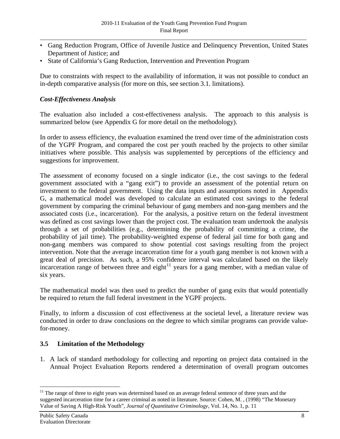- <span id="page-15-0"></span>• Gang Reduction Program, Office of Juvenile Justice and Delinquency Prevention, United States Department of Justice; and
- State of California's Gang Reduction, Intervention and Prevention Program

Due to constraints with respect to the availability of information, it was not possible to conduct an in-depth comparative analysis (for more on this, see section 3.1. limitations).

## *Cost-Effectiveness Analysis*

The evaluation also included a cost-effectiveness analysis. The approach to this analysis is summarized below (see Appendix G for more detail on the methodology).

In order to assess efficiency, the evaluation examined the trend over time of the administration costs of the YGPF Program, and compared the cost per youth reached by the projects to other similar initiatives where possible. This analysis was supplemented by perceptions of the efficiency and suggestions for improvement.

The assessment of economy focused on a single indicator (i.e., the cost savings to the federal government associated with a "gang exit") to provide an assessment of the potential return on investment to the federal government. Using the data inputs and assumptions noted in Appendix G, a mathematical model was developed to calculate an estimated cost savings to the federal government by comparing the criminal behaviour of gang members and non-gang members and the associated costs (i.e., incarceration). For the analysis, a positive return on the federal investment was defined as cost savings lower than the project cost. The evaluation team undertook the analysis through a set of probabilities (e.g., determining the probability of committing a crime, the probability of jail time). The probability-weighted expense of federal jail time for both gang and non-gang members was compared to show potential cost savings resulting from the project intervention. Note that the average incarceration time for a youth gang member is not known with a great deal of precision. As such, a 95% confidence interval was calculated based on the likely incarceration range of between three and eight<sup>[11](#page-15-0)</sup> years for a gang member, with a median value of six years.

The mathematical model was then used to predict the number of gang exits that would potentially be required to return the full federal investment in the YGPF projects.

Finally, to inform a discussion of cost effectiveness at the societal level, a literature review was conducted in order to draw conclusions on the degree to which similar programs can provide valuefor-money.

### **3.5 Limitation of the Methodology**

1. A lack of standard methodology for collecting and reporting on project data contained in the Annual Project Evaluation Reports rendered a determination of overall program outcomes

 $\overline{a}$ <sup>11</sup> The range of three to eight years was determined based on an average federal sentence of three years and the suggested incarceration time for a career criminal as noted in literature. Source: Cohen, M. , (1998) "The Monetary Value of Saving A High-Risk Youth"*, Journal of Quantitative Criminology*, Vol. 14, No. 1, p. 11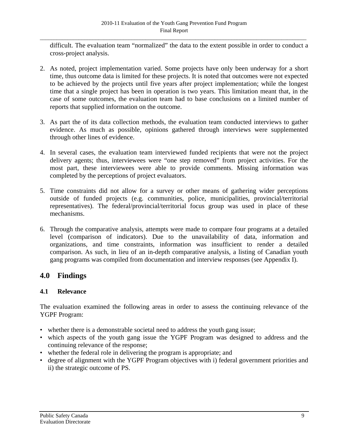<span id="page-16-0"></span>difficult. The evaluation team "normalized" the data to the extent possible in order to conduct a cross-project analysis.

- 2. As noted, project implementation varied. Some projects have only been underway for a short time, thus outcome data is limited for these projects. It is noted that outcomes were not expected to be achieved by the projects until five years after project implementation; while the longest time that a single project has been in operation is two years. This limitation meant that, in the case of some outcomes, the evaluation team had to base conclusions on a limited number of reports that supplied information on the outcome.
- 3. As part the of its data collection methods, the evaluation team conducted interviews to gather evidence. As much as possible, opinions gathered through interviews were supplemented through other lines of evidence.
- 4. In several cases, the evaluation team interviewed funded recipients that were not the project delivery agents; thus, interviewees were "one step removed" from project activities. For the most part, these interviewees were able to provide comments. Missing information was completed by the perceptions of project evaluators.
- 5. Time constraints did not allow for a survey or other means of gathering wider perceptions outside of funded projects (e.g. communities, police, municipalities, provincial/territorial representatives). The federal/provincial/territorial focus group was used in place of these mechanisms.
- 6. Through the comparative analysis, attempts were made to compare four programs at a detailed level (comparison of indicators). Due to the unavailability of data, information and organizations, and time constraints, information was insufficient to render a detailed comparison. As such, in lieu of an in-depth comparative analysis, a listing of Canadian youth gang programs was compiled from documentation and interview responses (see Appendix I).

# **4.0 Findings**

# **4.1 Relevance**

The evaluation examined the following areas in order to assess the continuing relevance of the YGPF Program:

- whether there is a demonstrable societal need to address the youth gang issue;
- which aspects of the youth gang issue the YGPF Program was designed to address and the continuing relevance of the response;
- whether the federal role in delivering the program is appropriate; and
- degree of alignment with the YGPF Program objectives with i) federal government priorities and ii) the strategic outcome of PS.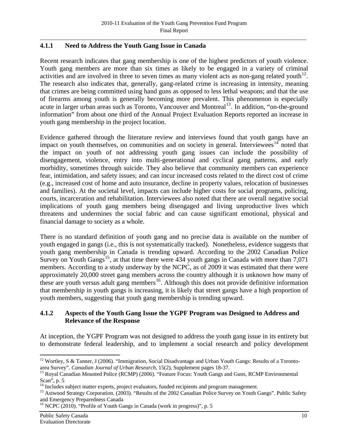## <span id="page-17-0"></span>**4.1.1 Need to Address the Youth Gang Issue in Canada**

Recent research indicates that gang membership is one of the highest predictors of youth violence. Youth gang members are more than six times as likely to be engaged in a variety of criminal activities and are involved in three to seven times as many violent acts as non-gang related youth<sup>[12](#page-17-0)</sup>. The research also indicates that, generally, gang-related crime is increasing in intensity, meaning that crimes are being committed using hand guns as opposed to less lethal weapons; and that the use of firearms among youth is generally becoming more prevalent. This phenomenon is especially acute in larger urban areas such as Toronto, Vancouver and Montreal<sup>[13](#page-17-0)</sup>. In addition, "on-the-ground information" from about one third of the Annual Project Evaluation Reports reported an increase in youth gang membership in the project location.

Evidence gathered through the literature review and interviews found that youth gangs have an impact on youth themselves, on communities and on society in general. Interviewees $14$  noted that the impact on youth of not addressing youth gang issues can include the possibility of disengagement, violence, entry into multi-generational and cyclical gang patterns, and early morbidity, sometimes through suicide. They also believe that community members can experience fear, intimidation, and safety issues; and can incur increased costs related to the direct cost of crime (e.g., increased cost of home and auto insurance, decline in property values, relocation of businesses and families). At the societal level, impacts can include higher costs for social programs, policing, courts, incarceration and rehabilitation. Interviewees also noted that there are overall negative social implications of youth gang members being disengaged and living unproductive lives which threatens and undermines the social fabric and can cause significant emotional, physical and financial damage to society as a whole.

There is no standard definition of youth gang and no precise data is available on the number of youth engaged in gangs (i.e., this is not systematically tracked). Nonetheless, evidence suggests that youth gang membership in Canada is trending upward. According to the 2002 Canadian Police Survey on Youth Gangs<sup>[15](#page-17-0)</sup>, at that time there were  $\overline{434}$  youth gangs in Canada with more than 7,071 members. According to a study underway by the NCPC, as of 2009 it was estimated that there were approximately 20,000 street gang members across the country although it is unknown how many of these are youth versus adult gang members<sup>[16](#page-17-0)</sup>. Although this does not provide definitive information that membership in youth gangs is increasing, it is likely that street gangs have a high proportion of youth members, suggesting that youth gang membership is trending upward.

### **4.1.2 Aspects of the Youth Gang Issue the YGPF Program was Designed to Address and Relevance of the Response**

At inception, the YGPF Program was not designed to address the youth gang issue in its entirety but to demonstrate federal leadership, and to implement a social research and policy development

<sup>&</sup>lt;sup>12</sup> Wortley, S & Tanner, J (2006). "Immigration, Social Disadvantage and Urban Youth Gangs: Results of a Toronto-<br>area Survey". Canadian Journal of Urban Research, 15(2), Supplement pages 18-37.

<sup>&</sup>lt;sup>13</sup> Royal Canadian Mounted Police (RCMP) (2006). "Feature Focus: Youth Gangs and Guns, RCMP Environmental Scan", p. 5

Includes subject matter experts, project evaluators, funded recipients and program management.

<sup>&</sup>lt;sup>15</sup> Astwood Strategy Corporation. (2003). "Results of the 2002 Canadian Police Survey on Youth Gangs". Public Safety and Emergency Preparedness Canada

<sup>&</sup>lt;sup>16</sup> NCPC (2010). "Profile of Youth Gangs in Canada (work in progress)", p. 5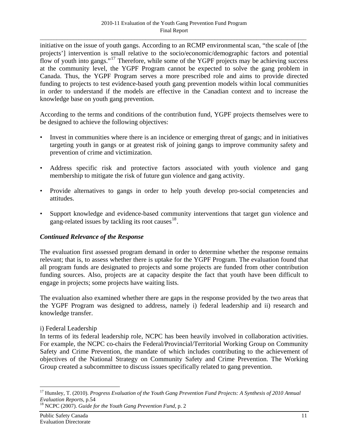<span id="page-18-0"></span>initiative on the issue of youth gangs. According to an RCMP environmental scan, "the scale of [the projects'] intervention is small relative to the socio/economic/demographic factors and potential flow of youth into gangs."<sup>[17](#page-18-0)</sup> Therefore, while some of the YGPF projects may be achieving success at the community level, the YGPF Program cannot be expected to solve the gang problem in Canada. Thus, the YGPF Program serves a more prescribed role and aims to provide directed funding to projects to test evidence-based youth gang prevention models within local communities in order to understand if the models are effective in the Canadian context and to increase the knowledge base on youth gang prevention.

According to the terms and conditions of the contribution fund, YGPF projects themselves were to be designed to achieve the following objectives:

- Invest in communities where there is an incidence or emerging threat of gangs; and in initiatives targeting youth in gangs or at greatest risk of joining gangs to improve community safety and prevention of crime and victimization.
- Address specific risk and protective factors associated with youth violence and gang membership to mitigate the risk of future gun violence and gang activity.
- Provide alternatives to gangs in order to help youth develop pro-social competencies and attitudes.
- Support knowledge and evidence-based community interventions that target gun violence and gang-related issues by tackling its root causes  $18$ .

### *Continued Relevance of the Response*

The evaluation first assessed program demand in order to determine whether the response remains relevant; that is, to assess whether there is uptake for the YGPF Program. The evaluation found that all program funds are designated to projects and some projects are funded from other contribution funding sources. Also, projects are at capacity despite the fact that youth have been difficult to engage in projects; some projects have waiting lists.

The evaluation also examined whether there are gaps in the response provided by the two areas that the YGPF Program was designed to address, namely i) federal leadership and ii) research and knowledge transfer.

### i) Federal Leadership

In terms of its federal leadership role, NCPC has been heavily involved in collaboration activities. For example, the NCPC co-chairs the Federal/Provincial/Territorial Working Group on Community Safety and Crime Prevention, the mandate of which includes contributing to the achievement of objectives of the National Strategy on Community Safety and Crime Prevention. The Working Group created a subcommittee to discuss issues specifically related to gang prevention.

<sup>17</sup> Hunsley, T. (2010). *Progress Evaluation of the Youth Gang Prevention Fund Projects: A Synthesis of 2010 Annual Evaluation Reports*, p.54<br><sup>18</sup> NCPC (2007). *Guide for the Youth Gang Prevention Fund*, p. 2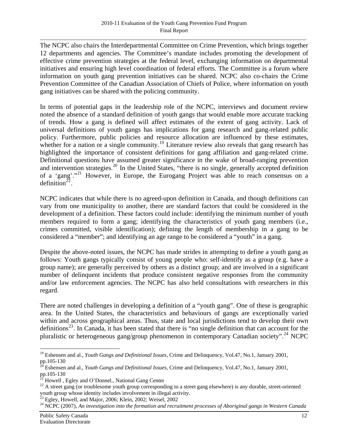<span id="page-19-0"></span>The NCPC also chairs the Interdepartmental Committee on Crime Prevention, which brings together 12 departments and agencies. The Committee's mandate includes promoting the development of effective crime prevention strategies at the federal level, exchanging information on departmental initiatives and ensuring high level coordination of federal efforts. The Committee is a forum where information on youth gang prevention initiatives can be shared. NCPC also co-chairs the Crime Prevention Committee of the Canadian Association of Chiefs of Police, where information on youth gang initiatives can be shared with the policing community.

In terms of potential gaps in the leadership role of the NCPC, interviews and document review noted the absence of a standard definition of youth gangs that would enable more accurate tracking of trends. How a gang is defined will affect estimates of the extent of gang activity. Lack of universal definitions of youth gangs has implications for gang research and gang-related public policy. Furthermore, public policies and resource allocation are influenced by these estimates, whether for a nation or a single community.<sup>[19](#page-19-0)</sup> Literature review also reveals that gang research has highlighted the importance of consistent definitions for gang affiliation and gang-related crime. Definitional questions have assumed greater significance in the wake of broad-ranging prevention and intervention strategies.<sup>[20](#page-19-0)</sup> In the United States, "there is no single, generally accepted definition of a 'gang'."[21](#page-19-0) However, in Europe, the Eurogang Project was able to reach consensus on a definition<sup>[22](#page-19-0)</sup>.

NCPC indicates that while there is no agreed-upon definition in Canada, and though definitions can vary from one municipality to another, there are standard factors that could be considered in the development of a definition. These factors could include: identifying the minimum number of youth members required to form a gang; identifying the characteristics of youth gang members (i.e., crimes committed, visible identification); defining the length of membership in a gang to be considered a "member"; and identifying an age range to be considered a "youth" in a gang.

Despite the above-noted issues, the NCPC has made strides in attempting to define a youth gang as follows: Youth gangs typically consist of young people who: self-identify as a group (e.g. have a group name); are generally perceived by others as a distinct group; and are involved in a significant number of delinquent incidents that produce consistent negative responses from the community and/or law enforcement agencies. The NCPC has also held consultations with researchers in this regard.

There are noted challenges in developing a definition of a "youth gang". One of these is geographic area. In the United States, the characteristics and behaviours of gangs are exceptionally varied within and across geographical areas. Thus, state and local jurisdictions tend to develop their own definitions<sup>[23](#page-19-0)</sup>. In Canada, it has been stated that there is "no single definition that can account for the pluralistic or heterogeneous gang/group phenomenon in contemporary Canadian society".<sup>[24](#page-19-0)</sup> NCPC

<sup>19</sup> Esbensen and al., *Youth Gangs and Definitional Issues*, Crime and Delinquency, Vol.47, No.1, January 2001, pp.105-130

<sup>20</sup> Esbensen and al., *Youth Gangs and Definitional Issues*, Crime and Delinquency, Vol.47, No.1, January 2001, pp.105-130

Howell, Egley and O'Donnel., National Gang Center

<sup>&</sup>lt;sup>22</sup> A street gang (or troublesome youth group corresponding to a street gang elsewhere) is any durable, street-oriented youth group whose identity includes involvement in illegal activity.

 $^{23}$  Egley, Howell, and Major, 2006; Klein, 2002; Weisel, 2002

<sup>24</sup> NCPC (2007), *An investigation into the formation and recruitment processes of Aboriginal gangs in Western Canada*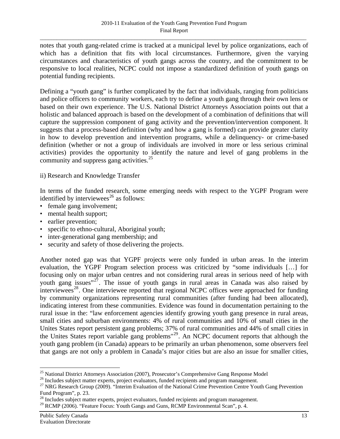<span id="page-20-0"></span>notes that youth gang-related crime is tracked at a municipal level by police organizations, each of which has a definition that fits with local circumstances. Furthermore, given the varying circumstances and characteristics of youth gangs across the country, and the commitment to be responsive to local realities, NCPC could not impose a standardized definition of youth gangs on potential funding recipients.

Defining a "youth gang" is further complicated by the fact that individuals, ranging from politicians and police officers to community workers, each try to define a youth gang through their own lens or based on their own experience. The U.S. National District Attorneys Association points out that a holistic and balanced approach is based on the development of a combination of definitions that will capture the suppression component of gang activity and the prevention/intervention component. It suggests that a process-based definition (why and how a gang is formed) can provide greater clarity in how to develop prevention and intervention programs, while a delinquency- or crime-based definition (whether or not a group of individuals are involved in more or less serious criminal activities) provides the opportunity to identify the nature and level of gang problems in the community and suppress gang activities.<sup>[25](#page-20-0)</sup>

### ii) Research and Knowledge Transfer

In terms of the funded research, some emerging needs with respect to the YGPF Program were identified by interviewees<sup>[26](#page-20-0)</sup> as follows:

- female gang involvement;
- mental health support;
- earlier prevention;
- specific to ethno-cultural, Aboriginal youth;
- inter-generational gang membership; and
- security and safety of those delivering the projects.

Another noted gap was that YGPF projects were only funded in urban areas. In the interim evaluation, the YGPF Program selection process was criticized by "some individuals […] for focusing only on major urban centres and not considering rural areas in serious need of help with youth gang issues" $27$ . The issue of youth gangs in rural areas in Canada was also raised by  $interviewses<sup>28</sup>$  $interviewses<sup>28</sup>$  $interviewses<sup>28</sup>$ . One interviewee reported that regional NCPC offices were approached for funding by community organizations representing rural communities (after funding had been allocated), indicating interest from these communities. Evidence was found in documentation pertaining to the rural issue in the: "law enforcement agencies identify growing youth gang presence in rural areas, small cities and suburban environments: 4% of rural communities and 10% of small cities in the Unites States report persistent gang problems; 37% of rural communities and 44% of small cities in the Unites States report variable gang problems<sup>"[29](#page-20-0)</sup>. An NCPC document reports that although the youth gang problem (in Canada) appears to be primarily an urban phenomenon, some observers feel that gangs are not only a problem in Canada's major cities but are also an issue for smaller cities,

<sup>&</sup>lt;sup>25</sup> National District Attorneys Association (2007), Prosecutor's Comprehensive Gang Response Model

<sup>&</sup>lt;sup>26</sup> Includes subject matter experts, project evaluators, funded recipients and program management.

<sup>&</sup>lt;sup>27</sup> NRG Research Group (2009). "Interim Evaluation of the National Crime Prevention Centre Youth Gang Prevention Fund Program", p. 23.

<sup>&</sup>lt;sup>28</sup> Includes subject matter experts, project evaluators, funded recipients and program management.

<sup>&</sup>lt;sup>29</sup> RCMP (2006). "Feature Focus: Youth Gangs and Guns, RCMP Environmental Scan", p. 4.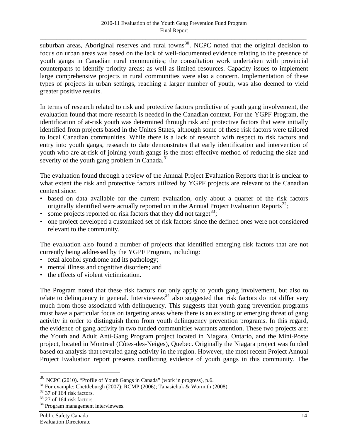<span id="page-21-0"></span>suburban areas, Aboriginal reserves and rural towns<sup>[30](#page-21-0)</sup>. NCPC noted that the original decision to focus on urban areas was based on the lack of well-documented evidence relating to the presence of youth gangs in Canadian rural communities; the consultation work undertaken with provincial counterparts to identify priority areas; as well as limited resources. Capacity issues to implement large comprehensive projects in rural communities were also a concern. Implementation of these types of projects in urban settings, reaching a larger number of youth, was also deemed to yield greater positive results.

In terms of research related to risk and protective factors predictive of youth gang involvement, the evaluation found that more research is needed in the Canadian context. For the YGPF Program, the identification of at-risk youth was determined through risk and protective factors that were initially identified from projects based in the Unites States, although some of these risk factors were tailored to local Canadian communities. While there is a lack of research with respect to risk factors and entry into youth gangs, research to date demonstrates that early identification and intervention of youth who are at-risk of joining youth gangs is the most effective method of reducing the size and severity of the youth gang problem in Canada.<sup>[31](#page-21-0)</sup>

The evaluation found through a review of the Annual Project Evaluation Reports that it is unclear to what extent the risk and protective factors utilized by YGPF projects are relevant to the Canadian context since:

- based on data available for the current evaluation, only about a quarter of the risk factors originally identified were actually reported on in the Annual Project Evaluation Reports<sup>[32](#page-21-0)</sup>;
- some projects reported on risk factors that they did not target  $33$ ;
- one project developed a customized set of risk factors since the defined ones were not considered relevant to the community.

The evaluation also found a number of projects that identified emerging risk factors that are not currently being addressed by the YGPF Program, including:

- fetal alcohol syndrome and its pathology;
- mental illness and cognitive disorders; and
- the effects of violent victimization.

The Program noted that these risk factors not only apply to youth gang involvement, but also to relate to delinquency in general. Interviewees<sup>[34](#page-21-0)</sup> also suggested that risk factors do not differ very much from those associated with delinquency. This suggests that youth gang prevention programs must have a particular focus on targeting areas where there is an existing or emerging threat of gang activity in order to distinguish them from youth delinquency prevention programs. In this regard, the evidence of gang activity in two funded communities warrants attention. These two projects are: the Youth and Adult Anti-Gang Program project located in Niagara, Ontario, and the Mini-Poste project, located in Montreal (Côtes-des-Neiges), Quebec. Originally the Niagara project was funded based on analysis that revealed gang activity in the region. However, the most recent Project Annual Project Evaluation report presents conflicting evidence of youth gangs in this community. The

<sup>&</sup>lt;sup>30</sup> NCPC (2010). "Profile of Youth Gangs in Canada" (work in progress), p.6.  $\frac{31}{100}$  For example: Chettleburgh (2007); RCMP (2006); Tanasichuk & Wormith (2008).

 $32$  37 of 164 risk factors.

 $33$  27 of 164 risk factors.

<sup>&</sup>lt;sup>34</sup> Program management interviewees.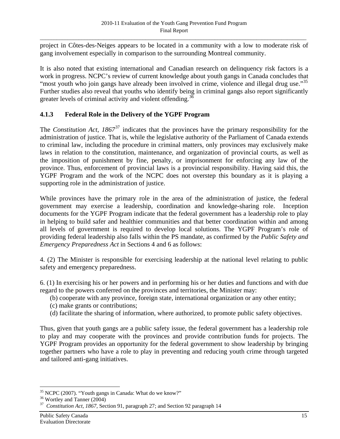<span id="page-22-0"></span>project in Côtes-des-Neiges appears to be located in a community with a low to moderate risk of gang involvement especially in comparison to the surrounding Montreal community.

It is also noted that existing international and Canadian research on delinquency risk factors is a work in progress. NCPC's review of current knowledge about youth gangs in Canada concludes that "most youth who join gangs have already been involved in crime, violence and illegal drug use."<sup>[35](#page-22-0)</sup> Further studies also reveal that youths who identify being in criminal gangs also report significantly greater levels of criminal activity and violent offending.<sup>[36](#page-22-0)</sup>

## **4.1.3 Federal Role in the Delivery of the YGPF Program**

The *Constitution Act, 1867*<sup>[37](#page-22-0)</sup> indicates that the provinces have the primary responsibility for the administration of justice. That is, while the legislative authority of the Parliament of Canada extends to criminal law, including the procedure in criminal matters, only provinces may exclusively make laws in relation to the constitution, maintenance, and organization of provincial courts, as well as the imposition of punishment by fine, penalty, or imprisonment for enforcing any law of the province. Thus, enforcement of provincial laws is a provincial responsibility. Having said this, the YGPF Program and the work of the NCPC does not overstep this boundary as it is playing a supporting role in the administration of justice.

While provinces have the primary role in the area of the administration of justice, the federal government may exercise a leadership, coordination and knowledge-sharing role. Inception documents for the YGPF Program indicate that the federal government has a leadership role to play in helping to build safer and healthier communities and that better coordination within and among all levels of government is required to develop local solutions. The YGPF Program's role of providing federal leadership also falls within the PS mandate, as confirmed by the *Public Safety and Emergency Preparedness Act* in Sections 4 and 6 as follows:

4. (2) The Minister is responsible for exercising leadership at the national level relating to public safety and emergency preparedness.

6. (1) In exercising his or her powers and in performing his or her duties and functions and with due regard to the powers conferred on the provinces and territories, the Minister may:

- (b) cooperate with any province, foreign state, international organization or any other entity;
- (c) make grants or contributions;
- (d) facilitate the sharing of information, where authorized, to promote public safety objectives.

Thus, given that youth gangs are a public safety issue, the federal government has a leadership role to play and may cooperate with the provinces and provide contribution funds for projects. The YGPF Program provides an opportunity for the federal government to show leadership by bringing together partners who have a role to play in preventing and reducing youth crime through targeted and tailored anti-gang initiatives.

 $\overline{a}$ <sup>35</sup> NCPC (2007). "Youth gangs in Canada: What do we know?"

<sup>36</sup> Wortley and Tanner (2004)

<sup>37</sup> *Constitution Act, 1867*, Section 91, paragraph 27; and Section 92 paragraph 14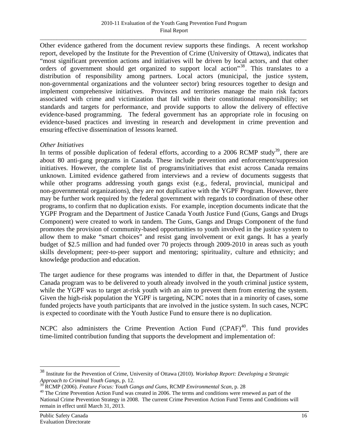<span id="page-23-0"></span>Other evidence gathered from the document review supports these findings. A recent workshop report, developed by the Institute for the Prevention of Crime (University of Ottawa), indicates that "most significant prevention actions and initiatives will be driven by local actors, and that other orders of government should get organized to support local action<sup>[38](#page-23-0)</sup>. This translates to a distribution of responsibility among partners. Local actors (municipal, the justice system, non-governmental organizations and the volunteer sector) bring resources together to design and implement comprehensive initiatives. Provinces and territories manage the main risk factors associated with crime and victimization that fall within their constitutional responsibility; set standards and targets for performance, and provide supports to allow the delivery of effective evidence-based programming. The federal government has an appropriate role in focusing on evidence-based practices and investing in research and development in crime prevention and ensuring effective dissemination of lessons learned.

### *Other Initiatives*

In terms of possible duplication of federal efforts, according to a 2006 RCMP study<sup>[39](#page-23-0)</sup>, there are about 80 anti-gang programs in Canada. These include prevention and enforcement/suppression initiatives. However, the complete list of programs/initiatives that exist across Canada remains unknown. Limited evidence gathered from interviews and a review of documents suggests that while other programs addressing youth gangs exist (e.g., federal, provincial, municipal and non-governmental organizations), they are not duplicative with the YGPF Program. However, there may be further work required by the federal government with regards to coordination of these other programs, to confirm that no duplication exists. For example, inception documents indicate that the YGPF Program and the Department of Justice Canada Youth Justice Fund (Guns, Gangs and Drugs Component) were created to work in tandem. The Guns, Gangs and Drugs Component of the fund promotes the provision of community-based opportunities to youth involved in the justice system to allow them to make "smart choices" and resist gang involvement or exit gangs. It has a yearly budget of \$2.5 million and had funded over 70 projects through 2009-2010 in areas such as youth skills development; peer-to-peer support and mentoring; spirituality, culture and ethnicity; and knowledge production and education.

The target audience for these programs was intended to differ in that, the Department of Justice Canada program was to be delivered to youth already involved in the youth criminal justice system, while the YGPF was to target at-risk youth with an aim to prevent them from entering the system. Given the high-risk population the YGPF is targeting, NCPC notes that in a minority of cases, some funded projects have youth participants that are involved in the justice system. In such cases, NCPC is expected to coordinate with the Youth Justice Fund to ensure there is no duplication.

NCPC also administers the Crime Prevention Action Fund  $(CPAF)^{40}$  $(CPAF)^{40}$  $(CPAF)^{40}$ . This fund provides time-limited contribution funding that supports the development and implementation of:

<sup>38</sup> Institute for the Prevention of Crime, University of Ottawa (2010). *Workshop Report: Developing a Strategic Approach to Criminal Youth Gangs*, p. 12.

<sup>&</sup>lt;sup>40</sup> The Crime Prevention Action Fund was created in 2006. The terms and conditions were renewed as part of the National Crime Prevention Strategy in 2008. The current Crime Prevention Action Fund Terms and Conditions will remain in effect until March 31, 2013.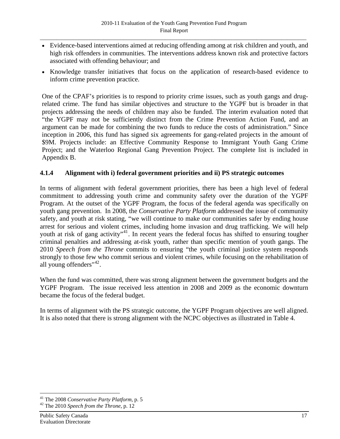- <span id="page-24-0"></span>• Evidence-based interventions aimed at reducing offending among at risk children and youth, and high risk offenders in communities. The interventions address known risk and protective factors associated with offending behaviour; and
- Knowledge transfer initiatives that focus on the application of research-based evidence to inform crime prevention practice.

One of the CPAF's priorities is to respond to priority crime issues, such as youth gangs and drugrelated crime. The fund has similar objectives and structure to the YGPF but is broader in that projects addressing the needs of children may also be funded. The interim evaluation noted that "the YGPF may not be sufficiently distinct from the Crime Prevention Action Fund, and an argument can be made for combining the two funds to reduce the costs of administration." Since inception in 2006, this fund has signed six agreements for gang-related projects in the amount of \$9M. Projects include: an Effective Community Response to Immigrant Youth Gang Crime Project; and the Waterloo Regional Gang Prevention Project. The complete list is included in Appendix B.

### **4.1.4 Alignment with i) federal government priorities and ii) PS strategic outcomes**

In terms of alignment with federal government priorities, there has been a high level of federal commitment to addressing youth crime and community safety over the duration of the YGPF Program. At the outset of the YGPF Program, the focus of the federal agenda was specifically on youth gang prevention. In 2008, the *Conservative Party Platform* addressed the issue of community safety, and youth at risk stating, "we will continue to make our communities safer by ending house arrest for serious and violent crimes, including home invasion and drug trafficking. We will help youth at risk of gang activity"<sup>[41](#page-24-0)</sup>. In recent years the federal focus has shifted to ensuring tougher criminal penalties and addressing at-risk youth, rather than specific mention of youth gangs. The 2010 *Speech from the Throne* commits to ensuring "the youth criminal justice system responds strongly to those few who commit serious and violent crimes, while focusing on the rehabilitation of all young offenders" $42$ .

When the fund was committed, there was strong alignment between the government budgets and the YGPF Program. The issue received less attention in 2008 and 2009 as the economic downturn became the focus of the federal budget.

In terms of alignment with the PS strategic outcome, the YGPF Program objectives are well aligned. It is also noted that there is strong alignment with the NCPC objectives as illustrated in Table 4.

<sup>41</sup> The 2008 *Conservative Party Platform*, p. 5 42 The 2010 *Speech from the Throne*, p. 12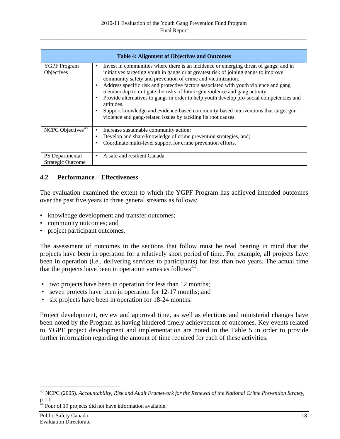<span id="page-25-0"></span>

|                                             | <b>Table 4: Alignment of Objectives and Outcomes</b>                                                                                                                                                                                                                                                                                                                                                                                                                                                                                                                                                                                                                                                                            |  |  |  |  |  |
|---------------------------------------------|---------------------------------------------------------------------------------------------------------------------------------------------------------------------------------------------------------------------------------------------------------------------------------------------------------------------------------------------------------------------------------------------------------------------------------------------------------------------------------------------------------------------------------------------------------------------------------------------------------------------------------------------------------------------------------------------------------------------------------|--|--|--|--|--|
| <b>YGPF</b> Program<br>Objectives           | Invest in communities where there is an incidence or emerging threat of gangs; and in<br>٠<br>initiatives targeting youth in gangs or at greatest risk of joining gangs to improve<br>community safety and prevention of crime and victimization.<br>Address specific risk and protective factors associated with youth violence and gang<br>$\bullet$<br>membership to mitigate the risks of future gun violence and gang activity.<br>Provide alternatives to gangs in order to help youth develop pro-social competencies and<br>$\bullet$<br>attitudes.<br>Support knowledge and evidence-based community-based interventions that target gun<br>$\bullet$<br>violence and gang-related issues by tackling its root causes. |  |  |  |  |  |
| NCPC Objectives <sup>43</sup>               | Increase sustainable community action;<br>٠<br>Develop and share knowledge of crime prevention strategies, and;<br>٠<br>Coordinate multi-level support for crime prevention efforts.<br>٠                                                                                                                                                                                                                                                                                                                                                                                                                                                                                                                                       |  |  |  |  |  |
| PS Departmental<br><b>Strategic Outcome</b> | A safe and resilient Canada<br>٠                                                                                                                                                                                                                                                                                                                                                                                                                                                                                                                                                                                                                                                                                                |  |  |  |  |  |

## **4.2 Performance – Effectiveness**

The evaluation examined the extent to which the YGPF Program has achieved intended outcomes over the past five years in three general streams as follows:

- knowledge development and transfer outcomes;
- community outcomes; and
- project participant outcomes.

The assessment of outcomes in the sections that follow must be read bearing in mind that the projects have been in operation for a relatively short period of time. For example, all projects have been in operation (i.e., delivering services to participants) for less than two years. The actual time that the projects have been in operation varies as follows<sup>[44](#page-25-0)</sup>:

- two projects have been in operation for less than 12 months;
- seven projects have been in operation for 12-17 months; and
- six projects have been in operation for 18-24 months.

Project development, review and approval time, as well as elections and ministerial changes have been noted by the Program as having hindered timely achievement of outcomes. Key events related to YGPF project development and implementation are noted in the Table 5 in order to provide further information regarding the amount of time required for each of these activities.

<sup>43</sup> NCPC (2005). *Accountability, Risk and Audit Framework for the Renewal of the National Crime Prevention Stratey*, p. 11

 $44$  Four of 19 projects did not have information available.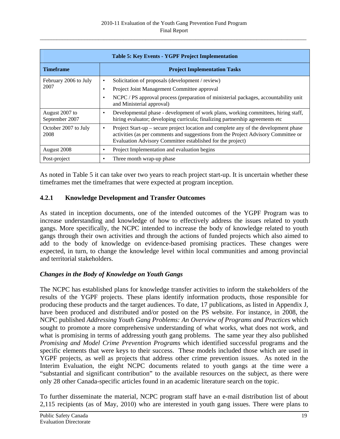<span id="page-26-0"></span>

| <b>Table 5: Key Events - YGPF Project Implementation</b> |                                                                                                                                                                                                                                               |  |  |  |  |
|----------------------------------------------------------|-----------------------------------------------------------------------------------------------------------------------------------------------------------------------------------------------------------------------------------------------|--|--|--|--|
| <b>Timeframe</b>                                         | <b>Project Implementation Tasks</b>                                                                                                                                                                                                           |  |  |  |  |
| February 2006 to July                                    | Solicitation of proposals (development / review)<br>٠                                                                                                                                                                                         |  |  |  |  |
| 2007                                                     | Project Joint Management Committee approval                                                                                                                                                                                                   |  |  |  |  |
|                                                          | NCPC / PS approval process (preparation of ministerial packages, accountability unit<br>and Ministerial approval)                                                                                                                             |  |  |  |  |
| August 2007 to<br>September 2007                         | Developmental phase - development of work plans, working committees, hiring staff,<br>٠<br>hiring evaluator; developing curricula; finalizing partnership agreements etc                                                                      |  |  |  |  |
| October 2007 to July<br>2008                             | Project Start-up – secure project location and complete any of the development phase<br>٠<br>activities (as per comments and suggestions from the Project Advisory Committee or<br>Evaluation Advisory Committee established for the project) |  |  |  |  |
| August 2008                                              | Project Implementation and evaluation begins<br>٠                                                                                                                                                                                             |  |  |  |  |
| Post-project                                             | Three month wrap-up phase<br>٠                                                                                                                                                                                                                |  |  |  |  |

As noted in Table 5 it can take over two years to reach project start-up. It is uncertain whether these timeframes met the timeframes that were expected at program inception.

## **4.2.1 Knowledge Development and Transfer Outcomes**

As stated in inception documents, one of the intended outcomes of the YGPF Program was to increase understanding and knowledge of how to effectively address the issues related to youth gangs. More specifically, the NCPC intended to increase the body of knowledge related to youth gangs through their own activities and through the actions of funded projects which also aimed to add to the body of knowledge on evidence-based promising practices. These changes were expected, in turn, to change the knowledge level within local communities and among provincial and territorial stakeholders.

### *Changes in the Body of Knowledge on Youth Gangs*

The NCPC has established plans for knowledge transfer activities to inform the stakeholders of the results of the YGPF projects. These plans identify information products, those responsible for producing these products and the target audiences. To date, 17 publications, as listed in Appendix J, have been produced and distributed and/or posted on the PS website. For instance, in 2008, the NCPC published *Addressing Youth Gang Problems: An Overview of Programs and Practices* which sought to promote a more comprehensive understanding of what works, what does not work, and what is promising in terms of addressing youth gang problems. The same year they also published *Promising and Model Crime Prevention Programs* which identified successful programs and the specific elements that were keys to their success. These models included those which are used in YGPF projects, as well as projects that address other crime prevention issues. As noted in the Interim Evaluation, the eight NCPC documents related to youth gangs at the time were a "substantial and significant contribution" to the available resources on the subject, as there were only 28 other Canada-specific articles found in an academic literature search on the topic.

To further disseminate the material, NCPC program staff have an e-mail distribution list of about 2,115 recipients (as of May, 2010) who are interested in youth gang issues. There were plans to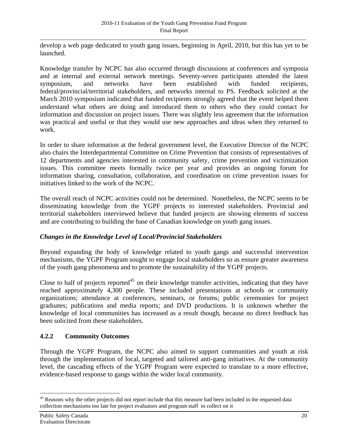<span id="page-27-0"></span>develop a web page dedicated to youth gang issues, beginning in April, 2010, but this has yet to be launched.

Knowledge transfer by NCPC has also occurred through discussions at conferences and symposia and at internal and external network meetings. Seventy-seven participants attended the latest symposium, and networks have been established with funded recipients, federal/provincial/territorial stakeholders, and networks internal to PS. Feedback solicited at the March 2010 symposium indicated that funded recipients strongly agreed that the event helped them understand what others are doing and introduced them to others who they could contact for information and discussion on project issues. There was slightly less agreement that the information was practical and useful or that they would use new approaches and ideas when they returned to work.

In order to share information at the federal government level, the Executive Director of the NCPC also chairs the Interdepartmental Committee on Crime Prevention that consists of representatives of 12 departments and agencies interested in community safety, crime prevention and victimization issues. This committee meets formally twice per year and provides an ongoing forum for information sharing, consultation, collaboration, and coordination on crime prevention issues for initiatives linked to the work of the NCPC.

The overall reach of NCPC activities could not be determined. Nonetheless, the NCPC seems to be disseminating knowledge from the YGPF projects to interested stakeholders. Provincial and territorial stakeholders interviewed believe that funded projects are showing elements of success and are contributing to building the base of Canadian knowledge on youth gang issues.

### *Changes in the Knowledge Level of Local/Provincial Stakeholders*

Beyond expanding the body of knowledge related to youth gangs and successful intervention mechanisms, the YGPF Program sought to engage local stakeholders so as ensure greater awareness of the youth gang phenomena and to promote the sustainability of the YGPF projects.

Close to half of projects reported<sup>[45](#page-27-0)</sup> on their knowledge transfer activities, indicating that they have reached approximately 4,300 people. These included presentations at schools or community organizations; attendance at conferences, seminars, or forums; public ceremonies for project graduates; publications and media reports; and DVD productions. It is unknown whether the knowledge of local communities has increased as a result though, because no direct feedback has been solicited from these stakeholders.

# **4.2.2 Community Outcomes**

Through the YGPF Program, the NCPC also aimed to support communities and youth at risk through the implementation of local, targeted and tailored anti-gang initiatives. At the community level, the cascading effects of the YGPF Program were expected to translate to a more effective, evidence-based response to gangs within the wider local community.

<sup>&</sup>lt;sup>45</sup> Reasons why the other projects did not report include that this measure had been included in the requested data collection mechanisms too late for project evaluators and program staff to collect on it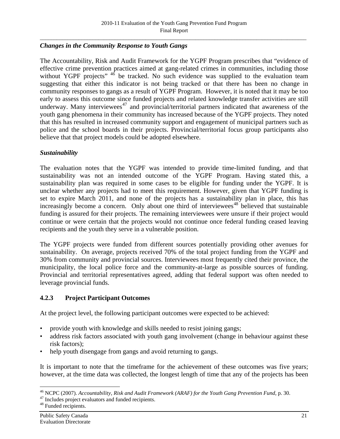# <span id="page-28-0"></span>*Changes in the Community Response to Youth Gangs*

The Accountability, Risk and Audit Framework for the YGPF Program prescribes that "evidence of effective crime prevention practices aimed at gang-related crimes in communities, including those without YGPF projects"  $46$  be tracked. No such evidence was supplied to the evaluation team suggesting that either this indicator is not being tracked or that there has been no change in community responses to gangs as a result of YGPF Program. However, it is noted that it may be too early to assess this outcome since funded projects and related knowledge transfer activities are still underway. Many interviewees<sup>[47](#page-28-0)</sup> and provincial/territorial partners indicated that awareness of the youth gang phenomena in their community has increased because of the YGPF projects. They noted that this has resulted in increased community support and engagement of municipal partners such as police and the school boards in their projects. Provincial/territorial focus group participants also believe that that project models could be adopted elsewhere.

## *Sustainability*

The evaluation notes that the YGPF was intended to provide time-limited funding, and that sustainability was not an intended outcome of the YGPF Program. Having stated this, a sustainability plan was required in some cases to be eligible for funding under the YGPF. It is unclear whether any projects had to meet this requirement. However, given that YGPF funding is set to expire March 2011, and none of the projects has a sustainability plan in place, this has increasingly become a concern. Only about one third of interviewees<sup>[48](#page-28-0)</sup> believed that sustainable funding is assured for their projects. The remaining interviewees were unsure if their project would continue or were certain that the projects would not continue once federal funding ceased leaving recipients and the youth they serve in a vulnerable position.

The YGPF projects were funded from different sources potentially providing other avenues for sustainability. On average, projects received 70% of the total project funding from the YGPF and 30% from community and provincial sources. Interviewees most frequently cited their province, the municipality, the local police force and the community-at-large as possible sources of funding. Provincial and territorial representatives agreed, adding that federal support was often needed to leverage provincial funds.

# **4.2.3 Project Participant Outcomes**

At the project level, the following participant outcomes were expected to be achieved:

- provide youth with knowledge and skills needed to resist joining gangs;
- address risk factors associated with youth gang involvement (change in behaviour against these risk factors);
- help youth disengage from gangs and avoid returning to gangs.

It is important to note that the timeframe for the achievement of these outcomes was five years; however, at the time data was collected, the longest length of time that any of the projects has been

 $\overline{a}$ <sup>46</sup> NCPC (2007). *Accountability, Risk and Audit Framework (ARAF) for the Youth Gang Prevention Fund, p. 30.* <sup>47</sup> Includes project evaluators and funded recipients.

<sup>48</sup> Funded recipients.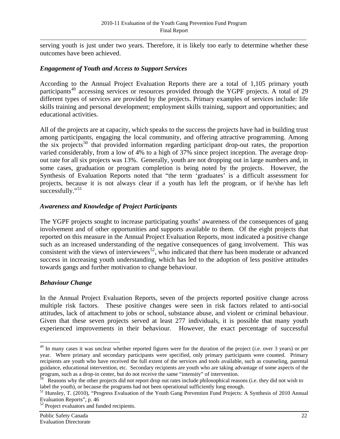<span id="page-29-0"></span>serving youth is just under two years. Therefore, it is likely too early to determine whether these outcomes have been achieved.

### *Engagement of Youth and Access to Support Services*

According to the Annual Project Evaluation Reports there are a total of 1,105 primary youth participants<sup>[49](#page-29-0)</sup> accessing services or resources provided through the YGPF projects. A total of 29 different types of services are provided by the projects. Primary examples of services include: life skills training and personal development; employment skills training, support and opportunities; and educational activities.

All of the projects are at capacity, which speaks to the success the projects have had in building trust among participants, engaging the local community, and offering attractive programming. Among the six projects<sup>[50](#page-29-0)</sup> that provided information regarding participant drop-out rates, the proportion varied considerably, from a low of 4% to a high of 37% since project inception. The average dropout rate for all six projects was 13%. Generally, youth are not dropping out in large numbers and, in some cases, graduation or program completion is being noted by the projects. However, the Synthesis of Evaluation Reports noted that "the term 'graduates' is a difficult assessment for projects, because it is not always clear if a youth has left the program, or if he/she has left  $s$ uccessfully."<sup>[51](#page-29-0)</sup>

### *Awareness and Knowledge of Project Participants*

The YGPF projects sought to increase participating youths' awareness of the consequences of gang involvement and of other opportunities and supports available to them. Of the eight projects that reported on this measure in the Annual Project Evaluation Reports, most indicated a positive change such as an increased understanding of the negative consequences of gang involvement. This was consistent with the views of interviewees<sup>[52](#page-29-0)</sup>, who indicated that there has been moderate or advanced success in increasing youth understanding, which has led to the adoption of less positive attitudes towards gangs and further motivation to change behaviour.

#### *Behaviour Change*

 $\overline{a}$ 

In the Annual Project Evaluation Reports, seven of the projects reported positive change across multiple risk factors. These positive changes were seen in risk factors related to anti-social attitudes, lack of attachment to jobs or school, substance abuse, and violent or criminal behaviour. Given that these seven projects served at least 277 individuals, it is possible that many youth experienced improvements in their behaviour. However, the exact percentage of successful

 $49$  In many cases it was unclear whether reported figures were for the duration of the project (i.e. over 3 years) or per year. Where primary and secondary participants were specified, only primary participants were counted. Primary recipients are youth who have received the full extent of the services and tools available, such as counseling, parental guidance, educational intervention, etc. Secondary recipients are youth who are taking advantage of some aspects of the program, such as a drop-in center, but do not receive the same "intensity" of intervention.<br><sup>50</sup> Reasons why the other projects did not report drop out rates include philosophical reasons (i.e. they did not wish to

label the youth), or because the programs had not been operational sufficiently long enough.

<sup>&</sup>lt;sup>51</sup> Hunsley, T. (2010), "Progress Evaluation of the Youth Gang Prevention Fund Projects: A Synthesis of 2010 Annual Evaluation Reports", p. 46

 $52$  Project evaluators and funded recipients.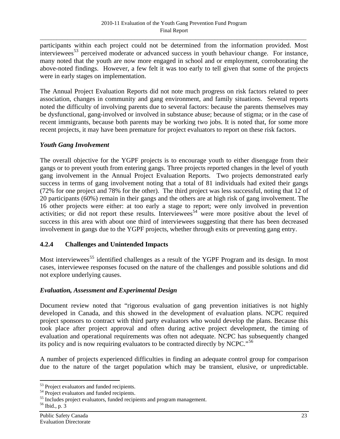<span id="page-30-0"></span>participants within each project could not be determined from the information provided. Most interviewees<sup>[53](#page-30-0)</sup> perceived moderate or advanced success in youth behaviour change. For instance, many noted that the youth are now more engaged in school and or employment, corroborating the above-noted findings. However, a few felt it was too early to tell given that some of the projects were in early stages on implementation.

The Annual Project Evaluation Reports did not note much progress on risk factors related to peer association, changes in community and gang environment, and family situations. Several reports noted the difficulty of involving parents due to several factors: because the parents themselves may be dysfunctional, gang-involved or involved in substance abuse; because of stigma; or in the case of recent immigrants, because both parents may be working two jobs. It is noted that, for some more recent projects, it may have been premature for project evaluators to report on these risk factors.

### *Youth Gang Involvement*

The overall objective for the YGPF projects is to encourage youth to either disengage from their gangs or to prevent youth from entering gangs. Three projects reported changes in the level of youth gang involvement in the Annual Project Evaluation Reports. Two projects demonstrated early success in terms of gang involvement noting that a total of 81 individuals had exited their gangs (72% for one project and 78% for the other). The third project was less successful, noting that 12 of 20 participants (60%) remain in their gangs and the others are at high risk of gang involvement. The 16 other projects were either: at too early a stage to report; were only involved in prevention activities; or did not report these results. Interviewees<sup>[54](#page-30-0)</sup> were more positive about the level of success in this area with about one third of interviewees suggesting that there has been decreased involvement in gangs due to the YGPF projects, whether through exits or preventing gang entry.

### **4.2.4 Challenges and Unintended Impacts**

Most interviewees<sup>[55](#page-30-0)</sup> identified challenges as a result of the YGPF Program and its design. In most cases, interviewee responses focused on the nature of the challenges and possible solutions and did not explore underlying causes.

### *Evaluation, Assessment and Experimental Design*

Document review noted that "rigorous evaluation of gang prevention initiatives is not highly developed in Canada, and this showed in the development of evaluation plans. NCPC required project sponsors to contract with third party evaluators who would develop the plans. Because this took place after project approval and often during active project development, the timing of evaluation and operational requirements was often not adequate. NCPC has subsequently changed its policy and is now requiring evaluators to be contracted directly by NCPC.<sup>[56](#page-30-0)</sup>

A number of projects experienced difficulties in finding an adequate control group for comparison due to the nature of the target population which may be transient, elusive, or unpredictable.

 $\overline{a}$ <sup>53</sup> Project evaluators and funded recipients.

<sup>&</sup>lt;sup>54</sup> Project evaluators and funded recipients.

<sup>&</sup>lt;sup>55</sup> Includes project evaluators, funded recipients and program management.

<sup>56</sup> Ibid., p. 3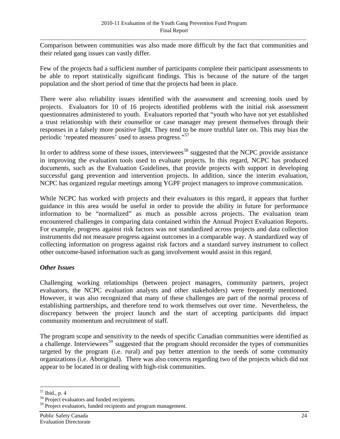<span id="page-31-0"></span>Comparison between communities was also made more difficult by the fact that communities and their related gang issues can vastly differ.

Few of the projects had a sufficient number of participants complete their participant assessments to be able to report statistically significant findings. This is because of the nature of the target population and the short period of time that the projects had been in place.

There were also reliability issues identified with the assessment and screening tools used by projects. Evaluators for 10 of 16 projects identified problems with the initial risk assessment questionnaires administered to youth. Evaluators reported that "youth who have not yet established a trust relationship with their counsellor or case manager may present themselves through their responses in a falsely more positive light. They tend to be more truthful later on. This may bias the periodic 'repeated measures' used to assess progress."<sup>[57](#page-31-0)</sup>

In order to address some of these issues, interviewees<sup>[58](#page-31-0)</sup> suggested that the NCPC provide assistance in improving the evaluation tools used to evaluate projects. In this regard, NCPC has produced documents, such as the Evaluation Guidelines, that provide projects with support in developing successful gang prevention and intervention projects. In addition, since the interim evaluation, NCPC has organized regular meetings among YGPF project managers to improve communication.

While NCPC has worked with projects and their evaluators in this regard, it appears that further guidance in this area would be useful in order to provide the ability in future for performance information to be "normalized" as much as possible across projects. The evaluation team encountered challenges in comparing data contained within the Annual Project Evaluation Reports. For example, progress against risk factors was not standardized across projects and data collection instruments did not measure progress against outcomes in a comparable way. A standardized way of collecting information on progress against risk factors and a standard survey instrument to collect other outcome-based information such as gang involvement would assist in this regard.

### *Other Issues*

Challenging working relationships (between project managers, community partners, project evaluators, the NCPC evaluation analysts and other stakeholders) were frequently mentioned. However, it was also recognized that many of these challenges are part of the normal process of establishing partnerships, and therefore tend to work themselves out over time. Nevertheless, the discrepancy between the project launch and the start of accepting participants did impact community momentum and recruitment of staff.

The program scope and sensitivity to the needs of specific Canadian communities were identified as a challenge. Interviewees<sup>[59](#page-31-0)</sup> suggested that the program should reconsider the types of communities targeted by the program (i.e. rural) and pay better attention to the needs of some community organizations (i.e. Aboriginal). There was also concerns regarding two of the projects which did not appear to be located in or dealing with high-risk communities.

 $\overline{a}$ 57 Ibid., p. 4

<sup>&</sup>lt;sup>58</sup> Project evaluators and funded recipients.

<sup>&</sup>lt;sup>59</sup> Project evaluators, funded recipients and program management.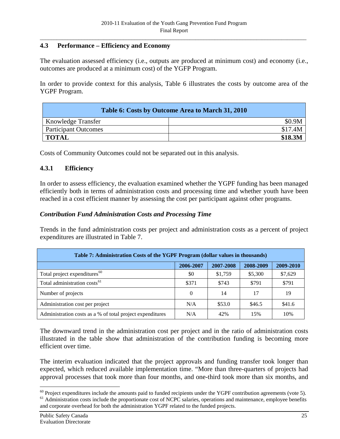## <span id="page-32-0"></span>**4.3 Performance – Efficiency and Economy**

The evaluation assessed efficiency (i.e., outputs are produced at minimum cost) and economy (i.e., outcomes are produced at a minimum cost) of the YGFP Program.

In order to provide context for this analysis, Table 6 illustrates the costs by outcome area of the YGPF Program.

| Table 6: Costs by Outcome Area to March 31, 2010 |         |  |  |  |
|--------------------------------------------------|---------|--|--|--|
| <b>Knowledge Transfer</b>                        | \$0.9M  |  |  |  |
| <b>Participant Outcomes</b>                      | \$17.4M |  |  |  |
| <b>TOTAL</b>                                     | \$18.3M |  |  |  |

Costs of Community Outcomes could not be separated out in this analysis.

### **4.3.1 Efficiency**

In order to assess efficiency, the evaluation examined whether the YGPF funding has been managed efficiently both in terms of administration costs and processing time and whether youth have been reached in a cost efficient manner by assessing the cost per participant against other programs.

### *Contribution Fund Administration Costs and Processing Time*

Trends in the fund administration costs per project and administration costs as a percent of project expenditures are illustrated in Table 7.

| Table 7: Administration Costs of the YGPF Program (dollar values in thousands) |           |           |           |           |  |
|--------------------------------------------------------------------------------|-----------|-----------|-----------|-----------|--|
|                                                                                | 2006-2007 | 2007-2008 | 2008-2009 | 2009-2010 |  |
| Total project expenditures <sup>60</sup>                                       | \$0       | \$1,759   | \$5,300   | \$7,629   |  |
| Total administration costs <sup>61</sup>                                       | \$371     | \$743     | \$791     | \$791     |  |
| Number of projects                                                             | $\theta$  | 14        | 17        | 19        |  |
| Administration cost per project                                                | N/A       | \$53.0    | \$46.5    | \$41.6    |  |
| Administration costs as a % of total project expenditures                      | N/A       | 42%       | 15%       | 10%       |  |

The downward trend in the administration cost per project and in the ratio of administration costs illustrated in the table show that administration of the contribution funding is becoming more efficient over time.

The interim evaluation indicated that the project approvals and funding transfer took longer than expected, which reduced available implementation time. "More than three-quarters of projects had approval processes that took more than four months, and one-third took more than six months, and

 $\overline{a}$  $60$  Project expenditures include the amounts paid to funded recipients under the YGPF contribution agreements (vote 5). <sup>61</sup> Administration costs include the proportionate cost of NCPC salaries, operations and maintenance, employee benefits and corporate overhead for both the administration YGPF related to the funded projects.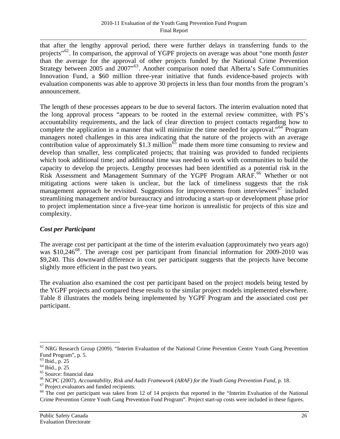<span id="page-33-0"></span>that after the lengthy approval period, there were further delays in transferring funds to the projects"[62](#page-33-0). In comparison, the approval of YGPF projects on average was about "one month *faster* than the average for the approval of other projects funded by the National Crime Prevention Strategy between 2005 and 2007<sup>553</sup>. Another comparison noted that Alberta's Safe Communities Innovation Fund, a \$60 million three-year initiative that funds evidence-based projects with evaluation components was able to approve 30 projects in less than four months from the program's announcement.

The length of these processes appears to be due to several factors. The interim evaluation noted that the long approval process "appears to be rooted in the external review committee, with PS's accountability requirements, and the lack of clear direction to project contacts regarding how to complete the application in a manner that will minimize the time needed for approval."[64](#page-33-0) Program managers noted challenges in this area indicating that the nature of the projects with an average contribution value of approximately \$1.3 million<sup>[65](#page-33-0)</sup> made them more time consuming to review and develop than smaller, less complicated projects; that training was provided to funded recipients which took additional time; and additional time was needed to work with communities to build the capacity to develop the projects. Lengthy processes had been identified as a potential risk in the Risk Assessment and Management Summary of the YGPF Program ARAF.<sup>[66](#page-33-0)</sup> Whether or not mitigating actions were taken is unclear, but the lack of timeliness suggests that the risk management approach be revisited. Suggestions for improvements from interviewees<sup>[67](#page-33-0)</sup> included streamlining management and/or bureaucracy and introducing a start-up or development phase prior to project implementation since a five-year time horizon is unrealistic for projects of this size and complexity.

# *Cost per Participant*

The average cost per participant at the time of the interim evaluation (approximately two years ago) was \$10,246<sup>[68](#page-33-0)</sup>. The average cost per participant from financial information for 2009-2010 was \$9,240. This downward difference in cost per participant suggests that the projects have become slightly more efficient in the past two years.

The evaluation also examined the cost per participant based on the project models being tested by the YGPF projects and compared these results to the similar project models implemented elsewhere. Table 8 illustrates the models being implemented by YGPF Program and the associated cost per participant.

 $\overline{a}$  $62$  NRG Research Group (2009). "Interim Evaluation of the National Crime Prevention Centre Youth Gang Prevention Fund Program", p. 5.

 $63$  Ibid., p. 25

<sup>64</sup> Ibid., p. 25

<sup>&</sup>lt;sup>65</sup> Source: financial data

<sup>&</sup>lt;sup>66</sup> NCPC (2007). *Accountability, Risk and Audit Framework (ARAF) for the Youth Gang Prevention Fund, p. 18.* <sup>67</sup> Project evaluators and funded recipients.

<sup>&</sup>lt;sup>68</sup> The cost per participant was taken from 12 of 14 projects that reported in the "Interim Evaluation of the National Crime Prevention Centre Youth Gang Prevention Fund Program". Project start-up costs were included in these figures.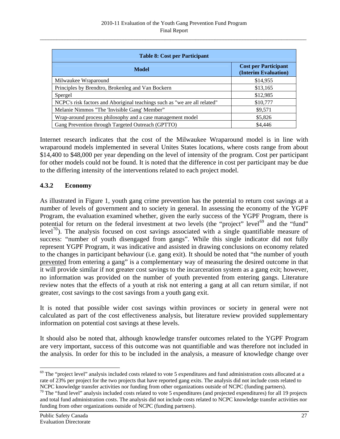<span id="page-34-0"></span>

| <b>Table 8: Cost per Participant</b>                                      |                                                     |  |  |
|---------------------------------------------------------------------------|-----------------------------------------------------|--|--|
| <b>Model</b>                                                              | <b>Cost per Participant</b><br>(Interim Evaluation) |  |  |
| Milwaukee Wraparound                                                      | \$14,955                                            |  |  |
| Principles by Brendtro, Brokenleg and Van Bockern                         | \$13,165                                            |  |  |
| Spergel                                                                   | \$12,985                                            |  |  |
| NCPC's risk factors and Aboriginal teachings such as "we are all related" | \$10,777                                            |  |  |
| Melanie Nimmos "The 'Invisible Gang' Member"                              | \$9,571                                             |  |  |
| Wrap-around process philosophy and a case management model                | \$5,826                                             |  |  |
| Gang Prevention through Targeted Outreach (GPTTO)                         | \$4,446                                             |  |  |

Internet research indicates that the cost of the Milwaukee Wraparound model is in line with wraparound models implemented in several Unites States locations, where costs range from about \$14,400 to \$48,000 per year depending on the level of intensity of the program. Cost per participant for other models could not be found. It is noted that the difference in cost per participant may be due to the differing intensity of the interventions related to each project model.

## **4.3.2 Economy**

As illustrated in Figure 1, youth gang crime prevention has the potential to return cost savings at a number of levels of government and to society in general. In assessing the economy of the YGPF Program, the evaluation examined whether, given the early success of the YGPF Program, there is potential for return on the federal investment at two levels (the "project" level<sup>[69](#page-34-0)</sup> and the "fund" level<sup>[70](#page-34-0)</sup>). The analysis focused on cost savings associated with a single quantifiable measure of success: "number of youth disengaged from gangs". While this single indicator did not fully represent YGPF Program, it was indicative and assisted in drawing conclusions on economy related to the changes in participant behaviour (i.e. gang exit). It should be noted that "the number of youth prevented from entering a gang" is a complementary way of measuring the desired outcome in that it will provide similar if not greater cost savings to the incarceration system as a gang exit; however, no information was provided on the number of youth prevented from entering gangs. Literature review notes that the effects of a youth at risk not entering a gang at all can return similar, if not greater, cost savings to the cost savings from a youth gang exit.

It is noted that possible wider cost savings within provinces or society in general were not calculated as part of the cost effectiveness analysis, but literature review provided supplementary information on potential cost savings at these levels.

It should also be noted that, although knowledge transfer outcomes related to the YGPF Program are very important, success of this outcome was not quantifiable and was therefore not included in the analysis. In order for this to be included in the analysis, a measure of knowledge change over

 $^{69}$  The "project level" analysis included costs related to vote 5 expenditures and fund administration costs allocated at a rate of 23% per project for the two projects that have reported gang exits. The analysis did not include costs related to NCPC knowledge transfer activities nor funding from other organizations outside of NCPC (funding par

 $70$  The "fund level" analysis included costs related to vote 5 expenditures (and projected expenditures) for all 19 projects and total fund administration costs. The analysis did not include costs related to NCPC knowledge transfer activities nor funding from other organizations outside of NCPC (funding partners).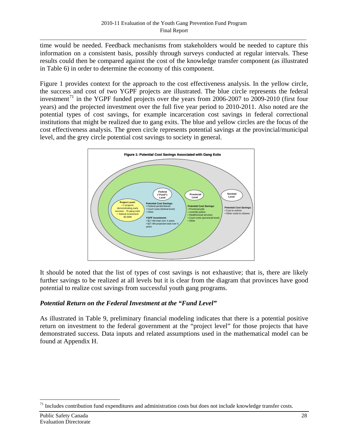<span id="page-35-0"></span>time would be needed. Feedback mechanisms from stakeholders would be needed to capture this information on a consistent basis, possibly through surveys conducted at regular intervals. These results could then be compared against the cost of the knowledge transfer component (as illustrated in Table 6) in order to determine the economy of this component.

Figure 1 provides context for the approach to the cost effectiveness analysis. In the yellow circle, the success and cost of two YGPF projects are illustrated. The blue circle represents the federal investment<sup>[71](#page-35-0)</sup> in the YGPF funded projects over the years from 2006-2007 to 2009-2010 (first four years) and the projected investment over the full five year period to 2010-2011. Also noted are the potential types of cost savings, for example incarceration cost savings in federal correctional institutions that might be realized due to gang exits. The blue and yellow circles are the focus of the cost effectiveness analysis. The green circle represents potential savings at the provincial/municipal level, and the grey circle potential cost savings to society in general.



It should be noted that the list of types of cost savings is not exhaustive; that is, there are likely further savings to be realized at all levels but it is clear from the diagram that provinces have good potential to realize cost savings from successful youth gang programs.

# *Potential Return on the Federal Investment at the "Fund Level"*

As illustrated in Table 9, preliminary financial modeling indicates that there is a potential positive return on investment to the federal government at the "project level" for those projects that have demonstrated success. Data inputs and related assumptions used in the mathematical model can be found at Appendix H.

 $71$  Includes contribution fund expenditures and administration costs but does not include knowledge transfer costs.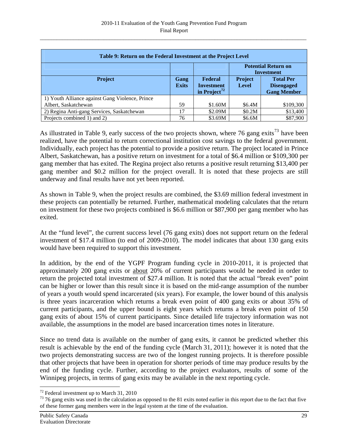<span id="page-36-0"></span>

| Table 9: Return on the Federal Investment at the Project Level |                      |                                                                 |                                                 |                                                             |  |  |  |  |  |  |  |
|----------------------------------------------------------------|----------------------|-----------------------------------------------------------------|-------------------------------------------------|-------------------------------------------------------------|--|--|--|--|--|--|--|
|                                                                |                      |                                                                 | <b>Potential Return on</b><br><b>Investment</b> |                                                             |  |  |  |  |  |  |  |
| <b>Project</b>                                                 | Gang<br><b>Exits</b> | <b>Federal</b><br><b>Investment</b><br>in Project <sup>72</sup> | <b>Project</b><br><b>Level</b>                  | <b>Total Per</b><br><b>Disengaged</b><br><b>Gang Member</b> |  |  |  |  |  |  |  |
| 1) Youth Alliance against Gang Violence, Prince                |                      |                                                                 |                                                 |                                                             |  |  |  |  |  |  |  |
| Albert, Saskatchewan                                           | 59                   | \$1.60M                                                         | \$6.4M                                          | \$109,300                                                   |  |  |  |  |  |  |  |
| 2) Regina Anti-gang Services, Saskatchewan                     | 17                   | \$2.09M                                                         | \$0.2M                                          | \$13,400                                                    |  |  |  |  |  |  |  |
| Projects combined 1) and 2)                                    | 76                   | \$3.69M                                                         | \$6.6M                                          | \$87,900                                                    |  |  |  |  |  |  |  |

As illustrated in Table 9, early success of the two projects shown, where 76 gang exits<sup>[73](#page-36-0)</sup> have been realized, have the potential to return correctional institution cost savings to the federal government. Individually, each project has the potential to provide a positive return. The project located in Prince Albert, Saskatchewan, has a positive return on investment for a total of \$6.4 million or \$109,300 per gang member that has exited. The Regina project also returns a positive result returning \$13,400 per gang member and \$0.2 million for the project overall. It is noted that these projects are still underway and final results have not yet been reported.

As shown in Table 9, when the project results are combined, the \$3.69 million federal investment in these projects can potentially be returned. Further, mathematical modeling calculates that the return on investment for these two projects combined is \$6.6 million or \$87,900 per gang member who has exited.

At the "fund level", the current success level (76 gang exits) does not support return on the federal investment of \$17.4 million (to end of 2009-2010). The model indicates that about 130 gang exits would have been required to support this investment.

In addition, by the end of the YGPF Program funding cycle in 2010-2011, it is projected that approximately 200 gang exits or about 20% of current participants would be needed in order to return the projected total investment of \$27.4 million. It is noted that the actual "break even" point can be higher or lower than this result since it is based on the mid-range assumption of the number of years a youth would spend incarcerated (six years). For example, the lower bound of this analysis is three years incarceration which returns a break even point of 400 gang exits or about 35% of current participants, and the upper bound is eight years which returns a break even point of 150 gang exits of about 15% of current participants. Since detailed life trajectory information was not available, the assumptions in the model are based incarceration times notes in literature.

Since no trend data is available on the number of gang exits, it cannot be predicted whether this result is achievable by the end of the funding cycle (March 31, 2011); however it is noted that the two projects demonstrating success are two of the longest running projects. It is therefore possible that other projects that have been in operation for shorter periods of time may produce results by the end of the funding cycle. Further, according to the project evaluators, results of some of the Winnipeg projects, in terms of gang exits may be available in the next reporting cycle.

 $\overline{a}$ 

 $72$  Federal investment up to March 31, 2010

<sup>&</sup>lt;sup>73</sup> 76 gang exits was used in the calculation as opposed to the 81 exits noted earlier in this report due to the fact that five of these former gang members were in the legal system at the time of the evaluation.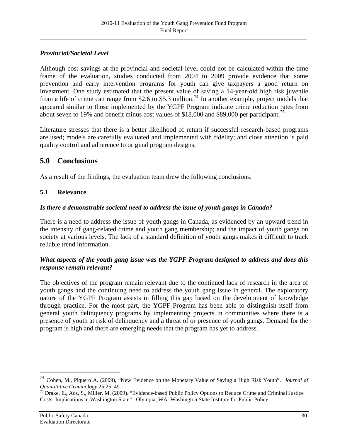# <span id="page-37-0"></span>*Provincial/Societal Level*

Although cost savings at the provincial and societal level could not be calculated within the time frame of the evaluation, studies conducted from 2004 to 2009 provide evidence that some prevention and early intervention programs for youth can give taxpayers a good return on investment. One study estimated that the present value of saving a 14-year-old high risk juvenile from a life of crime can range from \$2.6 to \$5.3 million.<sup>[74](#page-37-0)</sup> In another example, project models that appeared similar to those implemented by the YGPF Program indicate crime reduction rates from about seven to 19% and benefit minus cost values of \$18,000 and \$89,000 per participant.<sup>[75](#page-37-0)</sup>

Literature stresses that there is a better likelihood of return if successful research-based programs are used; models are carefully evaluated and implemented with fidelity; and close attention is paid quality control and adherence to original program designs.

# **5.0 Conclusions**

As a result of the findings, the evaluation team drew the following conclusions.

# **5.1 Relevance**

# *Is there a demonstrable societal need to address the issue of youth gangs in Canada?*

There is a need to address the issue of youth gangs in Canada, as evidenced by an upward trend in the intensity of gang-related crime and youth gang membership; and the impact of youth gangs on society at various levels. The lack of a standard definition of youth gangs makes it difficult to track reliable trend information.

# *What aspects of the youth gang issue was the YGPF Program designed to address and does this response remain relevant?*

The objectives of the program remain relevant due to the continued lack of research in the area of youth gangs and the continuing need to address the youth gang issue in general. The exploratory nature of the YGPF Program assists in filling this gap based on the development of knowledge through practice. For the most part, the YGPF Program has been able to distinguish itself from general youth delinquency programs by implementing projects in communities where there is a presence of youth at risk of delinquency and a threat of or presence of youth gangs. Demand for the program is high and there are emerging needs that the program has yet to address.

 $\overline{a}$ 

<sup>74</sup> Cohen, M., Piquero A. (2009), "New Evidence on the Monetary Value of Saving a High Risk Youth". *Journal of Quantitative Criminology 25:25–49.*<br><sup>75</sup> Drake, E., Aos, S., Miller, M. (2009). "Evidence-based Public Policy Options to Reduce Crime and Criminal Justice

Costs: Implications in Washington State".Olympia, WA: Washington State Institute for Public Policy.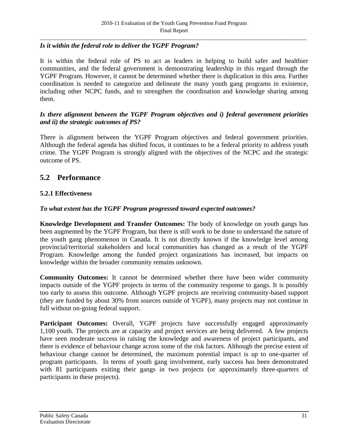# *Is it within the federal role to deliver the YGPF Program?*

It is within the federal role of PS to act as leaders in helping to build safer and healthier communities, and the federal government is demonstrating leadership in this regard through the YGPF Program. However, it cannot be determined whether there is duplication in this area. Further coordination is needed to categorize and delineate the many youth gang programs in existence, including other NCPC funds, and to strengthen the coordination and knowledge sharing among them.

# *Is there alignment between the YGPF Program objectives and i) federal government priorities and ii) the strategic outcomes of PS?*

There is alignment between the YGPF Program objectives and federal government priorities. Although the federal agenda has shifted focus, it continues to be a federal priority to address youth crime. The YGPF Program is strongly aligned with the objectives of the NCPC and the strategic outcome of PS.

# **5.2 Performance**

# **5.2.1 Effectiveness**

#### *To what extent has the YGPF Program progressed toward expected outcomes?*

**Knowledge Development and Transfer Outcomes:** The body of knowledge on youth gangs has been augmented by the YGPF Program, but there is still work to be done to understand the nature of the youth gang phenomenon in Canada. It is not directly known if the knowledge level among provincial/territorial stakeholders and local communities has changed as a result of the YGPF Program. Knowledge among the funded project organizations has increased, but impacts on knowledge within the broader community remains unknown.

**Community Outcomes:** It cannot be determined whether there have been wider community impacts outside of the YGPF projects in terms of the community response to gangs. It is possibly too early to assess this outcome. Although YGPF projects are receiving community-based support (they are funded by about 30% from sources outside of YGPF), many projects may not continue in full without on-going federal support.

Participant Outcomes: Overall, YGPF projects have successfully engaged approximately 1,100 youth. The projects are at capacity and project services are being delivered. A few projects have seen moderate success in raising the knowledge and awareness of project participants, and there is evidence of behaviour change across some of the risk factors. Although the precise extent of behaviour change cannot be determined, the maximum potential impact is up to one-quarter of program participants. In terms of youth gang involvement, early success has been demonstrated with 81 participants exiting their gangs in two projects (or approximately three-quarters of participants in these projects).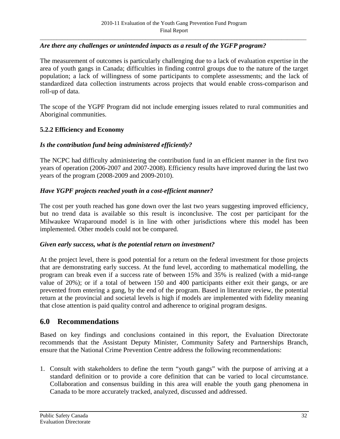# *Are there any challenges or unintended impacts as a result of the YGFP program?*

The measurement of outcomes is particularly challenging due to a lack of evaluation expertise in the area of youth gangs in Canada; difficulties in finding control groups due to the nature of the target population; a lack of willingness of some participants to complete assessments; and the lack of standardized data collection instruments across projects that would enable cross-comparison and roll-up of data.

The scope of the YGPF Program did not include emerging issues related to rural communities and Aboriginal communities.

#### **5.2.2 Efficiency and Economy**

#### *Is the contribution fund being administered efficiently?*

The NCPC had difficulty administering the contribution fund in an efficient manner in the first two years of operation (2006-2007 and 2007-2008). Efficiency results have improved during the last two years of the program (2008-2009 and 2009-2010).

#### *Have YGPF projects reached youth in a cost-efficient manner?*

The cost per youth reached has gone down over the last two years suggesting improved efficiency, but no trend data is available so this result is inconclusive. The cost per participant for the Milwaukee Wraparound model is in line with other jurisdictions where this model has been implemented. Other models could not be compared.

#### *Given early success, what is the potential return on investment?*

At the project level, there is good potential for a return on the federal investment for those projects that are demonstrating early success. At the fund level, according to mathematical modelling, the program can break even if a success rate of between 15% and 35% is realized (with a mid-range value of 20%); or if a total of between 150 and 400 participants either exit their gangs, or are prevented from entering a gang, by the end of the program. Based in literature review, the potential return at the provincial and societal levels is high if models are implemented with fidelity meaning that close attention is paid quality control and adherence to original program designs.

#### **6.0 Recommendations**

Based on key findings and conclusions contained in this report, the Evaluation Directorate recommends that the Assistant Deputy Minister, Community Safety and Partnerships Branch, ensure that the National Crime Prevention Centre address the following recommendations:

1. Consult with stakeholders to define the term "youth gangs" with the purpose of arriving at a standard definition or to provide a core definition that can be varied to local circumstance. Collaboration and consensus building in this area will enable the youth gang phenomena in Canada to be more accurately tracked, analyzed, discussed and addressed.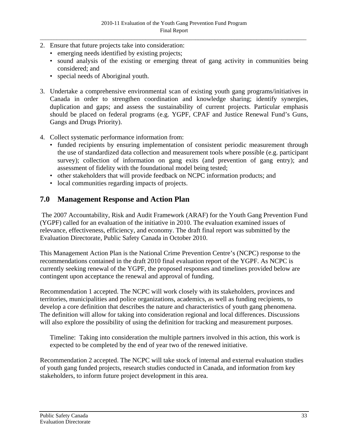- 2. Ensure that future projects take into consideration:
	- emerging needs identified by existing projects;
	- sound analysis of the existing or emerging threat of gang activity in communities being considered; and
	- special needs of Aboriginal youth.
- 3. Undertake a comprehensive environmental scan of existing youth gang programs/initiatives in Canada in order to strengthen coordination and knowledge sharing; identify synergies, duplication and gaps; and assess the sustainability of current projects. Particular emphasis should be placed on federal programs (e.g. YGPF, CPAF and Justice Renewal Fund's Guns, Gangs and Drugs Priority).
- 4. Collect systematic performance information from:
	- funded recipients by ensuring implementation of consistent periodic measurement through the use of standardized data collection and measurement tools where possible (e.g. participant survey); collection of information on gang exits (and prevention of gang entry); and assessment of fidelity with the foundational model being tested;
	- other stakeholders that will provide feedback on NCPC information products; and
	- local communities regarding impacts of projects.

# **7.0 Management Response and Action Plan**

 The 2007 Accountability, Risk and Audit Framework (ARAF) for the Youth Gang Prevention Fund (YGPF) called for an evaluation of the initiative in 2010. The evaluation examined issues of relevance, effectiveness, efficiency, and economy. The draft final report was submitted by the Evaluation Directorate, Public Safety Canada in October 2010.

This Management Action Plan is the National Crime Prevention Centre's (NCPC) response to the recommendations contained in the draft 2010 final evaluation report of the YGPF. As NCPC is currently seeking renewal of the YGPF, the proposed responses and timelines provided below are contingent upon acceptance the renewal and approval of funding.

Recommendation 1 accepted. The NCPC will work closely with its stakeholders, provinces and territories, municipalities and police organizations, academics, as well as funding recipients, to develop a core definition that describes the nature and characteristics of youth gang phenomena. The definition will allow for taking into consideration regional and local differences. Discussions will also explore the possibility of using the definition for tracking and measurement purposes.

Timeline: Taking into consideration the multiple partners involved in this action, this work is expected to be completed by the end of year two of the renewed initiative.

Recommendation 2 accepted. The NCPC will take stock of internal and external evaluation studies of youth gang funded projects, research studies conducted in Canada, and information from key stakeholders, to inform future project development in this area.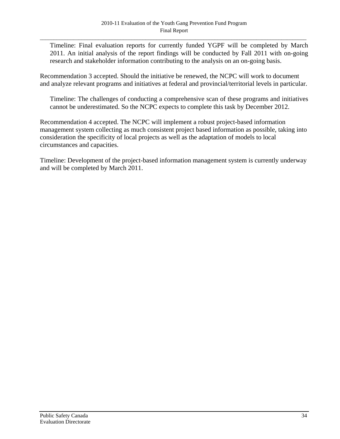Timeline: Final evaluation reports for currently funded YGPF will be completed by March 2011. An initial analysis of the report findings will be conducted by Fall 2011 with on-going research and stakeholder information contributing to the analysis on an on-going basis.

Recommendation 3 accepted. Should the initiative be renewed, the NCPC will work to document and analyze relevant programs and initiatives at federal and provincial/territorial levels in particular.

Timeline: The challenges of conducting a comprehensive scan of these programs and initiatives cannot be underestimated. So the NCPC expects to complete this task by December 2012.

Recommendation 4 accepted. The NCPC will implement a robust project-based information management system collecting as much consistent project based information as possible, taking into consideration the specificity of local projects as well as the adaptation of models to local circumstances and capacities.

Timeline: Development of the project-based information management system is currently underway and will be completed by March 2011.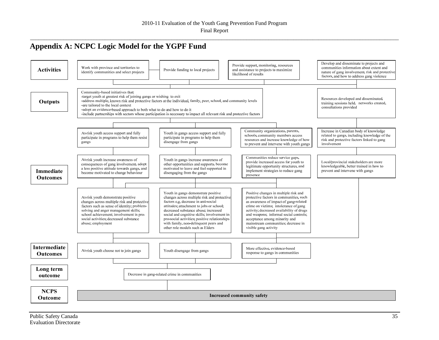# **Appendix A: NCPC Logic Model for the YGPF Fund**

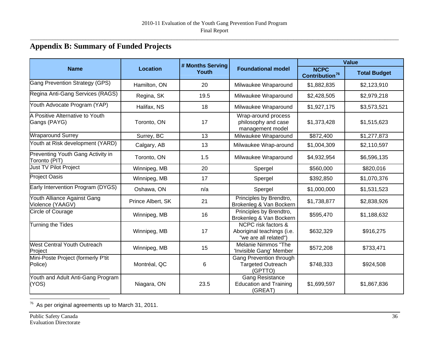# **Appendix B: Summary of Funded Projects**

|                                                    |                   | # Months Serving |                                                                            | <b>Value</b>                              |                     |  |  |  |  |
|----------------------------------------------------|-------------------|------------------|----------------------------------------------------------------------------|-------------------------------------------|---------------------|--|--|--|--|
| <b>Name</b>                                        | <b>Location</b>   | Youth            | <b>Foundational model</b>                                                  | <b>NCPC</b><br>Contribution <sup>76</sup> | <b>Total Budget</b> |  |  |  |  |
| <b>Gang Prevention Strategy (GPS)</b>              | Hamilton, ON      | 20               | Milwaukee Wraparound                                                       | \$1,882,835                               | \$2,123,910         |  |  |  |  |
| Regina Anti-Gang Services (RAGS)                   | Regina, SK        | 19.5             | Milwaukee Wraparound                                                       | \$2,428,505                               | \$2,979,218         |  |  |  |  |
| Youth Advocate Program (YAP)                       | Halifax, NS       | 18               | Milwaukee Wraparound                                                       | \$1,927,175                               | \$3,573,521         |  |  |  |  |
| A Positive Alternative to Youth<br>Gangs (PAYG)    | Toronto, ON       | 17               | Wrap-around process<br>philosophy and case<br>management model             | \$1,373,428                               | \$1,515,623         |  |  |  |  |
| <b>Wraparound Surrey</b>                           | Surrey, BC        | 13               | Milwaukee Wraparound                                                       | \$872,400                                 | \$1,277,873         |  |  |  |  |
| Youth at Risk development (YARD)                   | Calgary, AB       | 13               | Milwaukee Wrap-around                                                      | \$1,004,309                               | \$2,110,597         |  |  |  |  |
| Preventing Youth Gang Activity in<br>Toronto (PIT) | Toronto, ON       | 1.5              | Milwaukee Wraparound                                                       | \$4,932,954                               | \$6,596,135         |  |  |  |  |
| Just TV Pilot Project                              | Winnipeg, MB      | 20               | Spergel                                                                    | \$560,000                                 | \$820,016           |  |  |  |  |
| <b>Project Oasis</b>                               | Winnipeg, MB      | 17               | Spergel                                                                    | \$392,850                                 | \$1,070,376         |  |  |  |  |
| Early Intervention Program (DYGS)                  | Oshawa, ON        | n/a              | Spergel                                                                    | \$1,000,000                               | \$1,531,523         |  |  |  |  |
| Youth Alliance Against Gang<br>Violence (YAAGV)    | Prince Albert, SK | 21               | Principles by Brendtro,<br>Brokenleg & Van Bockern                         | \$1,738,877                               | \$2,838,926         |  |  |  |  |
| Circle of Courage                                  | Winnipeg, MB      | 16               | Principles by Brendtro,<br>Brokenleg & Van Bockern                         | \$595,470                                 | \$1,188,632         |  |  |  |  |
| Turning the Tides                                  | Winnipeg, MB      | 17               | NCPC risk factors &<br>Aboriginal teachings (i.e.<br>"we are all related") | \$632,329                                 | \$916,275           |  |  |  |  |
| <b>West Central Youth Outreach</b><br>Project      | Winnipeg, MB      | 15               | Melanie Nimmos "The<br>'Invisible Gang' Member                             | \$572,208                                 | \$733,471           |  |  |  |  |
| Mini-Poste Project (formerly P'tit<br>Police)      | Montréal, QC      | 6                | Gang Prevention through<br><b>Targeted Outreach</b><br>(GPTTO)             | \$748,333                                 | \$924,508           |  |  |  |  |
| Youth and Adult Anti-Gang Program<br>(YOS)         | Niagara, ON       | 23.5             | <b>Gang Resistance</b><br><b>Education and Training</b><br>(GREAT)         | \$1,699,597                               | \$1,867,836         |  |  |  |  |

<span id="page-43-0"></span><sup>76</sup> As per original agreements up to March 31, 2011.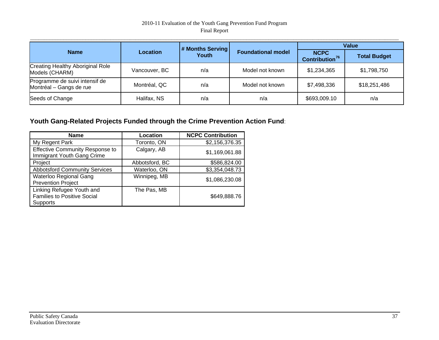#### 2010-11 Evaluation of the Youth Gang Prevention Fund Program Final Report

|                                                           |               | # Months Serving |                           | <b>Value</b>                              |                     |  |  |  |  |
|-----------------------------------------------------------|---------------|------------------|---------------------------|-------------------------------------------|---------------------|--|--|--|--|
| <b>Name</b>                                               | Location      | Youth            | <b>Foundational model</b> | <b>NCPC</b><br>Contribution <sup>76</sup> | <b>Total Budget</b> |  |  |  |  |
| <b>Creating Healthy Aboriginal Role</b><br>Models (CHARM) | Vancouver, BC | n/a              | Model not known           | \$1,234,365                               | \$1,798,750         |  |  |  |  |
| Programme de suivi intensif de<br>Montréal - Gangs de rue | Montréal, QC  | n/a              | Model not known           | \$7,498,336                               | \$18,251,486        |  |  |  |  |
| Seeds of Change                                           | Halifax, NS   | n/a              | n/a                       | \$693,009.10                              | n/a                 |  |  |  |  |

# **Youth Gang-Related Projects Funded through the Crime Prevention Action Fund**:

| <b>Name</b>                                                                 | Location       | <b>NCPC Contribution</b> |
|-----------------------------------------------------------------------------|----------------|--------------------------|
| My Regent Park                                                              | Toronto, ON    | \$2,156,376.35           |
| <b>Effective Community Response to</b><br>Immigrant Youth Gang Crime        | Calgary, AB    | \$1,169,061.88           |
| Project                                                                     | Abbotsford, BC | \$586,824.00             |
| <b>Abbotsford Community Services</b>                                        | Waterloo, ON   | \$3,354,048.73           |
| Waterloo Regional Gang<br><b>Prevention Project</b>                         | Winnipeg, MB   | \$1,086,230.08           |
| Linking Refugee Youth and<br><b>Families to Positive Social</b><br>Supports | The Pas, MB    | \$649,888.76             |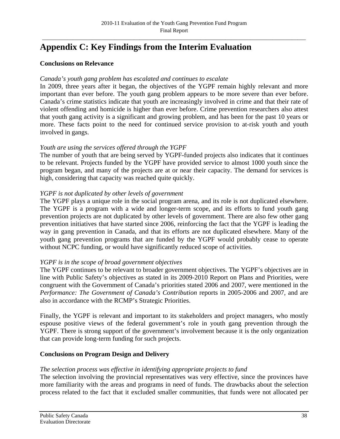# **Appendix C: Key Findings from the Interim Evaluation**

#### **Conclusions on Relevance**

#### *Canada's youth gang problem has escalated and continues to escalate*

In 2009, three years after it began, the objectives of the YGPF remain highly relevant and more important than ever before. The youth gang problem appears to be more severe than ever before. Canada's crime statistics indicate that youth are increasingly involved in crime and that their rate of violent offending and homicide is higher than ever before. Crime prevention researchers also attest that youth gang activity is a significant and growing problem, and has been for the past 10 years or more. These facts point to the need for continued service provision to at-risk youth and youth involved in gangs.

#### *Youth are using the services offered through the YGPF*

The number of youth that are being served by YGPF-funded projects also indicates that it continues to be relevant. Projects funded by the YGPF have provided service to almost 1000 youth since the program began, and many of the projects are at or near their capacity. The demand for services is high, considering that capacity was reached quite quickly.

#### *YGPF is not duplicated by other levels of government*

The YGPF plays a unique role in the social program arena, and its role is not duplicated elsewhere. The YGPF is a program with a wide and longer-term scope, and its efforts to fund youth gang prevention projects are not duplicated by other levels of government. There are also few other gang prevention initiatives that have started since 2006, reinforcing the fact that the YGPF is leading the way in gang prevention in Canada, and that its efforts are not duplicated elsewhere. Many of the youth gang prevention programs that are funded by the YGPF would probably cease to operate without NCPC funding, or would have significantly reduced scope of activities.

#### *YGPF is in the scope of broad government objectives*

The YGPF continues to be relevant to broader government objectives. The YGPF's objectives are in line with Public Safety's objectives as stated in its 2009-2010 Report on Plans and Priorities, were congruent with the Government of Canada's priorities stated 2006 and 2007, were mentioned in the *Performance: The Government of Canada's Contribution* reports in 2005-2006 and 2007, and are also in accordance with the RCMP's Strategic Priorities.

Finally, the YGPF is relevant and important to its stakeholders and project managers, who mostly espouse positive views of the federal government's role in youth gang prevention through the YGPF. There is strong support of the government's involvement because it is the only organization that can provide long-term funding for such projects.

#### **Conclusions on Program Design and Delivery**

#### *The selection process was effective in identifying appropriate projects to fund*

The selection involving the provincial representatives was very effective, since the provinces have more familiarity with the areas and programs in need of funds. The drawbacks about the selection process related to the fact that it excluded smaller communities, that funds were not allocated per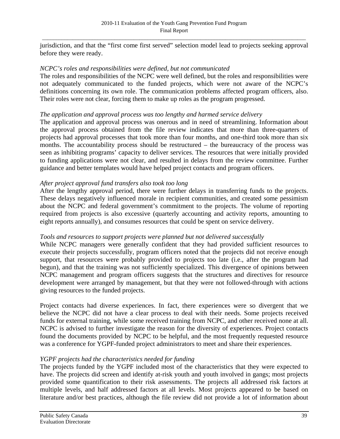jurisdiction, and that the "first come first served" selection model lead to projects seeking approval before they were ready.

#### *NCPC's roles and responsibilities were defined, but not communicated*

The roles and responsibilities of the NCPC were well defined, but the roles and responsibilities were not adequately communicated to the funded projects, which were not aware of the NCPC's definitions concerning its own role. The communication problems affected program officers, also. Their roles were not clear, forcing them to make up roles as the program progressed.

#### *The application and approval process was too lengthy and harmed service delivery*

The application and approval process was onerous and in need of streamlining. Information about the approval process obtained from the file review indicates that more than three-quarters of projects had approval processes that took more than four months, and one-third took more than six months. The accountability process should be restructured – the bureaucracy of the process was seen as inhibiting programs' capacity to deliver services. The resources that were initially provided to funding applications were not clear, and resulted in delays from the review committee. Further guidance and better templates would have helped project contacts and program officers.

#### *After project approval fund transfers also took too long*

After the lengthy approval period, there were further delays in transferring funds to the projects. These delays negatively influenced morale in recipient communities, and created some pessimism about the NCPC and federal government's commitment to the projects. The volume of reporting required from projects is also excessive (quarterly accounting and activity reports, amounting to eight reports annually), and consumes resources that could be spent on service delivery.

#### *Tools and resources to support projects were planned but not delivered successfully*

While NCPC managers were generally confident that they had provided sufficient resources to execute their projects successfully, program officers noted that the projects did not receive enough support, that resources were probably provided to projects too late (i.e., after the program had begun), and that the training was not sufficiently specialized. This divergence of opinions between NCPC management and program officers suggests that the structures and directives for resource development were arranged by management, but that they were not followed-through with actions giving resources to the funded projects.

Project contacts had diverse experiences. In fact, there experiences were so divergent that we believe the NCPC did not have a clear process to deal with their needs. Some projects received funds for external training, while some received training from NCPC, and other received none at all. NCPC is advised to further investigate the reason for the diversity of experiences. Project contacts found the documents provided by NCPC to be helpful, and the most frequently requested resource was a conference for YGPF-funded project administrators to meet and share their experiences.

#### *YGPF projects had the characteristics needed for funding*

The projects funded by the YGPF included most of the characteristics that they were expected to have. The projects did screen and identify at-risk youth and youth involved in gangs; most projects provided some quantification to their risk assessments. The projects all addressed risk factors at multiple levels, and half addressed factors at all levels. Most projects appeared to be based on literature and/or best practices, although the file review did not provide a lot of information about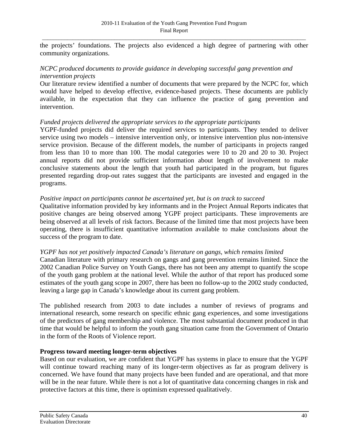the projects' foundations. The projects also evidenced a high degree of partnering with other community organizations.

# *NCPC produced documents to provide guidance in developing successful gang prevention and intervention projects*

Our literature review identified a number of documents that were prepared by the NCPC for, which would have helped to develop effective, evidence-based projects. These documents are publicly available, in the expectation that they can influence the practice of gang prevention and intervention.

#### *Funded projects delivered the appropriate services to the appropriate participants*

YGPF-funded projects did deliver the required services to participants. They tended to deliver service using two models – intensive intervention only, or intensive intervention plus non-intensive service provision. Because of the different models, the number of participants in projects ranged from less than 10 to more than 100. The modal categories were 10 to 20 and 20 to 30. Project annual reports did not provide sufficient information about length of involvement to make conclusive statements about the length that youth had participated in the program, but figures presented regarding drop-out rates suggest that the participants are invested and engaged in the programs.

#### *Positive impact on participants cannot be ascertained yet, but is on track to succeed*

Qualitative information provided by key informants and in the Project Annual Reports indicates that positive changes are being observed among YGPF project participants. These improvements are being observed at all levels of risk factors. Because of the limited time that most projects have been operating, there is insufficient quantitative information available to make conclusions about the success of the program to date.

#### *YGPF has not yet positively impacted Canada's literature on gangs, which remains limited*

Canadian literature with primary research on gangs and gang prevention remains limited. Since the 2002 Canadian Police Survey on Youth Gangs, there has not been any attempt to quantify the scope of the youth gang problem at the national level. While the author of that report has produced some estimates of the youth gang scope in 2007, there has been no follow-up to the 2002 study conducted, leaving a large gap in Canada's knowledge about its current gang problem.

The published research from 2003 to date includes a number of reviews of programs and international research, some research on specific ethnic gang experiences, and some investigations of the predictors of gang membership and violence. The most substantial document produced in that time that would be helpful to inform the youth gang situation came from the Government of Ontario in the form of the Roots of Violence report.

#### **Progress toward meeting longer-term objectives**

Based on our evaluation, we are confident that YGPF has systems in place to ensure that the YGPF will continue toward reaching many of its longer-term objectives as far as program delivery is concerned. We have found that many projects have been funded and are operational, and that more will be in the near future. While there is not a lot of quantitative data concerning changes in risk and protective factors at this time, there is optimism expressed qualitatively.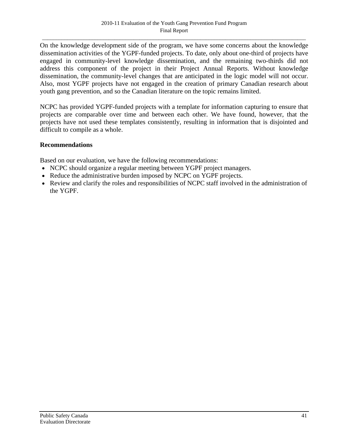On the knowledge development side of the program, we have some concerns about the knowledge dissemination activities of the YGPF-funded projects. To date, only about one-third of projects have engaged in community-level knowledge dissemination, and the remaining two-thirds did not address this component of the project in their Project Annual Reports. Without knowledge dissemination, the community-level changes that are anticipated in the logic model will not occur. Also, most YGPF projects have not engaged in the creation of primary Canadian research about youth gang prevention, and so the Canadian literature on the topic remains limited.

NCPC has provided YGPF-funded projects with a template for information capturing to ensure that projects are comparable over time and between each other. We have found, however, that the projects have not used these templates consistently, resulting in information that is disjointed and difficult to compile as a whole.

#### **Recommendations**

Based on our evaluation, we have the following recommendations:

- NCPC should organize a regular meeting between YGPF project managers.
- Reduce the administrative burden imposed by NCPC on YGPF projects.
- Review and clarify the roles and responsibilities of NCPC staff involved in the administration of the YGPF.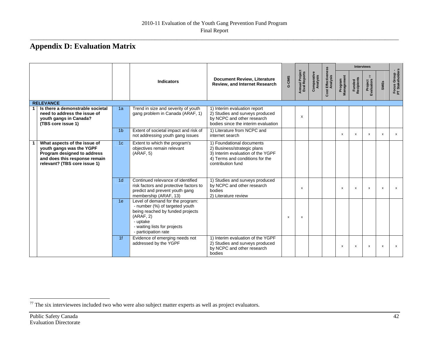# **Appendix D: Evaluation Matrix**

|                                                                                                                                                          |                |                                                                                                                                                                                         |                                                                                                                                                       |        |                                |                         |                                |                           |                           | <b>Interviews</b>                          |                           |                                  |
|----------------------------------------------------------------------------------------------------------------------------------------------------------|----------------|-----------------------------------------------------------------------------------------------------------------------------------------------------------------------------------------|-------------------------------------------------------------------------------------------------------------------------------------------------------|--------|--------------------------------|-------------------------|--------------------------------|---------------------------|---------------------------|--------------------------------------------|---------------------------|----------------------------------|
|                                                                                                                                                          |                | <b>Indicators</b>                                                                                                                                                                       | <b>Document Review, Literature</b><br>Review, and Internet Research                                                                                   | G-CIMS | Annual Project<br>Eval Reports | Comparative<br>Analysis | Cost Effectiveness<br>Analysis | Program<br>Management     | Funded<br>Recipients      | Project<br>Evaluators $\frac{1}{\sqrt{2}}$ | <b>SMEs</b>               | Focus Group -<br>PT Stakeholders |
| <b>RELEVANCE</b>                                                                                                                                         |                |                                                                                                                                                                                         |                                                                                                                                                       |        |                                |                         |                                |                           |                           |                                            |                           |                                  |
| Is there a demonstrable societal<br>need to address the issue of<br>youth gangs in Canada?<br>(TBS core issue 1)                                         | 1a             | Trend in size and severity of youth<br>gang problem in Canada (ARAF, 1)                                                                                                                 | 1) Interim evaluation report<br>2) Studies and surveys produced<br>by NCPC and other research<br>bodies since the interim evaluation                  |        | $\times$                       |                         |                                |                           |                           |                                            |                           |                                  |
|                                                                                                                                                          | 1 <sub>b</sub> | Extent of societal impact and risk of<br>not addressing youth gang issues                                                                                                               | 1) Literature from NCPC and<br>internet search                                                                                                        |        |                                |                         |                                | $\boldsymbol{\mathsf{x}}$ | $\mathsf{x}$              | x                                          | X                         | $\mathsf{x}$                     |
| What aspects of the issue of<br>youth gangs was the YGPF<br>Program designed to address<br>and does this response remain<br>relevant? (TBS core issue 1) | 1 <sub>c</sub> | Extent to which the program's<br>objectives remain relevant<br>(ARAF, 5)                                                                                                                | 1) Foundational documents<br>2) Business/strategic plans<br>3) Interim evaluation of the YGPF<br>4) Terms and conditions for the<br>contribution fund |        |                                |                         |                                |                           |                           |                                            |                           |                                  |
|                                                                                                                                                          | 1 <sub>d</sub> | Continued relevance of identified<br>risk factors and protective factors to<br>predict and prevent youth gang<br>membership (ARAF, 13)                                                  | 1) Studies and surveys produced<br>by NCPC and other research<br>bodies<br>2) Literature review                                                       |        | $\boldsymbol{\mathsf{x}}$      |                         |                                | х                         | $\boldsymbol{\mathsf{x}}$ | $\boldsymbol{\mathsf{x}}$                  | $\boldsymbol{\mathsf{x}}$ | $\boldsymbol{\mathsf{x}}$        |
|                                                                                                                                                          | 1e             | Level of demand for the program:<br>- number (%) of targeted youth<br>being reached by funded projects<br>(ARAF, 2)<br>- uptake<br>- waiting lists for projects<br>- participation rate |                                                                                                                                                       | x      | $\boldsymbol{\mathsf{x}}$      |                         |                                |                           |                           |                                            |                           |                                  |
|                                                                                                                                                          | 1f             | Evidence of emerging needs not<br>addressed by the YGPF                                                                                                                                 | 1) Interim evaluation of the YGPF<br>2) Studies and surveys produced<br>by NCPC and other research<br>bodies                                          |        |                                |                         |                                | $\boldsymbol{\mathsf{x}}$ | $\boldsymbol{\mathsf{x}}$ | $\boldsymbol{\mathsf{x}}$                  | $\boldsymbol{\mathsf{x}}$ | $\boldsymbol{\mathsf{x}}$        |

<span id="page-49-0"></span> $77$  The six interviewees included two who were also subject matter experts as well as project evaluators.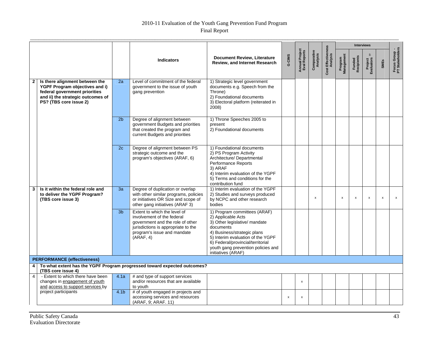# 2010-11 Evaluation of the Youth Gang Prevention Fund Program

| <b>Final Report</b> |
|---------------------|
|                     |

|                |                                                                                                                                                                  |                  |                                                                                                                                                                                   |                                                                                                                                                                                                                                                                       |        |                                |                           |                                |                       |                      | <b>Interviews</b>         |                           |                                  |
|----------------|------------------------------------------------------------------------------------------------------------------------------------------------------------------|------------------|-----------------------------------------------------------------------------------------------------------------------------------------------------------------------------------|-----------------------------------------------------------------------------------------------------------------------------------------------------------------------------------------------------------------------------------------------------------------------|--------|--------------------------------|---------------------------|--------------------------------|-----------------------|----------------------|---------------------------|---------------------------|----------------------------------|
|                |                                                                                                                                                                  |                  | <b>Indicators</b>                                                                                                                                                                 | <b>Document Review, Literature</b><br><b>Review, and Internet Research</b>                                                                                                                                                                                            | G-CIMS | Annual Project<br>Eval Reports | Comparative<br>Analysis   | Cost Effectiveness<br>Analysis | Program<br>Management | Funded<br>Recipients | Project<br>Evaluators     | <b>SMEs</b>               | Focus Group -<br>PT Stakeholders |
| $\mathbf{2}$   | Is there alignment between the<br>YGPF Program objectives and i)<br>federal government priorities<br>and ii) the strategic outcomes of<br>PS? (TBS core issue 2) | 2a               | Level of commitment of the federal<br>government to the issue of youth<br>gang prevention                                                                                         | 1) Strategic level government<br>documents e.g. Speech from the<br>Throne)<br>2) Foundational documents<br>3) Electoral platform (reiterated in<br>2008)                                                                                                              |        |                                |                           |                                |                       |                      |                           |                           |                                  |
|                |                                                                                                                                                                  | 2 <sub>b</sub>   | Degree of alignment between<br>government Budgets and priorities<br>that created the program and<br>current Budgets and priorities                                                | 1) Throne Speeches 2005 to<br>present<br>2) Foundational documents                                                                                                                                                                                                    |        |                                |                           |                                |                       |                      |                           |                           |                                  |
|                |                                                                                                                                                                  | 2c               | Degree of alignment between PS<br>strategic outcome and the<br>program's objectives (ARAF, 6)                                                                                     | 1) Foundational documents<br>2) PS Program Activity<br>Architecture/ Departmental<br><b>Performance Reports</b><br>3) ARAF<br>4) Interim evaluation of the YGPF<br>5) Terms and conditions for the<br>contribution fund                                               |        |                                |                           |                                |                       |                      |                           |                           |                                  |
| 3              | Is it within the federal role and<br>to deliver the YGPF Program?<br>(TBS core issue 3)                                                                          | 3a               | Degree of duplication or overlap<br>with other similar programs, policies<br>or initiatives OR Size and scope of<br>other gang initiatives (ARAF 3)                               | 1) Interim evaluation of the YGPF<br>2) Studies and surveys produced<br>by NCPC and other research<br>bodies                                                                                                                                                          |        |                                | $\boldsymbol{\mathsf{x}}$ |                                | $\pmb{\mathsf{x}}$    | $\mathsf{x}$         | $\boldsymbol{\mathsf{x}}$ | $\boldsymbol{\mathsf{x}}$ | $\boldsymbol{\mathsf{x}}$        |
|                |                                                                                                                                                                  | 3 <sub>b</sub>   | Extent to which the level of<br>involvement of the federal<br>government and the role of other<br>jurisdictions is appropriate to the<br>program's issue and mandate<br>(ARAF, 4) | 1) Program committees (ARAF)<br>2) Applicable Acts<br>3) Other legislative/ mandate<br>documents<br>4) Business/strategic plans<br>5) Interim evaluation of the YGPF<br>6) Federal/provincial/territorial<br>youth gang prevention policies and<br>initiatives (ARAF) |        |                                |                           |                                |                       |                      |                           |                           |                                  |
|                | <b>PERFORMANCE (effectiveness)</b>                                                                                                                               |                  |                                                                                                                                                                                   |                                                                                                                                                                                                                                                                       |        |                                |                           |                                |                       |                      |                           |                           |                                  |
| 4              | (TBS core issue 4)                                                                                                                                               |                  | To what extent has the YGPF Program progressed toward expected outcomes?                                                                                                          |                                                                                                                                                                                                                                                                       |        |                                |                           |                                |                       |                      |                           |                           |                                  |
| $\overline{4}$ | - Extent to which there have been<br>changes in engagement of youth<br>and access to support services by                                                         | 4.1a             | # and type of support services<br>and/or resources that are available<br>to youth                                                                                                 |                                                                                                                                                                                                                                                                       |        | x                              |                           |                                |                       |                      |                           |                           |                                  |
|                | project participants                                                                                                                                             | 4.1 <sub>b</sub> | # of youth engaged in projects and<br>accessing services and resources<br>(ARAF, 9; ARAF. 11)                                                                                     |                                                                                                                                                                                                                                                                       | x      | x                              |                           |                                |                       |                      |                           |                           |                                  |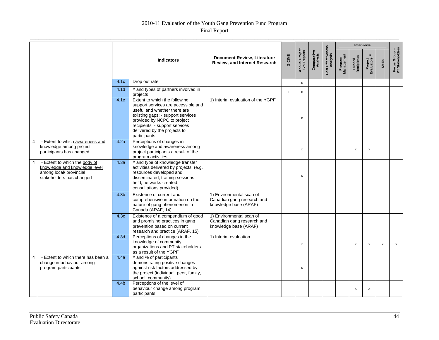# 2010-11 Evaluation of the Youth Gang Prevention Fund Program

|                |                                                                                                                       |                  |                                                                                                                                                                                                                                                           |                                                                                 |        |                                |                         |                                | <b>Interviews</b>     |                      |                             |                           |                                  |
|----------------|-----------------------------------------------------------------------------------------------------------------------|------------------|-----------------------------------------------------------------------------------------------------------------------------------------------------------------------------------------------------------------------------------------------------------|---------------------------------------------------------------------------------|--------|--------------------------------|-------------------------|--------------------------------|-----------------------|----------------------|-----------------------------|---------------------------|----------------------------------|
|                |                                                                                                                       |                  | <b>Indicators</b>                                                                                                                                                                                                                                         | <b>Document Review, Literature</b><br>Review, and Internet Research             | G-CIMS | Annual Project<br>Eval Reports | Comparative<br>Analysis | Cost Effectiveness<br>Analysis | Program<br>Management | Funded<br>Recipients | 77<br>Project<br>Evaluators | SMEs                      | Focus Group -<br>PT Stakeholders |
|                |                                                                                                                       | 4.1c             | Drop out rate                                                                                                                                                                                                                                             |                                                                                 |        | $\pmb{\chi}$                   |                         |                                |                       |                      |                             |                           |                                  |
|                |                                                                                                                       | 4.1 <sub>d</sub> | # and types of partners involved in<br>projects                                                                                                                                                                                                           |                                                                                 | x      | x                              |                         |                                |                       |                      |                             |                           |                                  |
|                |                                                                                                                       | 4.1e             | Extent to which the following<br>support services are accessible and<br>useful and whether there are<br>existing gaps: - support services<br>provided by NCPC to project<br>recipients - support services<br>delivered by the projects to<br>participants | 1) Interim evaluation of the YGPF                                               |        | $\boldsymbol{\mathsf{x}}$      |                         |                                |                       |                      |                             |                           |                                  |
| 4              | - Extent to which awareness and<br>knowledge among project<br>participants has changed                                | 4.2a             | Perceptions of changes in<br>knowledge and awareness among<br>project participants a result of the<br>program activities                                                                                                                                  |                                                                                 |        | $\mathsf{x}$                   |                         |                                |                       | $\mathsf{x}$         | $\boldsymbol{\mathsf{x}}$   |                           |                                  |
| $\overline{4}$ | - Extent to which the body of<br>knowledge and knowledge level<br>among local/ provincial<br>stakeholders has changed | 4.3a             | # and type of knowledge transfer<br>activities delivered by projects: (e.g.<br>resources developed and<br>disseminated; training sessions<br>held; networks created;<br>consultations provided)                                                           |                                                                                 |        | x                              |                         |                                |                       |                      |                             |                           |                                  |
|                |                                                                                                                       | 4.3 <sub>b</sub> | Existence of current and<br>comprehensive information on the<br>nature of gang phenomenon in<br>Canada (ARAF, 14)                                                                                                                                         | 1) Environmental scan of<br>Canadian gang research and<br>knowledge base (ARAF) |        |                                |                         |                                |                       |                      |                             |                           |                                  |
|                |                                                                                                                       | 4.3 <sub>c</sub> | Existence of a compendium of good<br>and promising practices in gang<br>prevention based on current<br>research and practice (ARAF, 15)                                                                                                                   | 1) Environmental scan of<br>Canadian gang research and<br>knowledge base (ARAF) |        |                                |                         |                                |                       |                      |                             |                           |                                  |
|                |                                                                                                                       | 4.3 <sub>d</sub> | Perceptions of changes in the<br>knowledge of community<br>organizations and PT stakeholders<br>as a result of the YGPF                                                                                                                                   | 1) Interim evaluation                                                           |        | $\pmb{\times}$                 |                         |                                |                       | $\pmb{\mathsf{x}}$   | x                           | $\boldsymbol{\mathsf{x}}$ | $\pmb{\mathsf{x}}$               |
| 4              | - Extent to which there has been a<br>change in behaviour among<br>program participants                               | 4.4a             | # and % of participants<br>demonstrating positive changes<br>against risk factors addressed by<br>the project (individual, peer, family,<br>school, community)                                                                                            |                                                                                 |        | $\pmb{\mathsf{x}}$             |                         |                                |                       |                      |                             |                           |                                  |
|                |                                                                                                                       | 4.4 <sub>b</sub> | Perceptions of the level of<br>behaviour change among program<br>participants                                                                                                                                                                             |                                                                                 |        |                                |                         |                                |                       | x                    | x                           |                           |                                  |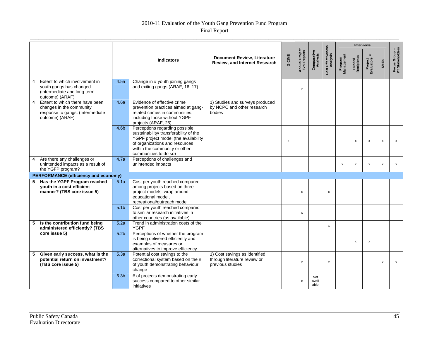# 2010-11 Evaluation of the Youth Gang Prevention Fund Program

Final Report

|                |                                                                                                                    |                  |                                                                                                                                                                                                              |                                                                                   |        |                                        |                         |                                |                       |                           | <b>Interviews</b>                       |                           |                                  |
|----------------|--------------------------------------------------------------------------------------------------------------------|------------------|--------------------------------------------------------------------------------------------------------------------------------------------------------------------------------------------------------------|-----------------------------------------------------------------------------------|--------|----------------------------------------|-------------------------|--------------------------------|-----------------------|---------------------------|-----------------------------------------|---------------------------|----------------------------------|
|                |                                                                                                                    |                  | <b>Indicators</b>                                                                                                                                                                                            | <b>Document Review, Literature</b><br>Review, and Internet Research               | G-CIMS | <b>Annual Project<br/>Eval Reports</b> | Comparative<br>Analysis | Cost Effectiveness<br>Analysis | Program<br>Management | Funded<br>Recipients      | $\overline{r}$<br>Project<br>Evaluators | <b>SMEs</b>               | Focus Group -<br>PT Stakeholders |
|                | Extent to which involvement in<br>youth gangs has changed<br>(intermediate and long-term<br>outcome) (ARAF)        | 4.5a             | Change in # youth joining gangs<br>and exiting gangs (ARAF, 16, 17)                                                                                                                                          |                                                                                   |        | X                                      |                         |                                |                       |                           |                                         |                           |                                  |
| $\overline{4}$ | Extent to which there have been<br>changes in the community<br>response to gangs. (Intermediate<br>outcome) (ARAF) | 4.6a             | Evidence of effective crime<br>prevention practices aimed at gang-<br>related crimes in communities.<br>including those without YGPF<br>projects (ARAF, 25)                                                  | 1) Studies and surveys produced<br>by NCPC and other research<br>bodies           |        |                                        |                         |                                |                       |                           |                                         |                           |                                  |
|                |                                                                                                                    | 4.6 <sub>b</sub> | Perceptions regarding possible<br>sustainability/ transferability of the<br>YGPF project model (the availability<br>of organizations and resources<br>within the community or other<br>communities to do so) |                                                                                   | x      |                                        |                         |                                |                       | X                         | x                                       | $\boldsymbol{\mathsf{x}}$ | x                                |
| $\overline{4}$ | Are there any challenges or<br>unintended impacts as a result of<br>the YGFP program?                              | 4.7a             | Perceptions of challenges and<br>unintended impacts                                                                                                                                                          |                                                                                   |        |                                        |                         |                                | x                     | $\pmb{\mathsf{x}}$        | x                                       | $\boldsymbol{\mathsf{x}}$ | x                                |
|                | <b>PERFORMANCE (efficiency and economy)</b>                                                                        |                  |                                                                                                                                                                                                              |                                                                                   |        |                                        |                         |                                |                       |                           |                                         |                           |                                  |
| 5              | Has the YGPF Program reached<br>vouth in a cost-efficient<br>manner? (TBS core issue 5)                            | 5.1a             | Cost per youth reached compared<br>among projects based on three<br>project models: wrap around,<br>educational model.<br>recreational/outreach model                                                        |                                                                                   |        | X                                      |                         | $\boldsymbol{\mathsf{x}}$      |                       |                           |                                         |                           |                                  |
|                |                                                                                                                    | 5.1 <sub>b</sub> | Cost per youth reached compared<br>to similar research initiatives in<br>other countries (as available)                                                                                                      |                                                                                   |        | X                                      |                         |                                |                       |                           |                                         |                           |                                  |
| 5              | Is the contribution fund being<br>administered efficiently? (TBS                                                   | 5.2a             | Trend in administration costs of the<br><b>YGPF</b>                                                                                                                                                          |                                                                                   |        |                                        |                         | $\boldsymbol{\mathsf{x}}$      |                       |                           |                                         |                           |                                  |
|                | core issue 5)                                                                                                      | 5.2 <sub>b</sub> | Perceptions of whether the program<br>is being delivered efficiently and<br>examples of measures or<br>alternatives to improve efficiency                                                                    |                                                                                   |        |                                        |                         |                                |                       | $\boldsymbol{\mathsf{x}}$ | x                                       |                           |                                  |
| -5             | Given early success, what is the<br>potential return on investment?<br>(TBS core issue 5)                          | 5.3a             | Potential cost savings to the<br>correctional system based on the #<br>of youth demonstrating behaviour<br>change                                                                                            | 1) Cost savings as identified<br>through literature review or<br>previous studies |        | $\boldsymbol{\mathsf{x}}$              |                         | $\boldsymbol{\mathsf{x}}$      |                       |                           |                                         | $\boldsymbol{\mathsf{x}}$ | $\mathsf{x}$                     |
|                |                                                                                                                    | 5.3 <sub>b</sub> | # of projects demonstrating early<br>success compared to other similar<br>initiatives                                                                                                                        |                                                                                   |        | х                                      | Not<br>avail<br>able    |                                |                       |                           |                                         |                           |                                  |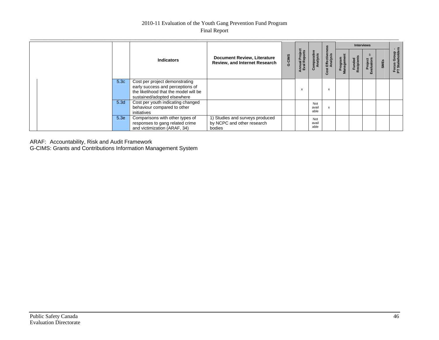#### 2010-11 Evaluation of the Youth Gang Prevention Fund Program Final Report

|      |                                                                                                                                            |                                                                            |        |                                |                        |                              | <b>Interviews</b>     |                      |                       |             | . .                           |
|------|--------------------------------------------------------------------------------------------------------------------------------------------|----------------------------------------------------------------------------|--------|--------------------------------|------------------------|------------------------------|-----------------------|----------------------|-----------------------|-------------|-------------------------------|
|      | <b>Indicators</b>                                                                                                                          | <b>Document Review, Literature</b><br><b>Review, and Internet Research</b> | G-CIMS | Annual Project<br>Eval Reports | omparative<br>Analysis | Cost Effectivene<br>Analysis | Program<br>Management | Funded<br>Recipients | Project<br>Evaluators | <b>SMEs</b> | Focus Group<br>PT Stakeholder |
| 5.3c | Cost per project demonstrating<br>early success and perceptions of<br>the likelihood that the model will be<br>sustained/adopted elsewhere |                                                                            |        |                                |                        | x                            |                       |                      |                       |             |                               |
| 5.3d | Cost per youth indicating changed<br>behaviour compared to other<br>initiatives                                                            |                                                                            |        |                                | Not<br>avail<br>able   | x                            |                       |                      |                       |             |                               |
| 5.3e | Comparisons with other types of<br>responses to gang related crime<br>and victimization (ARAF, 34)                                         | 1) Studies and surveys produced<br>by NCPC and other research<br>bodies    |        |                                | Not<br>avail<br>able   |                              |                       |                      |                       |             |                               |

ARAF: Accountability, Risk and Audit Framework

G-CIMS: Grants and Contributions Information Management System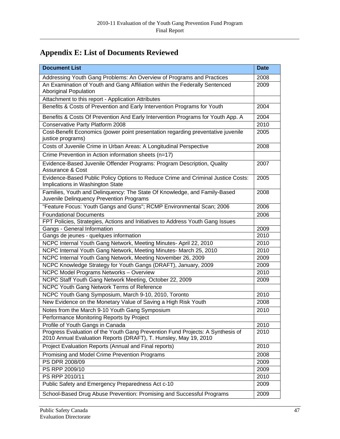# **Appendix E: List of Documents Reviewed**

| <b>Document List</b>                                                                                                                               | <b>Date</b> |
|----------------------------------------------------------------------------------------------------------------------------------------------------|-------------|
| Addressing Youth Gang Problems: An Overview of Programs and Practices                                                                              | 2008        |
| An Examination of Youth and Gang Affiliation within the Federally Sentenced<br><b>Aboriginal Population</b>                                        | 2009        |
| Attachment to this report - Application Attributes                                                                                                 |             |
| Benefits & Costs of Prevention and Early Intervention Programs for Youth                                                                           | 2004        |
| Benefits & Costs Of Prevention And Early Intervention Programs for Youth App. A                                                                    | 2004        |
| <b>Conservative Party Platform 2008</b>                                                                                                            | 2010        |
| Cost-Benefit Economics (power point presentation regarding preventative juvenile<br>justice programs)                                              | 2005        |
| Costs of Juvenile Crime in Urban Areas: A Longitudinal Perspective                                                                                 | 2008        |
| Crime Prevention in Action information sheets (n=17)                                                                                               |             |
| Evidence-Based Juvenile Offender Programs: Program Description, Quality<br>Assurance & Cost                                                        | 2007        |
| Evidence-Based Public Policy Options to Reduce Crime and Criminal Justice Costs:<br>Implications in Washington State                               | 2005        |
| Families, Youth and Delinquency: The State Of Knowledge, and Family-Based<br>Juvenile Delinquency Prevention Programs                              | 2008        |
| "Feature Focus: Youth Gangs and Guns"; RCMP Environmental Scan; 2006                                                                               | 2006        |
| <b>Foundational Documents</b>                                                                                                                      | 2006        |
| FPT Policies, Strategies, Actions and Initiatives to Address Youth Gang Issues                                                                     |             |
| Gangs - General Information                                                                                                                        | 2009        |
| Gangs de jeunes - quelques information                                                                                                             | 2010        |
| NCPC Internal Youth Gang Network, Meeting Minutes- April 22, 2010                                                                                  | 2010        |
| NCPC Internal Youth Gang Network, Meeting Minutes- March 25, 2010                                                                                  | 2010        |
| NCPC Internal Youth Gang Network, Meeting November 26, 2009                                                                                        | 2009        |
| NCPC Knowledge Strategy for Youth Gangs (DRAFT), January, 2009                                                                                     | 2009        |
| NCPC Model Programs Networks - Overview                                                                                                            | 2010        |
| NCPC Staff Youth Gang Network Meeting, October 22, 2009                                                                                            | 2009        |
| NCPC Youth Gang Network Terms of Reference                                                                                                         |             |
| NCPC Youth Gang Symposium, March 9-10, 2010, Toronto                                                                                               | 2010        |
| New Evidence on the Monetary Value of Saving a High Risk Youth                                                                                     | 2008        |
| Notes from the March 9-10 Youth Gang Symposium                                                                                                     | 2010        |
| Performance Monitoring Reports by Project                                                                                                          |             |
| Profile of Youth Gangs in Canada                                                                                                                   | 2010        |
| Progress Evaluation of the Youth Gang Prevention Fund Projects: A Synthesis of<br>2010 Annual Evaluation Reports (DRAFT), T. Hunsley, May 19, 2010 | 2010        |
| Project Evaluation Reports (Annual and Final reports)                                                                                              | 2010        |
| Promising and Model Crime Prevention Programs                                                                                                      | 2008        |
| PS DPR 2008/09                                                                                                                                     | 2009        |
| PS RPP 2009/10                                                                                                                                     | 2009        |
| PS RPP 2010/11                                                                                                                                     | 2010        |
| Public Safety and Emergency Preparedness Act c-10                                                                                                  | 2009        |
| School-Based Drug Abuse Prevention: Promising and Successful Programs                                                                              | 2009        |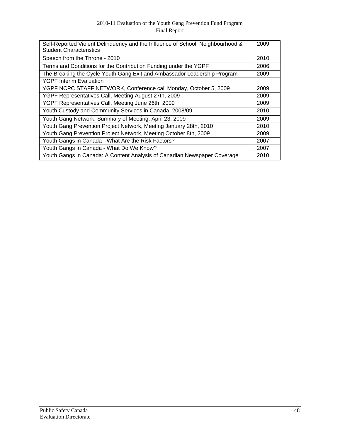### 2010-11 Evaluation of the Youth Gang Prevention Fund Program Final Report

| Self-Reported Violent Delinquency and the Influence of School, Neighbourhood &<br><b>Student Characteristics</b> | 2009 |
|------------------------------------------------------------------------------------------------------------------|------|
| Speech from the Throne - 2010                                                                                    | 2010 |
| Terms and Conditions for the Contribution Funding under the YGPF                                                 | 2006 |
| The Breaking the Cycle Youth Gang Exit and Ambassador Leadership Program                                         | 2009 |
| <b>YGPF Interim Evaluation</b>                                                                                   |      |
| YGPF NCPC STAFF NETWORK, Conference call Monday, October 5, 2009                                                 | 2009 |
| YGPF Representatives Call, Meeting August 27th, 2009                                                             | 2009 |
| YGPF Representatives Call, Meeting June 26th, 2009                                                               | 2009 |
| Youth Custody and Community Services in Canada, 2008/09                                                          | 2010 |
| Youth Gang Network, Summary of Meeting, April 23, 2009                                                           | 2009 |
| Youth Gang Prevention Project Network, Meeting January 28th, 2010                                                | 2010 |
| Youth Gang Prevention Project Network, Meeting October 8th, 2009                                                 | 2009 |
| Youth Gangs in Canada - What Are the Risk Factors?                                                               | 2007 |
| Youth Gangs in Canada - What Do We Know?                                                                         | 2007 |
| Youth Gangs in Canada: A Content Analysis of Canadian Newspaper Coverage                                         | 2010 |
|                                                                                                                  |      |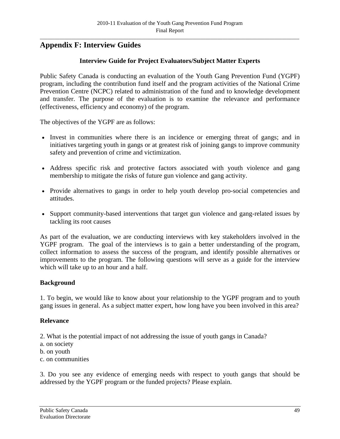# **Appendix F: Interview Guides**

#### **Interview Guide for Project Evaluators/Subject Matter Experts**

Public Safety Canada is conducting an evaluation of the Youth Gang Prevention Fund (YGPF) program, including the contribution fund itself and the program activities of the National Crime Prevention Centre (NCPC) related to administration of the fund and to knowledge development and transfer. The purpose of the evaluation is to examine the relevance and performance (effectiveness, efficiency and economy) of the program.

The objectives of the YGPF are as follows:

- Invest in communities where there is an incidence or emerging threat of gangs; and in initiatives targeting youth in gangs or at greatest risk of joining gangs to improve community safety and prevention of crime and victimization.
- Address specific risk and protective factors associated with youth violence and gang membership to mitigate the risks of future gun violence and gang activity.
- Provide alternatives to gangs in order to help youth develop pro-social competencies and attitudes.
- Support community-based interventions that target gun violence and gang-related issues by tackling its root causes

As part of the evaluation, we are conducting interviews with key stakeholders involved in the YGPF program. The goal of the interviews is to gain a better understanding of the program, collect information to assess the success of the program, and identify possible alternatives or improvements to the program. The following questions will serve as a guide for the interview which will take up to an hour and a half.

#### **Background**

1. To begin, we would like to know about your relationship to the YGPF program and to youth gang issues in general. As a subject matter expert, how long have you been involved in this area?

#### **Relevance**

2. What is the potential impact of not addressing the issue of youth gangs in Canada?

- a. on society
- b. on youth
- c. on communities

3. Do you see any evidence of emerging needs with respect to youth gangs that should be addressed by the YGPF program or the funded projects? Please explain.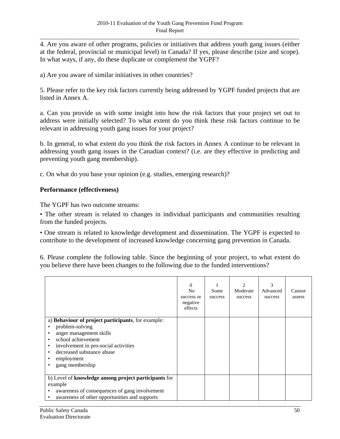4. Are you aware of other programs, policies or initiatives that address youth gang issues (either at the federal, provincial or municipal level) in Canada? If yes, please describe (size and scope). In what ways, if any, do these duplicate or complement the YGPF?

a) Are you aware of similar initiatives in other countries?

5. Please refer to the key risk factors currently being addressed by YGPF funded projects that are listed in Annex A.

a. Can you provide us with some insight into how the risk factors that your project set out to address were initially selected? To what extent do you think these risk factors continue to be relevant in addressing youth gang issues for your project?

b. In general, to what extent do you think the risk factors in Annex A continue to be relevant in addressing youth gang issues in the Canadian context? (i.e. are they effective in predicting and preventing youth gang membership).

c. On what do you base your opinion (e.g. studies, emerging research)?

#### **Performance (effectiveness)**

The YGPF has two outcome streams:

• The other stream is related to changes in individual participants and communities resulting from the funded projects.

• One stream is related to knowledge development and dissemination. The YGPF is expected to contribute to the development of increased knowledge concerning gang prevention in Canada.

6. Please complete the following table. Since the beginning of your project, to what extent do you believe there have been changes to the following due to the funded interventions?

|                                                                                                                                                                                                                                                                                    | $\Omega$<br>N <sub>0</sub><br>success or<br>negative<br>effects | Some<br>success | 2<br>Moderate<br>success | 3<br>Advanced<br>success | Cannot<br>assess |
|------------------------------------------------------------------------------------------------------------------------------------------------------------------------------------------------------------------------------------------------------------------------------------|-----------------------------------------------------------------|-----------------|--------------------------|--------------------------|------------------|
| a) Behaviour of project participants, for example:<br>problem-solving<br>anger management skills<br>٠<br>school achievement<br>$\bullet$<br>involvement in pro-social activities<br>$\bullet$<br>decreased substance abuse<br>٠<br>employment<br>٠<br>gang membership<br>$\bullet$ |                                                                 |                 |                          |                          |                  |
| b) Level of knowledge among project participants for<br>example<br>awareness of consequences of gang involvement<br>٠<br>awareness of other opportunities and supports<br>$\bullet$                                                                                                |                                                                 |                 |                          |                          |                  |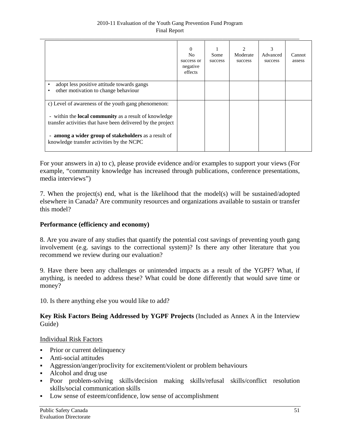|                                                                                                                                                                                                                                                                                         | $\Omega$<br>N <sub>0</sub><br>success or<br>negative<br>effects | Some<br>success | Moderate<br>success | 3<br>Advanced<br>success | Cannot<br>assess |
|-----------------------------------------------------------------------------------------------------------------------------------------------------------------------------------------------------------------------------------------------------------------------------------------|-----------------------------------------------------------------|-----------------|---------------------|--------------------------|------------------|
| adopt less positive attitude towards gangs<br>٠<br>other motivation to change behaviour                                                                                                                                                                                                 |                                                                 |                 |                     |                          |                  |
| c) Level of awareness of the youth gang phenomenon:<br>- within the <b>local community</b> as a result of knowledge<br>transfer activities that have been delivered by the project<br>- among a wider group of stakeholders as a result of<br>knowledge transfer activities by the NCPC |                                                                 |                 |                     |                          |                  |

For your answers in a) to c), please provide evidence and/or examples to support your views (For example, "community knowledge has increased through publications, conference presentations, media interviews")

7. When the project(s) end, what is the likelihood that the model(s) will be sustained/adopted elsewhere in Canada? Are community resources and organizations available to sustain or transfer this model?

# **Performance (efficiency and economy)**

8. Are you aware of any studies that quantify the potential cost savings of preventing youth gang involvement (e.g. savings to the correctional system)? Is there any other literature that you recommend we review during our evaluation?

9. Have there been any challenges or unintended impacts as a result of the YGPF? What, if anything, is needed to address these? What could be done differently that would save time or money?

10. Is there anything else you would like to add?

#### **Key Risk Factors Being Addressed by YGPF Projects** (Included as Annex A in the Interview Guide)

#### Individual Risk Factors

- Prior or current delinquency
- **Anti-social attitudes**
- Aggression/anger/proclivity for excitement/violent or problem behaviours
- Alcohol and drug use
- Poor problem-solving skills/decision making skills/refusal skills/conflict resolution skills/social communication skills
- Low sense of esteem/confidence, low sense of accomplishment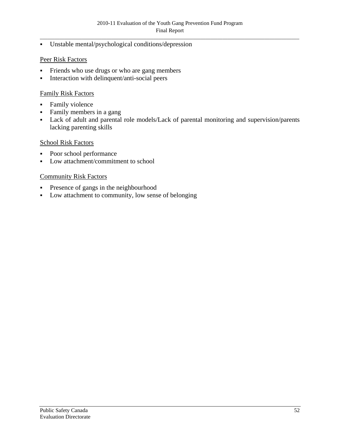Unstable mental/psychological conditions/depression

# Peer Risk Factors

- Friends who use drugs or who are gang members
- **Interaction with delinquent/anti-social peers**

# Family Risk Factors

- **Family violence**
- Family members in a gang
- Lack of adult and parental role models/Lack of parental monitoring and supervision/parents lacking parenting skills

#### School Risk Factors

- Poor school performance
- Low attachment/commitment to school

# Community Risk Factors

- Presence of gangs in the neighbourhood
- Low attachment to community, low sense of belonging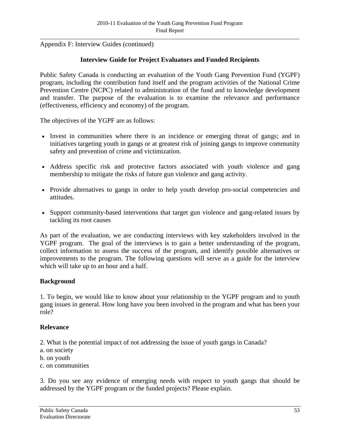Appendix F: Interview Guides (continued)

# **Interview Guide for Project Evaluators and Funded Recipients**

Public Safety Canada is conducting an evaluation of the Youth Gang Prevention Fund (YGPF) program, including the contribution fund itself and the program activities of the National Crime Prevention Centre (NCPC) related to administration of the fund and to knowledge development and transfer. The purpose of the evaluation is to examine the relevance and performance (effectiveness, efficiency and economy) of the program.

The objectives of the YGPF are as follows:

- Invest in communities where there is an incidence or emerging threat of gangs; and in initiatives targeting youth in gangs or at greatest risk of joining gangs to improve community safety and prevention of crime and victimization.
- Address specific risk and protective factors associated with youth violence and gang membership to mitigate the risks of future gun violence and gang activity.
- Provide alternatives to gangs in order to help youth develop pro-social competencies and attitudes.
- Support community-based interventions that target gun violence and gang-related issues by tackling its root causes

As part of the evaluation, we are conducting interviews with key stakeholders involved in the YGPF program. The goal of the interviews is to gain a better understanding of the program, collect information to assess the success of the program, and identify possible alternatives or improvements to the program. The following questions will serve as a guide for the interview which will take up to an hour and a half.

#### **Background**

1. To begin, we would like to know about your relationship to the YGPF program and to youth gang issues in general. How long have you been involved in the program and what has been your role?

#### **Relevance**

2. What is the potential impact of not addressing the issue of youth gangs in Canada?

- a. on society
- b. on youth
- c. on communities

3. Do you see any evidence of emerging needs with respect to youth gangs that should be addressed by the YGPF program or the funded projects? Please explain.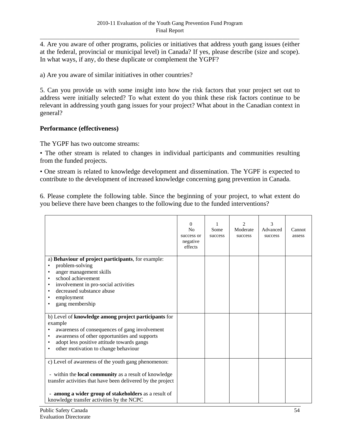4. Are you aware of other programs, policies or initiatives that address youth gang issues (either at the federal, provincial or municipal level) in Canada? If yes, please describe (size and scope). In what ways, if any, do these duplicate or complement the YGPF?

a) Are you aware of similar initiatives in other countries?

5. Can you provide us with some insight into how the risk factors that your project set out to address were initially selected? To what extent do you think these risk factors continue to be relevant in addressing youth gang issues for your project? What about in the Canadian context in general?

#### **Performance (effectiveness)**

The YGPF has two outcome streams:

• The other stream is related to changes in individual participants and communities resulting from the funded projects.

• One stream is related to knowledge development and dissemination. The YGPF is expected to contribute to the development of increased knowledge concerning gang prevention in Canada.

6. Please complete the following table. Since the beginning of your project, to what extent do you believe there have been changes to the following due to the funded interventions?

|                                                                                                                                                                                                                                                                                         | $\Omega$<br>N <sub>0</sub><br>success or<br>negative<br>effects | Some<br>success | 2<br>Moderate<br>success | 3<br>Advanced<br>success | Cannot<br>assess |
|-----------------------------------------------------------------------------------------------------------------------------------------------------------------------------------------------------------------------------------------------------------------------------------------|-----------------------------------------------------------------|-----------------|--------------------------|--------------------------|------------------|
| a) Behaviour of project participants, for example:<br>problem-solving<br>anger management skills<br>school achievement<br>involvement in pro-social activities<br>٠<br>decreased substance abuse<br>employment<br>gang membership                                                       |                                                                 |                 |                          |                          |                  |
| b) Level of knowledge among project participants for<br>example<br>awareness of consequences of gang involvement<br>awareness of other opportunities and supports<br>$\bullet$<br>adopt less positive attitude towards gangs<br>other motivation to change behaviour<br>٠               |                                                                 |                 |                          |                          |                  |
| c) Level of awareness of the youth gang phenomenon:<br>- within the <b>local community</b> as a result of knowledge<br>transfer activities that have been delivered by the project<br>- among a wider group of stakeholders as a result of<br>knowledge transfer activities by the NCPC |                                                                 |                 |                          |                          |                  |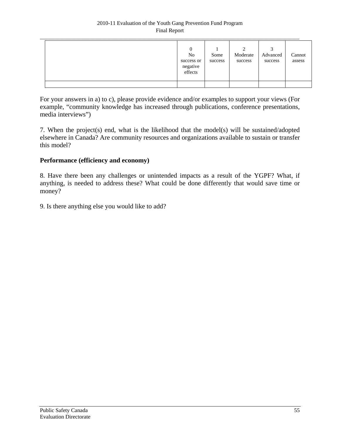| $\mathbf{0}$<br>No<br>success or<br>negative<br>effects | Some<br>success | ∍<br>Moderate<br>success | 2<br>Advanced<br>success | Cannot<br>assess |
|---------------------------------------------------------|-----------------|--------------------------|--------------------------|------------------|
|                                                         |                 |                          |                          |                  |

For your answers in a) to c), please provide evidence and/or examples to support your views (For example, "community knowledge has increased through publications, conference presentations, media interviews")

7. When the project(s) end, what is the likelihood that the model(s) will be sustained/adopted elsewhere in Canada? Are community resources and organizations available to sustain or transfer this model?

# **Performance (efficiency and economy)**

8. Have there been any challenges or unintended impacts as a result of the YGPF? What, if anything, is needed to address these? What could be done differently that would save time or money?

9. Is there anything else you would like to add?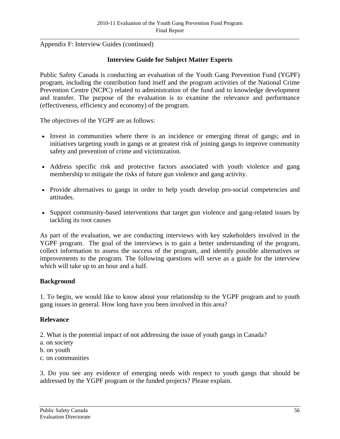Appendix F: Interview Guides (continued)

# **Interview Guide for Subject Matter Experts**

Public Safety Canada is conducting an evaluation of the Youth Gang Prevention Fund (YGPF) program, including the contribution fund itself and the program activities of the National Crime Prevention Centre (NCPC) related to administration of the fund and to knowledge development and transfer. The purpose of the evaluation is to examine the relevance and performance (effectiveness, efficiency and economy) of the program.

The objectives of the YGPF are as follows:

- Invest in communities where there is an incidence or emerging threat of gangs; and in initiatives targeting youth in gangs or at greatest risk of joining gangs to improve community safety and prevention of crime and victimization.
- Address specific risk and protective factors associated with youth violence and gang membership to mitigate the risks of future gun violence and gang activity.
- Provide alternatives to gangs in order to help youth develop pro-social competencies and attitudes.
- Support community-based interventions that target gun violence and gang-related issues by tackling its root causes

As part of the evaluation, we are conducting interviews with key stakeholders involved in the YGPF program. The goal of the interviews is to gain a better understanding of the program, collect information to assess the success of the program, and identify possible alternatives or improvements to the program. The following questions will serve as a guide for the interview which will take up to an hour and a half.

#### **Background**

1. To begin, we would like to know about your relationship to the YGPF program and to youth gang issues in general. How long have you been involved in this area?

#### **Relevance**

2. What is the potential impact of not addressing the issue of youth gangs in Canada?

- a. on society
- b. on youth
- c. on communities

3. Do you see any evidence of emerging needs with respect to youth gangs that should be addressed by the YGPF program or the funded projects? Please explain.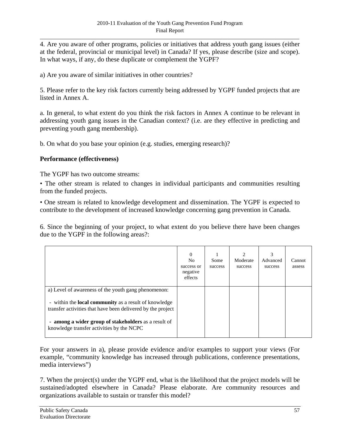4. Are you aware of other programs, policies or initiatives that address youth gang issues (either at the federal, provincial or municipal level) in Canada? If yes, please describe (size and scope). In what ways, if any, do these duplicate or complement the YGPF?

a) Are you aware of similar initiatives in other countries?

5. Please refer to the key risk factors currently being addressed by YGPF funded projects that are listed in Annex A.

a. In general, to what extent do you think the risk factors in Annex A continue to be relevant in addressing youth gang issues in the Canadian context? (i.e. are they effective in predicting and preventing youth gang membership).

b. On what do you base your opinion (e.g. studies, emerging research)?

# **Performance (effectiveness)**

The YGPF has two outcome streams:

• The other stream is related to changes in individual participants and communities resulting from the funded projects.

• One stream is related to knowledge development and dissemination. The YGPF is expected to contribute to the development of increased knowledge concerning gang prevention in Canada.

6. Since the beginning of your project, to what extent do you believe there have been changes due to the YGPF in the following areas?:

|                                                                                                                             | $\Omega$<br>N <sub>0</sub><br>success or<br>negative<br>effects | Some<br>success | $\mathfrak{D}$<br>Moderate<br>success | 3<br>Advanced<br>success | Cannot<br>assess |
|-----------------------------------------------------------------------------------------------------------------------------|-----------------------------------------------------------------|-----------------|---------------------------------------|--------------------------|------------------|
| a) Level of awareness of the youth gang phenomenon:                                                                         |                                                                 |                 |                                       |                          |                  |
| - within the <b>local community</b> as a result of knowledge<br>transfer activities that have been delivered by the project |                                                                 |                 |                                       |                          |                  |
| - among a wider group of stakeholders as a result of<br>knowledge transfer activities by the NCPC                           |                                                                 |                 |                                       |                          |                  |

For your answers in a), please provide evidence and/or examples to support your views (For example, "community knowledge has increased through publications, conference presentations, media interviews")

7. When the project(s) under the YGPF end, what is the likelihood that the project models will be sustained/adopted elsewhere in Canada? Please elaborate. Are community resources and organizations available to sustain or transfer this model?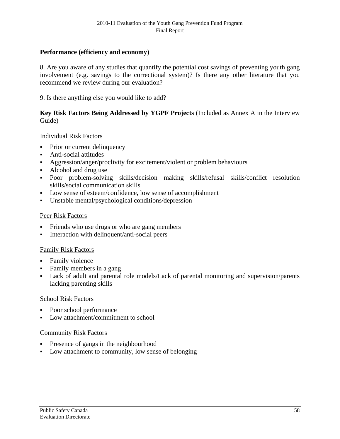# **Performance (efficiency and economy)**

8. Are you aware of any studies that quantify the potential cost savings of preventing youth gang involvement (e.g. savings to the correctional system)? Is there any other literature that you recommend we review during our evaluation?

9. Is there anything else you would like to add?

#### **Key Risk Factors Being Addressed by YGPF Projects** (Included as Annex A in the Interview Guide)

#### Individual Risk Factors

- Prior or current delinquency
- Anti-social attitudes
- Aggression/anger/proclivity for excitement/violent or problem behaviours
- Alcohol and drug use
- Poor problem-solving skills/decision making skills/refusal skills/conflict resolution skills/social communication skills
- Low sense of esteem/confidence, low sense of accomplishment
- Unstable mental/psychological conditions/depression

#### Peer Risk Factors

- Friends who use drugs or who are gang members
- Interaction with delinquent/anti-social peers

#### Family Risk Factors

- Family violence
- Family members in a gang
- Lack of adult and parental role models/Lack of parental monitoring and supervision/parents lacking parenting skills

#### School Risk Factors

- Poor school performance
- Low attachment/commitment to school

#### Community Risk Factors

- Presence of gangs in the neighbourhood
- Low attachment to community, low sense of belonging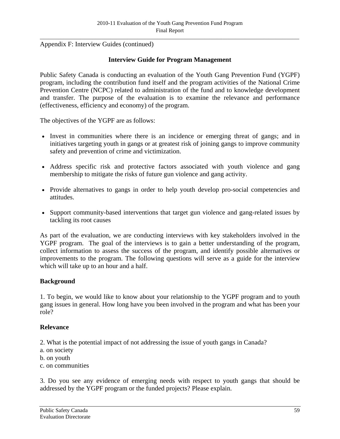Appendix F: Interview Guides (continued)

# **Interview Guide for Program Management**

Public Safety Canada is conducting an evaluation of the Youth Gang Prevention Fund (YGPF) program, including the contribution fund itself and the program activities of the National Crime Prevention Centre (NCPC) related to administration of the fund and to knowledge development and transfer. The purpose of the evaluation is to examine the relevance and performance (effectiveness, efficiency and economy) of the program.

The objectives of the YGPF are as follows:

- Invest in communities where there is an incidence or emerging threat of gangs; and in initiatives targeting youth in gangs or at greatest risk of joining gangs to improve community safety and prevention of crime and victimization.
- Address specific risk and protective factors associated with youth violence and gang membership to mitigate the risks of future gun violence and gang activity.
- Provide alternatives to gangs in order to help youth develop pro-social competencies and attitudes.
- Support community-based interventions that target gun violence and gang-related issues by tackling its root causes

As part of the evaluation, we are conducting interviews with key stakeholders involved in the YGPF program. The goal of the interviews is to gain a better understanding of the program, collect information to assess the success of the program, and identify possible alternatives or improvements to the program. The following questions will serve as a guide for the interview which will take up to an hour and a half.

#### **Background**

1. To begin, we would like to know about your relationship to the YGPF program and to youth gang issues in general. How long have you been involved in the program and what has been your role?

#### **Relevance**

2. What is the potential impact of not addressing the issue of youth gangs in Canada?

- a. on society
- b. on youth
- c. on communities

3. Do you see any evidence of emerging needs with respect to youth gangs that should be addressed by the YGPF program or the funded projects? Please explain.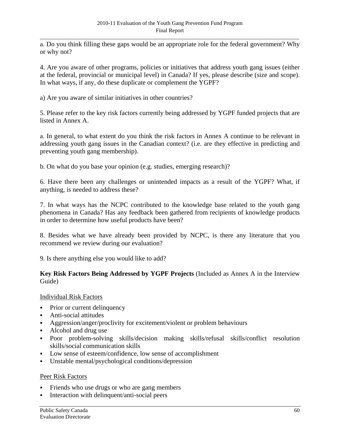a. Do you think filling these gaps would be an appropriate role for the federal government? Why or why not?

4. Are you aware of other programs, policies or initiatives that address youth gang issues (either at the federal, provincial or municipal level) in Canada? If yes, please describe (size and scope). In what ways, if any, do these duplicate or complement the YGPF?

a) Are you aware of similar initiatives in other countries?

5. Please refer to the key risk factors currently being addressed by YGPF funded projects that are listed in Annex A.

a. In general, to what extent do you think the risk factors in Annex A continue to be relevant in addressing youth gang issues in the Canadian context? (i.e. are they effective in predicting and preventing youth gang membership).

b. On what do you base your opinion (e.g. studies, emerging research)?

6. Have there been any challenges or unintended impacts as a result of the YGPF? What, if anything, is needed to address these?

7. In what ways has the NCPC contributed to the knowledge base related to the youth gang phenomena in Canada? Has any feedback been gathered from recipients of knowledge products in order to determine how useful products have been?

8. Besides what we have already been provided by NCPC, is there any literature that you recommend we review during our evaluation?

9. Is there anything else you would like to add?

#### **Key Risk Factors Being Addressed by YGPF Projects** (Included as Annex A in the Interview Guide)

# Individual Risk Factors

- Prior or current delinquency
- Anti-social attitudes
- Aggression/anger/proclivity for excitement/violent or problem behaviours
- Alcohol and drug use
- Poor problem-solving skills/decision making skills/refusal skills/conflict resolution skills/social communication skills
- Low sense of esteem/confidence, low sense of accomplishment
- Unstable mental/psychological conditions/depression

#### Peer Risk Factors

- Friends who use drugs or who are gang members
- Interaction with delinquent/anti-social peers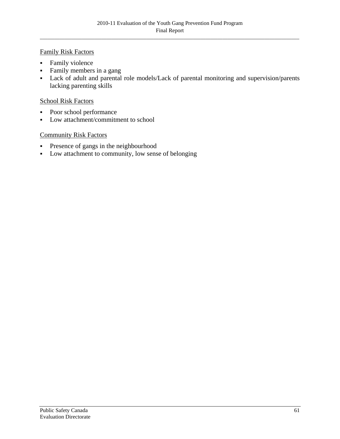## Family Risk Factors

- **Family violence**
- Family members in a gang
- Lack of adult and parental role models/Lack of parental monitoring and supervision/parents lacking parenting skills

## School Risk Factors

- Poor school performance
- Low attachment/commitment to school

# Community Risk Factors

- **Presence of gangs in the neighbourhood**
- Low attachment to community, low sense of belonging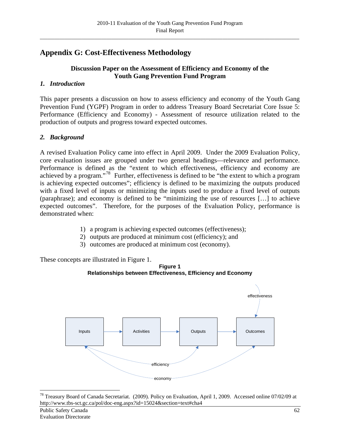# <span id="page-69-0"></span>**Appendix G: Cost-Effectiveness Methodology**

# **Discussion Paper on the Assessment of Efficiency and Economy of the Youth Gang Prevention Fund Program**

# *1. Introduction*

This paper presents a discussion on how to assess efficiency and economy of the Youth Gang Prevention Fund (YGPF) Program in order to address Treasury Board Secretariat Core Issue 5: Performance (Efficiency and Economy) - Assessment of resource utilization related to the production of outputs and progress toward expected outcomes.

# *2. Background*

A revised Evaluation Policy came into effect in April 2009. Under the 2009 Evaluation Policy, core evaluation issues are grouped under two general headings—relevance and performance. Performance is defined as the "extent to which effectiveness, efficiency and economy are achieved by a program."[78](#page-69-0) Further, effectiveness is defined to be "the extent to which a program is achieving expected outcomes"; efficiency is defined to be maximizing the outputs produced with a fixed level of inputs or minimizing the inputs used to produce a fixed level of outputs (paraphrase); and economy is defined to be "minimizing the use of resources […] to achieve expected outcomes". Therefore, for the purposes of the Evaluation Policy, performance is demonstrated when:

- 1) a program is achieving expected outcomes (effectiveness);
- 2) outputs are produced at minimum cost (efficiency); and
- 3) outcomes are produced at minimum cost (economy).

These concepts are illustrated in Figure 1.



efficiency

economy

<sup>&</sup>lt;u>.</u> <sup>78</sup> Treasury Board of Canada Secretariat. (2009). Policy on Evaluation, April 1, 2009. Accessed online 07/02/09 at http://www.tbs-sct.gc.ca/pol/doc-eng.aspx?id=15024&section=text#cha4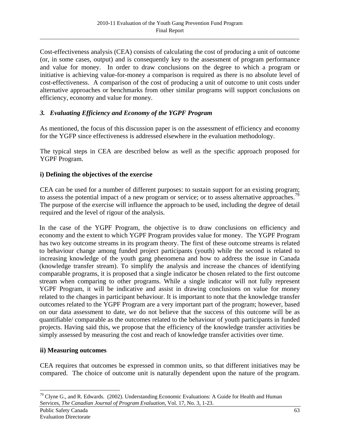<span id="page-70-0"></span>Cost-effectiveness analysis (CEA) consists of calculating the cost of producing a unit of outcome (or, in some cases, output) and is consequently key to the assessment of program performance and value for money. In order to draw conclusions on the degree to which a program or initiative is achieving value-for-money a comparison is required as there is no absolute level of cost-effectiveness. A comparison of the cost of producing a unit of outcome to unit costs under alternative approaches or benchmarks from other similar programs will support conclusions on efficiency, economy and value for money.

# *3. Evaluating Efficiency and Economy of the YGPF Program*

As mentioned, the focus of this discussion paper is on the assessment of efficiency and economy for the YGFP since effectiveness is addressed elsewhere in the evaluation methodology.

The typical steps in CEA are described below as well as the specific approach proposed for YGPF Program.

# **i) Defining the objectives of the exercise**

CEA can be used for a number of different purposes: to sustain support for an existing program; to assess the potential impact of a new program or service; or to assess alternative approaches.<sup>79</sup> The purpose of the exercise will influence the approach to be used, including the degree of detail required and the level of rigour of the analysis.

In the case of the YGPF Program, the objective is to draw conclusions on efficiency and economy and the extent to which YGPF Program provides value for money. The YGPF Program has two key outcome streams in its program theory. The first of these outcome streams is related to behaviour change among funded project participants (youth) while the second is related to increasing knowledge of the youth gang phenomena and how to address the issue in Canada (knowledge transfer stream). To simplify the analysis and increase the chances of identifying comparable programs, it is proposed that a single indicator be chosen related to the first outcome stream when comparing to other programs. While a single indicator will not fully represent YGPF Program, it will be indicative and assist in drawing conclusions on value for money related to the changes in participant behaviour. It is important to note that the knowledge transfer outcomes related to the YGPF Program are a very important part of the program; however, based on our data assessment to date, we do not believe that the success of this outcome will be as quantifiable/ comparable as the outcomes related to the behaviour of youth participants in funded projects. Having said this, we propose that the efficiency of the knowledge transfer activities be simply assessed by measuring the cost and reach of knowledge transfer activities over time.

#### **ii) Measuring outcomes**

CEA requires that outcomes be expressed in common units, so that different initiatives may be compared. The choice of outcome unit is naturally dependent upon the nature of the program.

<sup>&</sup>lt;u>.</u>  $^{79}$  Clyne G., and R. Edwards. (2002). Understanding Economic Evaluations: A Guide for Health and Human Services, *The Canadian Journal of Program Evaluation,* Vol. 17, No. 3, 1-23.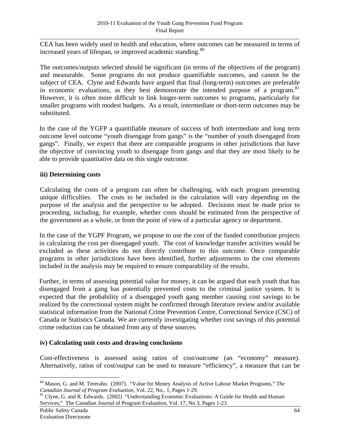<span id="page-71-0"></span>CEA has been widely used in health and education, where outcomes can be measured in terms of increased years of lifespan, or improved academic standing.<sup>[80](#page-71-0)</sup>

The outcomes/outputs selected should be significant (in terms of the objectives of the program) and measurable. Some programs do not produce quantifiable outcomes, and cannot be the subject of CEA. Clyne and Edwards have argued that final (long-term) outcomes are preferable in economic evaluations, as they best demonstrate the intended purpose of a program.  $81$ However, it is often more difficult to link longer-term outcomes to programs, particularly for smaller programs with modest budgets. As a result, intermediate or short-term outcomes may be substituted.

In the case of the YGFP a quantifiable measure of success of both intermediate and long term outcome level outcome "youth disengage from gangs" is the "number of youth disengaged from gangs". Finally, we expect that there are comparable programs in other jurisdictions that have the objective of convincing youth to disengage from gangs and that they are most likely to be able to provide quantitative data on this single outcome.

#### **iii) Determining costs**

Calculating the costs of a program can often be challenging, with each program presenting unique difficulties. The costs to be included in the calculation will vary depending on the purpose of the analysis and the perspective to be adopted. Decisions must be made prior to proceeding, including, for example, whether costs should be estimated from the perspective of the government as a whole, or from the point of view of a particular agency or department.

In the case of the YGPF Program, we propose to use the cost of the funded contribution projects in calculating the cost per disengaged youth. The cost of knowledge transfer activities would be excluded as these activities do not directly contribute to this outcome. Once comparable programs in other jurisdictions have been identified, further adjustments to the cost elements included in the analysis may be required to ensure comparability of the results.

Further, in terms of assessing potential value for money, it can be argued that each youth that has disengaged from a gang has potentially prevented costs to the criminal justice system. It is expected that the probability of a disengaged youth gang member causing cost savings to be realized by the correctional system might be confirmed through literature review and/or available statistical information from the National Crime Prevention Centre, Correctional Service (CSC) of Canada or Statistics Canada. We are currently investigating whether cost savings of this potential crime reduction can be obtained from any of these sources.

#### **iv) Calculating unit costs and drawing conclusions**

Cost-effectiveness is assessed using ratios of cost/*outcome* (an "economy" measure). Alternatively, ratios of cost/*output* can be used to measure "efficiency", a measure that can be

1

<sup>80</sup> Mason, G. and M. Tereraho. (2007). "Value for Money Analysis of Active Labour Market Programs," *The* 

<sup>&</sup>lt;sup>81</sup> Clyne, G. and R. Edwards. (2002) "Understanding Economic Evaluations: A Guide for Health and Human Services," The Canadian Journal of Program Evaluation, Vol. 17, No 3, Pages 1-23.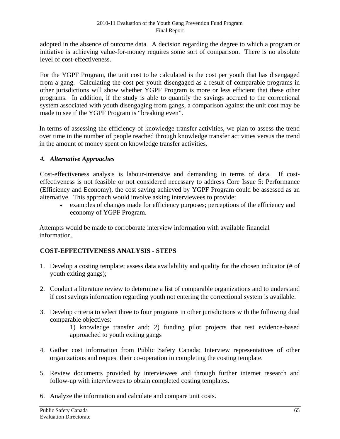adopted in the absence of outcome data. A decision regarding the degree to which a program or initiative is achieving value-for-money requires some sort of comparison. There is no absolute level of cost-effectiveness.

For the YGPF Program, the unit cost to be calculated is the cost per youth that has disengaged from a gang. Calculating the cost per youth disengaged as a result of comparable programs in other jurisdictions will show whether YGPF Program is more or less efficient that these other programs. In addition, if the study is able to quantify the savings accrued to the correctional system associated with youth disengaging from gangs, a comparison against the unit cost may be made to see if the YGPF Program is "breaking even".

In terms of assessing the efficiency of knowledge transfer activities, we plan to assess the trend over time in the number of people reached through knowledge transfer activities versus the trend in the amount of money spent on knowledge transfer activities.

## *4. Alternative Approaches*

Cost-effectiveness analysis is labour-intensive and demanding in terms of data. If costeffectiveness is not feasible or not considered necessary to address Core Issue 5: Performance (Efficiency and Economy), the cost saving achieved by YGPF Program could be assessed as an alternative. This approach would involve asking interviewees to provide:

• examples of changes made for efficiency purposes; perceptions of the efficiency and economy of YGPF Program.

Attempts would be made to corroborate interview information with available financial information.

## **COST-EFFECTIVENESS ANALYSIS - STEPS**

- 1. Develop a costing template; assess data availability and quality for the chosen indicator (# of youth exiting gangs);
- 2. Conduct a literature review to determine a list of comparable organizations and to understand if cost savings information regarding youth not entering the correctional system is available.
- 3. Develop criteria to select three to four programs in other jurisdictions with the following dual comparable objectives:

1) knowledge transfer and; 2) funding pilot projects that test evidence-based approached to youth exiting gangs

- 4. Gather cost information from Public Safety Canada; Interview representatives of other organizations and request their co-operation in completing the costing template.
- 5. Review documents provided by interviewees and through further internet research and follow-up with interviewees to obtain completed costing templates.
- 6. Analyze the information and calculate and compare unit costs.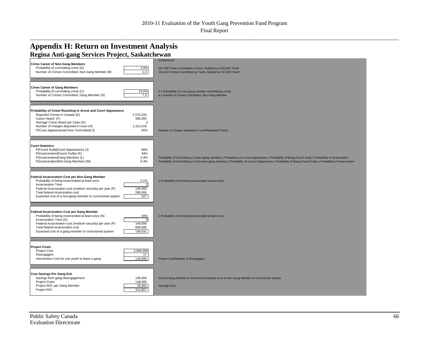\_\_\_\_\_\_\_\_\_\_\_\_\_\_\_\_\_\_\_\_\_\_\_\_\_\_\_\_\_\_\_\_\_\_\_\_\_\_\_\_\_\_\_\_\_\_\_\_\_\_\_\_\_\_\_\_\_\_\_\_\_\_\_\_\_\_\_\_\_\_\_\_\_\_\_\_\_\_\_\_\_\_\_\_\_\_\_\_\_\_\_\_\_\_\_\_\_\_\_\_\_\_\_\_\_\_\_\_\_\_\_\_\_\_\_\_\_\_\_\_\_\_\_\_\_\_\_\_\_\_\_\_\_

## **Appendix H: Return on Investment Analysis Regina Anti-gang Services Project, Saskatchewan**

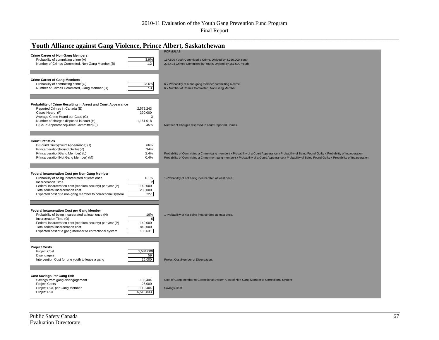## 2010-11 Evaluation of the Youth Gang Prevention Fund Program

Final Report \_\_\_\_\_\_\_\_\_\_\_\_\_\_\_\_\_\_\_\_\_\_\_\_\_\_\_\_\_\_\_\_\_\_\_\_\_\_\_\_\_\_\_\_\_\_\_\_\_\_\_\_\_\_\_\_\_\_\_\_\_\_\_\_\_\_\_\_\_\_\_\_\_\_\_\_\_\_\_\_\_\_\_\_\_\_\_\_\_\_\_\_\_\_\_\_\_\_\_\_\_\_\_\_\_\_\_\_\_\_\_\_\_\_\_\_\_\_\_\_\_\_\_\_\_\_\_\_\_\_\_\_\_

| <b>Youth Alliance against Gang Violence, Prince Albert, Saskatchewan</b>                                                                                                                                                                                                                                                                     |                                                                                                                                                                                                                                                                                                                      |  |  |
|----------------------------------------------------------------------------------------------------------------------------------------------------------------------------------------------------------------------------------------------------------------------------------------------------------------------------------------------|----------------------------------------------------------------------------------------------------------------------------------------------------------------------------------------------------------------------------------------------------------------------------------------------------------------------|--|--|
| <b>Crime Career of Non-Gang Members</b><br>3.9%<br>Probability of committing crime (A)<br>Number of Crimes Committed, Non-Gang Member (B)<br>1.2                                                                                                                                                                                             | <b>FORMULAS</b><br>167,500 Youth Committed a Crime, Divided by 4,250,000 Youth<br>204,424 Crimes Committed by Youth, Divided by 167,500 Youth                                                                                                                                                                        |  |  |
| <b>Crime Career of Gang Members</b><br>23.6%<br>Probability of committing crime (C)<br>Number of Crimes Committed, Gang Member (D)<br>7.3                                                                                                                                                                                                    | 6 x Probability of a non-gang member committing a crime<br>6 x Number of Crimes Committed, Non-Gang Member                                                                                                                                                                                                           |  |  |
| Probability of Crime Resulting in Arrest and Court Appearance<br>Reported Crimes in Canada (E)<br>2,572,243<br>390,000<br>Cases Heard (F)<br>Average Crime Heard per Case (G)<br>3<br>Number of charges disposed in court (H)<br>1,161,018<br>P(Court Appearance Crime Committed) (I)<br>45%                                                 | Number of Charges disposed in court/Reported Crimes                                                                                                                                                                                                                                                                  |  |  |
| <b>Court Statistics</b><br>P(Found Guilty Court Appearance) (J)<br>66%<br>P(Incarceration Found Guilty) (K)<br>34%<br>P(Incarceration Gang Member) (L)<br>2.4%<br>P(Incarceration Not Gang Member) (M)<br>0.4%                                                                                                                               | Probability of Committing a Crime (gang member) x Probability of a Court Appearance x Probability of Being Found Guilty x Probability of Incarceration<br>Probability of Committing a Crime (non-gang member) x Probability of a Court Appearance x Probability of Being Found Guilty x Probability of Incarceration |  |  |
| Federal Incarceration Cost per Non-Gang Member<br>Probability of being incarcerated at least once<br>0.1%<br>$\overline{2}$<br>Incarceration Time<br>Federal incarceration cost (medium security) per year (P)<br>140,000<br>Total federal incarceration cost<br>280,000<br>227<br>Expected cost of a non-gang member to correctional system | 1-Probability of not being incarcerated at least once.                                                                                                                                                                                                                                                               |  |  |
| <b>Federal Incarceration Cost per Gang Member</b><br>Probability of being incarcerated at least once (N)<br>16%<br>Incarceration Time (O)<br>6<br>140,000<br>Federal incarceration cost (medium security) per year (P)<br>840,000<br>Total federal incarceration cost<br>136,631<br>Expected cost of a gang member to correctional system    | 1-Probability of not being incarcerated at least once.                                                                                                                                                                                                                                                               |  |  |
| <b>Project Costs</b><br>1,534,000<br><b>Project Cost</b><br>59<br>Disengagers<br>26,000<br>Intervention Cost for one youth to leave a gang                                                                                                                                                                                                   | Project Cost/Number of Disengagers                                                                                                                                                                                                                                                                                   |  |  |
| <b>Cost Savings Per Gang Exit</b><br>Savings from gang disengagement<br>136,404<br><b>Project Costs</b><br>26,000<br>Project ROI, per Gang Member<br>110,404<br>Project ROI<br>6,513,833                                                                                                                                                     | Cost of Gang Member to Correctional System-Cost of Non-Gang Member to Correctional System<br>Savings-Cost                                                                                                                                                                                                            |  |  |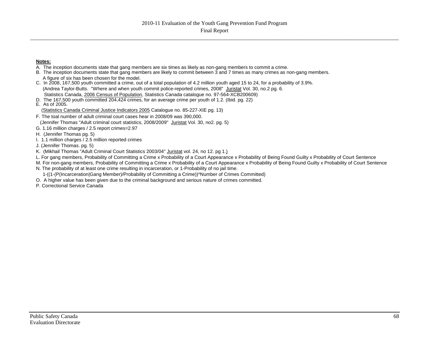\_\_\_\_\_\_\_\_\_\_\_\_\_\_\_\_\_\_\_\_\_\_\_\_\_\_\_\_\_\_\_\_\_\_\_\_\_\_\_\_\_\_\_\_\_\_\_\_\_\_\_\_\_\_\_\_\_\_\_\_\_\_\_\_\_\_\_\_\_\_\_\_\_\_\_\_\_\_\_\_\_\_\_\_\_\_\_\_\_\_\_\_\_\_\_\_\_\_\_\_\_\_\_\_\_\_\_\_\_\_\_\_\_\_\_\_\_\_\_\_\_\_\_\_\_\_\_\_\_\_\_\_\_

#### **Notes:**

- A. The inception documents state that gang members are six times as likely as non-gang members to commit a crime.
- B. The inception documents state that gang members are likely to commit between 3 and 7 times as many crimes as non-gang members. A figure of six has been chosen for the model.
- C. In 2008, 167,500 youth committed a crime, out of a total population of 4.2 million youth aged 15 to 24, for a probability of 3.9%. (Andrea Taylor-Butts. "Where and when youth commit police-reported crimes, 2008" Juristat Vol. 30, no.2 pg. 6. Statistics Canada, 2006 Census of Population, Statistics Canada catalogue no. 97-564-XCB200609)
- D. The 167,500 youth committed 204,424 crimes, for an average crime per youth of 1.2. (Ibid. pg. 22) E. As of 2005.
- (Statistics Canada Criminal Justice Indicators 2005 Catalogue no. 85-227-XIE pg. 13)
- F. The toal number of adult criminal court cases hear in 2008/09 was 390,000. (Jennifer Thomas "Adult criminal court statistics, 2008/2009" Juristat Vol. 30, no2. pg. 5)
- G. 1.16 million charges / 2.5 report crimes=2.97
- H. (Jennifer Thomas pg. 5)
- I. 1.1 million charges / 2.5 million reported crimes
- J. (Jennifer Thomas. pg. 5)
- K. (Mikhail Thomas "Adult Criminal Court Statistics 2003/04" Juristat vol. 24, no 12. pg 1.)
- L. For gang members, Probability of Committing a Crime x Probability of a Court Appearance x Probability of Being Found Guilty x Probability of Court Sentence
- M. For non-gang members, Probability of Committing a Crime x Probability of a Court Appearance x Probability of Being Found Guilty x Probability of Court Sentence N. The probability of at least one crime resulting in incarceration, or 1-Probability of no jail time.
	- 1-((1-(P(Incarceration|Gang Member)/Probability of Committing a Crime))^Number of Crimes Committed)
- O. A higher value has been given due to the criminal background and serious nature of crimes committed.
- P. Correctional Service Canada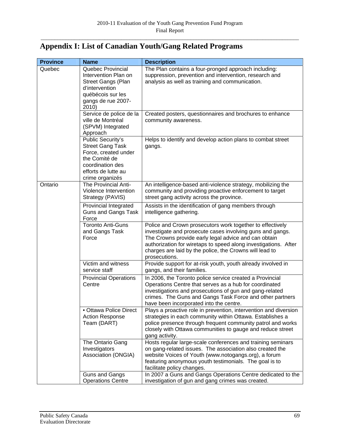# **Appendix I: List of Canadian Youth/Gang Related Programs**

| <b>Province</b> | <b>Name</b>                                                                                                                                         | <b>Description</b>                                                                                                                                                                                                                                                                                                            |
|-----------------|-----------------------------------------------------------------------------------------------------------------------------------------------------|-------------------------------------------------------------------------------------------------------------------------------------------------------------------------------------------------------------------------------------------------------------------------------------------------------------------------------|
| Quebec          | Quebec Provincial<br>Intervention Plan on<br><b>Street Gangs (Plan</b><br>d'intervention<br>québécois sur les<br>gangs de rue 2007-<br>2010)        | The Plan contains a four-pronged approach including:<br>suppression, prevention and intervention, research and<br>analysis as well as training and communication.                                                                                                                                                             |
|                 | Service de police de la<br>ville de Montréal<br>(SPVM) Integrated<br>Approach                                                                       | Created posters, questionnaires and brochures to enhance<br>community awareness.                                                                                                                                                                                                                                              |
|                 | Public Security's<br><b>Street Gang Task</b><br>Force, created under<br>the Comité de<br>coordination des<br>efforts de lutte au<br>crime organizés | Helps to identify and develop action plans to combat street<br>gangs.                                                                                                                                                                                                                                                         |
| Ontario         | The Provincial Anti-<br>Violence Intervention<br>Strategy (PAVIS)                                                                                   | An intelligence-based anti-violence strategy, mobilizing the<br>community and providing proactive enforcement to target<br>street gang activity across the province.                                                                                                                                                          |
|                 | Provincial Integrated<br><b>Guns and Gangs Task</b><br>Force                                                                                        | Assists in the identification of gang members through<br>intelligence gathering.                                                                                                                                                                                                                                              |
|                 | <b>Toronto Anti-Guns</b><br>and Gangs Task<br>Force                                                                                                 | Police and Crown prosecutors work together to effectively<br>investigate and prosecute cases involving guns and gangs.<br>The Crowns provide early legal advice and can obtain<br>authorization for wiretaps to speed along investigations. After<br>charges are laid by the police, the Crowns will lead to<br>prosecutions. |
|                 | Victim and witness<br>service staff                                                                                                                 | Provide support for at-risk youth, youth already involved in<br>gangs, and their families.                                                                                                                                                                                                                                    |
|                 | <b>Provincial Operations</b><br>Centre                                                                                                              | In 2006, the Toronto police service created a Provincial<br>Operations Centre that serves as a hub for coordinated<br>investigations and prosecutions of gun and gang-related<br>crimes. The Guns and Gangs Task Force and other partners<br>have been incorporated into the centre.                                          |
|                 | • Ottawa Police Direct<br><b>Action Response</b><br>Team (DART)                                                                                     | Plays a proactive role in prevention, intervention and diversion<br>strategies in each community within Ottawa. Establishes a<br>police presence through frequent community patrol and works<br>closely with Ottawa communities to gauge and reduce street<br>gang activity.                                                  |
|                 | The Ontario Gang<br>Investigators<br>Association (ONGIA)                                                                                            | Hosts regular large-scale conferences and training seminars<br>on gang-related issues. The association also created the<br>website Voices of Youth (www.notogangs.org), a forum<br>featuring anonymous youth testimonials. The goal is to<br>facilitate policy changes.                                                       |
|                 | Guns and Gangs<br><b>Operations Centre</b>                                                                                                          | In 2007 a Guns and Gangs Operations Centre dedicated to the<br>investigation of gun and gang crimes was created.                                                                                                                                                                                                              |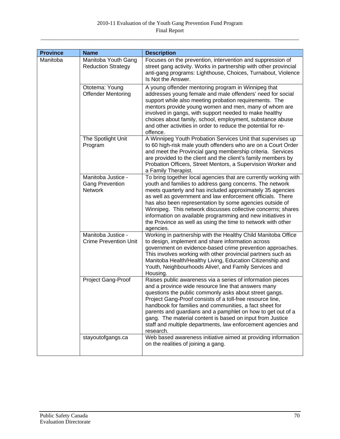| <b>Province</b> | <b>Name</b>                                                    | <b>Description</b>                                                                                                                                                                                                                                                                                                                                                                                                                                                                                                               |
|-----------------|----------------------------------------------------------------|----------------------------------------------------------------------------------------------------------------------------------------------------------------------------------------------------------------------------------------------------------------------------------------------------------------------------------------------------------------------------------------------------------------------------------------------------------------------------------------------------------------------------------|
| Manitoba        | Manitoba Youth Gang<br><b>Reduction Strategy</b>               | Focuses on the prevention, intervention and suppression of<br>street gang activity. Works in partnership with other provincial<br>anti-gang programs: Lighthouse, Choices, Turnabout, Violence<br>Is Not the Answer.                                                                                                                                                                                                                                                                                                             |
|                 | Ototema: Young<br><b>Offender Mentoring</b>                    | A young offender mentoring program in Winnipeg that<br>addresses young female and male offenders' need for social<br>support while also meeting probation requirements. The<br>mentors provide young women and men, many of whom are<br>involved in gangs, with support needed to make healthy<br>choices about family, school, employment, substance abuse<br>and other activities in order to reduce the potential for re-<br>offence.                                                                                         |
|                 | The Spotlight Unit<br>Program                                  | A Winnipeg Youth Probation Services Unit that supervises up<br>to 60 high-risk male youth offenders who are on a Court Order<br>and meet the Provincial gang membership criteria. Services<br>are provided to the client and the client's family members by<br>Probation Officers, Street Mentors, a Supervision Worker and<br>a Family Therapist.                                                                                                                                                                               |
|                 | Manitoba Justice -<br><b>Gang Prevention</b><br><b>Network</b> | To bring together local agencies that are currently working with<br>youth and families to address gang concerns. The network<br>meets quarterly and has included approximately 35 agencies<br>as well as government and law enforcement officials. There<br>has also been representation by some agencies outside of<br>Winnipeg. This network discusses collective concerns; shares<br>information on available programming and new initiatives in<br>the Province as well as using the time to network with other<br>agencies. |
|                 | Manitoba Justice -<br><b>Crime Prevention Unit</b>             | Working in partnership with the Healthy Child Manitoba Office<br>to design, implement and share information across<br>government on evidence-based crime prevention approaches.<br>This involves working with other provincial partners such as<br>Manitoba Health/Healthy Living, Education Citizenship and<br>Youth, Neighbourhoods Alive!, and Family Services and<br>Housing.                                                                                                                                                |
|                 | Project Gang-Proof                                             | Raises public awareness via a series of information pieces<br>and a province wide resource line that answers many<br>questions the public commonly asks about street gangs.<br>Project Gang-Proof consists of a toll-free resource line,<br>handbook for families and communities, a fact sheet for<br>parents and guardians and a pamphlet on how to get out of a<br>gang. The material content is based on input from Justice<br>staff and multiple departments, law enforcement agencies and<br>research.                     |
|                 | stayoutofgangs.ca                                              | Web based awareness initiative aimed at providing information<br>on the realities of joining a gang.                                                                                                                                                                                                                                                                                                                                                                                                                             |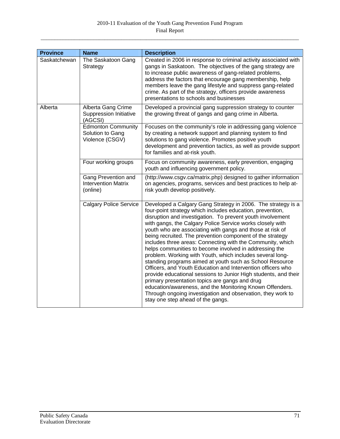| <b>Province</b> | <b>Name</b>                                                      | <b>Description</b>                                                                                                                                                                                                                                                                                                                                                                                                                                                                                                                                                                                                                                                                                                                                                                                                                                                                                                                                                                  |
|-----------------|------------------------------------------------------------------|-------------------------------------------------------------------------------------------------------------------------------------------------------------------------------------------------------------------------------------------------------------------------------------------------------------------------------------------------------------------------------------------------------------------------------------------------------------------------------------------------------------------------------------------------------------------------------------------------------------------------------------------------------------------------------------------------------------------------------------------------------------------------------------------------------------------------------------------------------------------------------------------------------------------------------------------------------------------------------------|
| Saskatchewan    | The Saskatoon Gang<br>Strategy                                   | Created in 2006 in response to criminal activity associated with<br>gangs in Saskatoon. The objectives of the gang strategy are<br>to increase public awareness of gang-related problems,<br>address the factors that encourage gang membership, help<br>members leave the gang lifestyle and suppress gang-related<br>crime. As part of the strategy, officers provide awareness<br>presentations to schools and businesses                                                                                                                                                                                                                                                                                                                                                                                                                                                                                                                                                        |
| Alberta         | Alberta Gang Crime<br><b>Suppression Initiative</b><br>(AGCSI)   | Developed a provincial gang suppression strategy to counter<br>the growing threat of gangs and gang crime in Alberta.                                                                                                                                                                                                                                                                                                                                                                                                                                                                                                                                                                                                                                                                                                                                                                                                                                                               |
|                 | <b>Edmonton Community</b><br>Solution to Gang<br>Violence (CSGV) | Focuses on the community's role in addressing gang violence<br>by creating a network support and planning system to find<br>solutions to gang violence. Promotes positive youth<br>development and prevention tactics, as well as provide support<br>for families and at-risk youth.                                                                                                                                                                                                                                                                                                                                                                                                                                                                                                                                                                                                                                                                                                |
|                 | Four working groups                                              | Focus on community awareness, early prevention, engaging<br>youth and influencing government policy.                                                                                                                                                                                                                                                                                                                                                                                                                                                                                                                                                                                                                                                                                                                                                                                                                                                                                |
|                 | Gang Prevention and<br><b>Intervention Matrix</b><br>(online)    | (http://www.csgv.ca/matrix.php) designed to gather information<br>on agencies, programs, services and best practices to help at-<br>risk youth develop positively.                                                                                                                                                                                                                                                                                                                                                                                                                                                                                                                                                                                                                                                                                                                                                                                                                  |
|                 | <b>Calgary Police Service</b>                                    | Developed a Calgary Gang Strategy in 2006. The strategy is a<br>four-point strategy which includes education, prevention,<br>disruption and investigation. To prevent youth involvement<br>with gangs, the Calgary Police Service works closely with<br>youth who are associating with gangs and those at risk of<br>being recruited. The prevention component of the strategy<br>includes three areas: Connecting with the Community, which<br>helps communities to become involved in addressing the<br>problem. Working with Youth, which includes several long-<br>standing programs aimed at youth such as School Resource<br>Officers, and Youth Education and Intervention officers who<br>provide educational sessions to Junior High students, and their<br>primary presentation topics are gangs and drug<br>education/awareness, and the Monitoring Known Offenders.<br>Through ongoing investigation and observation, they work to<br>stay one step ahead of the gangs. |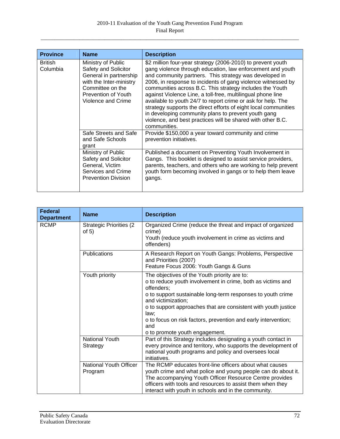| <b>Province</b>            | <b>Name</b>                                                                                                                                                      | <b>Description</b>                                                                                                                                                                                                                                                                                                                                                                                                                                                                                                                                                                                                                                      |
|----------------------------|------------------------------------------------------------------------------------------------------------------------------------------------------------------|---------------------------------------------------------------------------------------------------------------------------------------------------------------------------------------------------------------------------------------------------------------------------------------------------------------------------------------------------------------------------------------------------------------------------------------------------------------------------------------------------------------------------------------------------------------------------------------------------------------------------------------------------------|
| <b>British</b><br>Columbia | Ministry of Public<br>Safety and Solicitor<br>General in partnership<br>with the Inter-ministry<br>Committee on the<br>Prevention of Youth<br>Violence and Crime | \$2 million four-year strategy (2006-2010) to prevent youth<br>gang violence through education, law enforcement and youth<br>and community partners. This strategy was developed in<br>2006, in response to incidents of gang violence witnessed by<br>communities across B.C. This strategy includes the Youth<br>against Violence Line, a toll-free, multilingual phone line<br>available to youth 24/7 to report crime or ask for help. The<br>strategy supports the direct efforts of eight local communities<br>in developing community plans to prevent youth gang<br>violence, and best practices will be shared with other B.C.<br>communities. |
|                            | Safe Streets and Safe<br>and Safe Schools<br>grant                                                                                                               | Provide \$150,000 a year toward community and crime<br>prevention initiatives.                                                                                                                                                                                                                                                                                                                                                                                                                                                                                                                                                                          |
|                            | Ministry of Public<br>Safety and Solicitor<br>General, Victim<br>Services and Crime<br><b>Prevention Division</b>                                                | Published a document on Preventing Youth Involvement in<br>Gangs. This booklet is designed to assist service providers,<br>parents, teachers, and others who are working to help prevent<br>youth form becoming involved in gangs or to help them leave<br>gangs.                                                                                                                                                                                                                                                                                                                                                                                       |

| <b>Federal</b><br><b>Department</b> | <b>Name</b>                                | <b>Description</b>                                                                                                                                                                                                                                                                                                                                                                                  |
|-------------------------------------|--------------------------------------------|-----------------------------------------------------------------------------------------------------------------------------------------------------------------------------------------------------------------------------------------------------------------------------------------------------------------------------------------------------------------------------------------------------|
| <b>RCMP</b>                         | <b>Strategic Priorities (2)</b><br>of $5)$ | Organized Crime (reduce the threat and impact of organized<br>crime)<br>Youth (reduce youth involvement in crime as victims and<br>offenders)                                                                                                                                                                                                                                                       |
|                                     | Publications                               | A Research Report on Youth Gangs: Problems, Perspective<br>and Priorities (2007)<br>Feature Focus 2006: Youth Gangs & Guns                                                                                                                                                                                                                                                                          |
|                                     | Youth priority                             | The objectives of the Youth priority are to:<br>o to reduce youth involvement in crime, both as victims and<br>offenders:<br>o to support sustainable long-term responses to youth crime<br>and victimization;<br>o to support approaches that are consistent with youth justice<br>law;<br>o to focus on risk factors, prevention and early intervention;<br>and<br>o to promote youth engagement. |
|                                     | <b>National Youth</b><br>Strategy          | Part of this Strategy includes designating a youth contact in<br>every province and territory, who supports the development of<br>national youth programs and policy and oversees local<br>initiatives.                                                                                                                                                                                             |
|                                     | National Youth Officer<br>Program          | The RCMP educates front-line officers about what causes<br>youth crime and what police and young people can do about it.<br>The accompanying Youth Officer Resource Centre provides<br>officers with tools and resources to assist them when they<br>interact with youth in schools and in the community.                                                                                           |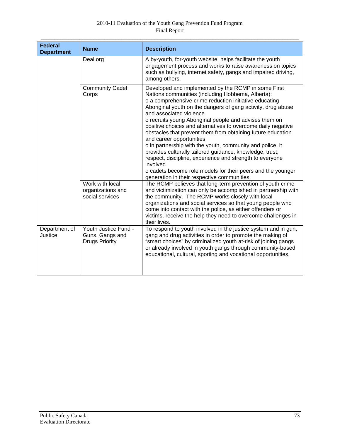## 2010-11 Evaluation of the Youth Gang Prevention Fund Program Final Report

| <b>Federal</b><br><b>Department</b> | <b>Name</b>                                                      | <b>Description</b>                                                                                                                                                                                                                                                                                                                                                                                                                                                                                                                                                                                                                                                                                                                                                                                   |
|-------------------------------------|------------------------------------------------------------------|------------------------------------------------------------------------------------------------------------------------------------------------------------------------------------------------------------------------------------------------------------------------------------------------------------------------------------------------------------------------------------------------------------------------------------------------------------------------------------------------------------------------------------------------------------------------------------------------------------------------------------------------------------------------------------------------------------------------------------------------------------------------------------------------------|
|                                     | Deal.org                                                         | A by-youth, for-youth website, helps facilitate the youth<br>engagement process and works to raise awareness on topics<br>such as bullying, internet safety, gangs and impaired driving,<br>among others.                                                                                                                                                                                                                                                                                                                                                                                                                                                                                                                                                                                            |
|                                     | <b>Community Cadet</b><br>Corps                                  | Developed and implemented by the RCMP in some First<br>Nations communities (including Hobbema, Alberta):<br>o a comprehensive crime reduction initiative educating<br>Aboriginal youth on the dangers of gang activity, drug abuse<br>and associated violence.<br>o recruits young Aboriginal people and advises them on<br>positive choices and alternatives to overcome daily negative<br>obstacles that prevent them from obtaining future education<br>and career opportunities.<br>o in partnership with the youth, community and police, it<br>provides culturally tailored guidance, knowledge, trust,<br>respect, discipline, experience and strength to everyone<br>involved.<br>o cadets become role models for their peers and the younger<br>generation in their respective communities. |
|                                     | Work with local<br>organizations and<br>social services          | The RCMP believes that long-term prevention of youth crime<br>and victimization can only be accomplished in partnership with<br>the community. The RCMP works closely with local<br>organizations and social services so that young people who<br>come into contact with the police, as either offenders or<br>victims, receive the help they need to overcome challenges in<br>their lives.                                                                                                                                                                                                                                                                                                                                                                                                         |
| Department of<br>Justice            | Youth Justice Fund -<br>Guns, Gangs and<br><b>Drugs Priority</b> | To respond to youth involved in the justice system and in gun,<br>gang and drug activities in order to promote the making of<br>"smart choices" by criminalized youth at-risk of joining gangs<br>or already involved in youth gangs through community-based<br>educational, cultural, sporting and vocational opportunities.                                                                                                                                                                                                                                                                                                                                                                                                                                                                        |